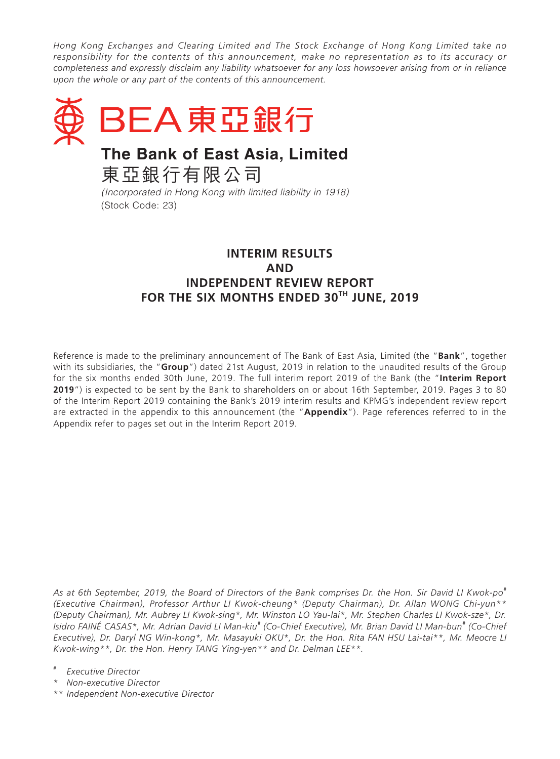*Hong Kong Exchanges and Clearing Limited and The Stock Exchange of Hong Kong Limited take no responsibility for the contents of this announcement, make no representation as to its accuracy or completeness and expressly disclaim any liability whatsoever for any loss howsoever arising from or in reliance upon the whole or any part of the contents of this announcement.*



# **INTERIM RESULTS AND INDEPENDENT REVIEW REPORT FOR THE SIX MONTHS ENDED 30TH JUNE, 2019**

Reference is made to the preliminary announcement of The Bank of East Asia, Limited (the "**Bank**", together with its subsidiaries, the "**Group**") dated 21st August, 2019 in relation to the unaudited results of the Group for the six months ended 30th June, 2019. The full interim report 2019 of the Bank (the "**Interim Report 2019**") is expected to be sent by the Bank to shareholders on or about 16th September, 2019. Pages 3 to 80 of the Interim Report 2019 containing the Bank's 2019 interim results and KPMG's independent review report are extracted in the appendix to this announcement (the "**Appendix**"). Page references referred to in the Appendix refer to pages set out in the Interim Report 2019.

*As at 6th September, 2019, the Board of Directors of the Bank comprises Dr. the Hon. Sir David LI Kwok-po# (Executive Chairman), Professor Arthur LI Kwok-cheung\* (Deputy Chairman), Dr. Allan WONG Chi-yun\*\* (Deputy Chairman), Mr. Aubrey LI Kwok-sing\*, Mr. Winston LO Yau-lai\*, Mr. Stephen Charles LI Kwok-sze\*, Dr. Isidro FAINÉ CASAS\*, Mr. Adrian David LI Man-kiu# (Co-Chief Executive), Mr. Brian David LI Man-bun# (Co-Chief Executive), Dr. Daryl NG Win-kong\*, Mr. Masayuki OKU\*, Dr. the Hon. Rita FAN HSU Lai-tai\*\*, Mr. Meocre LI Kwok-wing\*\*, Dr. the Hon. Henry TANG Ying-yen\*\* and Dr. Delman LEE\*\*.*

- \* *Non-executive Director*
- \*\* *Independent Non-executive Director*

*Executive Director*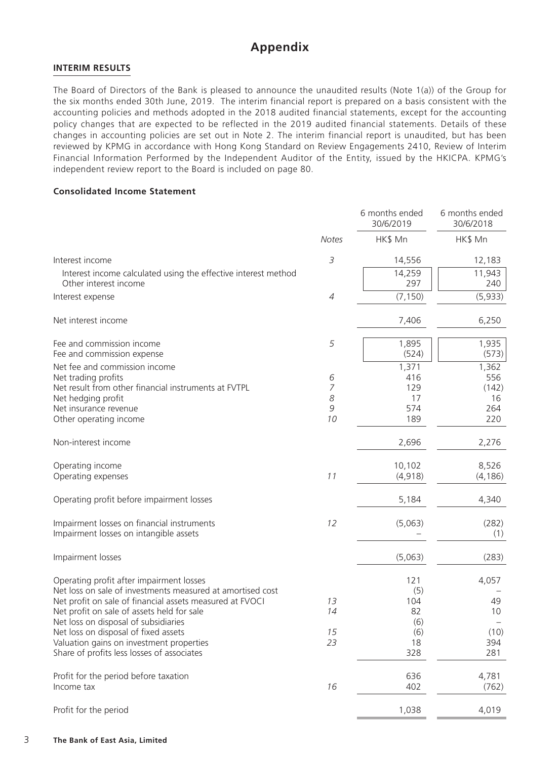# **Appendix**

### **INTERIM RESULTS**

The Board of Directors of the Bank is pleased to announce the unaudited results (Note 1(a)) of the Group for the six months ended 30th June, 2019. The interim financial report is prepared on a basis consistent with the accounting policies and methods adopted in the 2018 audited financial statements, except for the accounting policy changes that are expected to be reflected in the 2019 audited financial statements. Details of these changes in accounting policies are set out in Note 2. The interim financial report is unaudited, but has been reviewed by KPMG in accordance with Hong Kong Standard on Review Engagements 2410, Review of Interim Financial Information Performed by the Independent Auditor of the Entity, issued by the HKICPA. KPMG's independent review report to the Board is included on page 80.

### **Consolidated Income Statement**

|                                                                                                                                                                                                                                                                                                                                                                                            |                               | 6 months ended<br>30/6/2019                        | 6 months ended<br>30/6/2018               |
|--------------------------------------------------------------------------------------------------------------------------------------------------------------------------------------------------------------------------------------------------------------------------------------------------------------------------------------------------------------------------------------------|-------------------------------|----------------------------------------------------|-------------------------------------------|
|                                                                                                                                                                                                                                                                                                                                                                                            | <b>Notes</b>                  | HK\$ Mn                                            | HK\$ Mn                                   |
| Interest income                                                                                                                                                                                                                                                                                                                                                                            | 3                             | 14,556                                             | 12,183                                    |
| Interest income calculated using the effective interest method<br>Other interest income                                                                                                                                                                                                                                                                                                    |                               | 14,259<br>297                                      | 11,943<br>240                             |
| Interest expense                                                                                                                                                                                                                                                                                                                                                                           | $\ensuremath{\mathnormal{4}}$ | (7, 150)                                           | (5,933)                                   |
| Net interest income                                                                                                                                                                                                                                                                                                                                                                        |                               | 7,406                                              | 6,250                                     |
| Fee and commission income<br>Fee and commission expense                                                                                                                                                                                                                                                                                                                                    | 5                             | 1,895<br>(524)                                     | 1,935<br>(573)                            |
| Net fee and commission income<br>Net trading profits<br>Net result from other financial instruments at FVTPL<br>Net hedging profit<br>Net insurance revenue<br>Other operating income                                                                                                                                                                                                      | 6<br>7<br>8<br>9<br>10        | 1,371<br>416<br>129<br>17<br>574<br>189            | 1,362<br>556<br>(142)<br>16<br>264<br>220 |
| Non-interest income                                                                                                                                                                                                                                                                                                                                                                        |                               | 2,696                                              | 2,276                                     |
| Operating income<br>Operating expenses                                                                                                                                                                                                                                                                                                                                                     | 11                            | 10,102<br>(4,918)                                  | 8,526<br>(4, 186)                         |
| Operating profit before impairment losses                                                                                                                                                                                                                                                                                                                                                  |                               | 5,184                                              | 4,340                                     |
| Impairment losses on financial instruments<br>Impairment losses on intangible assets                                                                                                                                                                                                                                                                                                       | 12                            | (5,063)                                            | (282)<br>(1)                              |
| Impairment losses                                                                                                                                                                                                                                                                                                                                                                          |                               | (5,063)                                            | (283)                                     |
| Operating profit after impairment losses<br>Net loss on sale of investments measured at amortised cost<br>Net profit on sale of financial assets measured at FVOCI<br>Net profit on sale of assets held for sale<br>Net loss on disposal of subsidiaries<br>Net loss on disposal of fixed assets<br>Valuation gains on investment properties<br>Share of profits less losses of associates | 13<br>14<br>15<br>23          | 121<br>(5)<br>104<br>82<br>(6)<br>(6)<br>18<br>328 | 4,057<br>49<br>10<br>(10)<br>394<br>281   |
| Profit for the period before taxation<br>Income tax                                                                                                                                                                                                                                                                                                                                        | 16                            | 636<br>402                                         | 4,781<br>(762)                            |
| Profit for the period                                                                                                                                                                                                                                                                                                                                                                      |                               | 1,038                                              | 4,019                                     |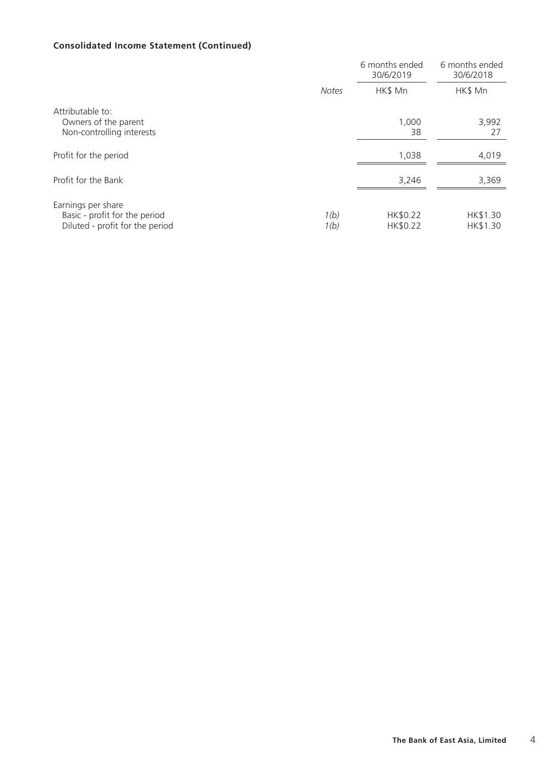# **Consolidated Income Statement (Continued)**

|                                                                                        |              | 6 months ended<br>30/6/2019 | 6 months ended<br>30/6/2018 |  |
|----------------------------------------------------------------------------------------|--------------|-----------------------------|-----------------------------|--|
|                                                                                        | <b>Notes</b> | HK\$ Mn                     | HK\$ Mn                     |  |
| Attributable to:<br>Owners of the parent<br>Non-controlling interests                  |              | 1,000<br>38                 | 3,992<br>27                 |  |
| Profit for the period                                                                  |              | 1,038                       | 4,019                       |  |
| Profit for the Bank                                                                    |              | 3,246                       | 3,369                       |  |
| Earnings per share<br>Basic - profit for the period<br>Diluted - profit for the period | 1(b)<br>1(b) | HK\$0.22<br>HK\$0.22        | HK\$1.30<br>HK\$1.30        |  |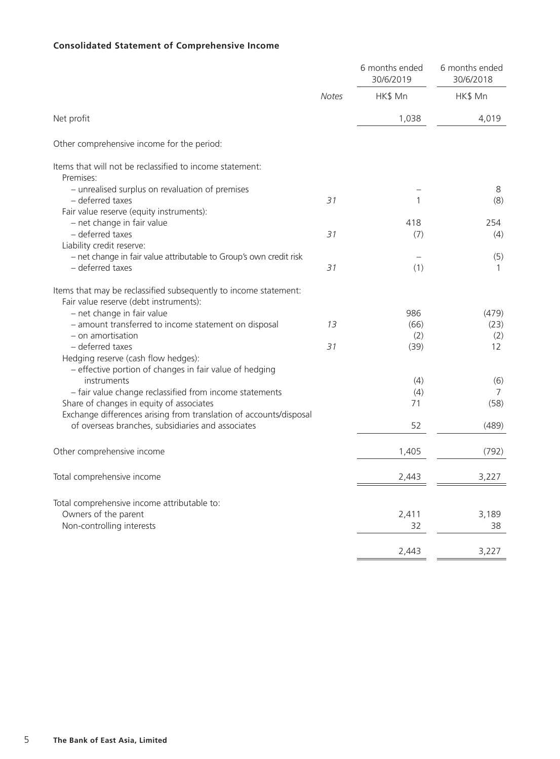# **Consolidated Statement of Comprehensive Income**

|                                                                                                                |              | 6 months ended<br>30/6/2019 | 6 months ended<br>30/6/2018 |
|----------------------------------------------------------------------------------------------------------------|--------------|-----------------------------|-----------------------------|
|                                                                                                                | <b>Notes</b> | HK\$ Mn                     | HK\$ Mn                     |
| Net profit                                                                                                     |              | 1,038                       | 4,019                       |
| Other comprehensive income for the period:                                                                     |              |                             |                             |
| Items that will not be reclassified to income statement:                                                       |              |                             |                             |
| Premises:                                                                                                      |              |                             |                             |
| - unrealised surplus on revaluation of premises                                                                |              |                             | 8                           |
| - deferred taxes                                                                                               | 31           | 1                           | (8)                         |
| Fair value reserve (equity instruments):                                                                       |              |                             |                             |
| - net change in fair value                                                                                     |              | 418                         | 254                         |
| - deferred taxes                                                                                               | 31           | (7)                         | (4)                         |
| Liability credit reserve:                                                                                      |              |                             |                             |
| - net change in fair value attributable to Group's own credit risk                                             |              | $\overline{\phantom{0}}$    | (5)                         |
| - deferred taxes                                                                                               | 31           | (1)                         | 1                           |
| Items that may be reclassified subsequently to income statement:                                               |              |                             |                             |
| Fair value reserve (debt instruments):                                                                         |              | 986                         |                             |
| - net change in fair value                                                                                     | 13           |                             | (479)                       |
| - amount transferred to income statement on disposal                                                           |              | (66)                        | (23)                        |
| - on amortisation<br>- deferred taxes                                                                          | 31           | (2)                         | (2)<br>12                   |
|                                                                                                                |              | (39)                        |                             |
| Hedging reserve (cash flow hedges):                                                                            |              |                             |                             |
| - effective portion of changes in fair value of hedging<br>instruments                                         |              |                             |                             |
| - fair value change reclassified from income statements                                                        |              | (4)                         | (6)<br>$\overline{7}$       |
|                                                                                                                |              | (4)<br>71                   | (58)                        |
| Share of changes in equity of associates<br>Exchange differences arising from translation of accounts/disposal |              |                             |                             |
| of overseas branches, subsidiaries and associates                                                              |              | 52                          | (489)                       |
|                                                                                                                |              |                             |                             |
| Other comprehensive income                                                                                     |              | 1,405                       | (792)                       |
|                                                                                                                |              |                             |                             |
| Total comprehensive income                                                                                     |              | 2,443                       | 3,227                       |
|                                                                                                                |              |                             |                             |
| Total comprehensive income attributable to:                                                                    |              |                             |                             |
| Owners of the parent                                                                                           |              | 2,411                       | 3,189                       |
| Non-controlling interests                                                                                      |              | 32                          | 38                          |
|                                                                                                                |              |                             |                             |
|                                                                                                                |              | 2,443                       | 3,227                       |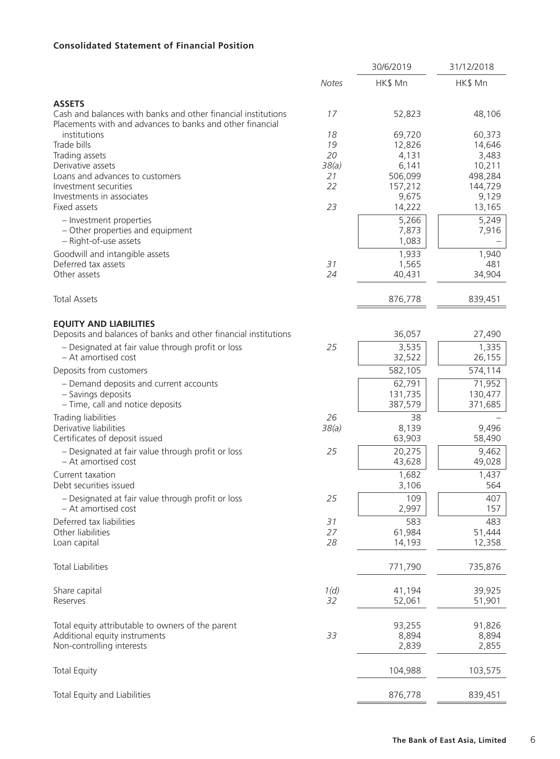### **Consolidated Statement of Financial Position**

|                                                                                                                            |              | 30/6/2019         | 31/12/2018        |
|----------------------------------------------------------------------------------------------------------------------------|--------------|-------------------|-------------------|
|                                                                                                                            | <b>Notes</b> | HK\$ Mn           | HK\$ Mn           |
| <b>ASSETS</b>                                                                                                              |              |                   |                   |
| Cash and balances with banks and other financial institutions<br>Placements with and advances to banks and other financial | 17           | 52,823            | 48,106            |
| institutions                                                                                                               | 18           | 69,720            | 60,373            |
| Trade bills                                                                                                                | 19           | 12,826            | 14,646            |
| Trading assets<br>Derivative assets                                                                                        | 20<br>38(a)  | 4,131<br>6,141    | 3,483<br>10,211   |
| Loans and advances to customers                                                                                            | 21           | 506,099           | 498,284           |
| Investment securities                                                                                                      | 22           | 157,212           | 144,729           |
| Investments in associates<br>Fixed assets                                                                                  | 23           | 9,675<br>14,222   | 9,129<br>13,165   |
| - Investment properties                                                                                                    |              | 5,266             | 5,249             |
| - Other properties and equipment                                                                                           |              | 7,873             | 7,916             |
| - Right-of-use assets                                                                                                      |              | 1,083             |                   |
| Goodwill and intangible assets                                                                                             |              | 1,933             | 1,940             |
| Deferred tax assets                                                                                                        | 31           | 1,565             | 481               |
| Other assets                                                                                                               | 24           | 40,431            | 34,904            |
| <b>Total Assets</b>                                                                                                        |              | 876,778           | 839,451           |
| <b>EQUITY AND LIABILITIES</b>                                                                                              |              |                   |                   |
| Deposits and balances of banks and other financial institutions                                                            |              | 36,057            | 27,490            |
| - Designated at fair value through profit or loss                                                                          | 25           | 3,535             | 1,335             |
| - At amortised cost<br>Deposits from customers                                                                             |              | 32,522<br>582,105 | 26,155<br>574,114 |
|                                                                                                                            |              |                   | 71,952            |
| - Demand deposits and current accounts<br>- Savings deposits                                                               |              | 62,791<br>131,735 | 130,477           |
| - Time, call and notice deposits                                                                                           |              | 387,579           | 371,685           |
| Trading liabilities                                                                                                        | 26           | 38                |                   |
| Derivative liabilities                                                                                                     | 38(a)        | 8,139             | 9,496             |
| Certificates of deposit issued                                                                                             |              | 63,903            | 58,490            |
| - Designated at fair value through profit or loss<br>- At amortised cost                                                   | 25           | 20,275<br>43,628  | 9,462<br>49,028   |
| Current taxation                                                                                                           |              | 1,682             | 1,437             |
| Debt securities issued                                                                                                     |              | 3,106             | 564               |
| - Designated at fair value through profit or loss<br>- At amortised cost                                                   | 25           | 109<br>2,997      | 407<br>157        |
| Deferred tax liabilities                                                                                                   | 31           | 583               | 483               |
| Other liabilities                                                                                                          | 27           | 61,984            | 51,444            |
| Loan capital                                                                                                               | 28           | 14,193            | 12,358            |
| <b>Total Liabilities</b>                                                                                                   |              | 771,790           | 735,876           |
| Share capital                                                                                                              | 1(d)         | 41,194            | 39,925            |
| Reserves                                                                                                                   | 32           | 52,061            | 51,901            |
| Total equity attributable to owners of the parent                                                                          |              | 93,255            | 91,826            |
| Additional equity instruments                                                                                              | 33           | 8,894             | 8,894             |
| Non-controlling interests                                                                                                  |              | 2,839             | 2,855             |
| <b>Total Equity</b>                                                                                                        |              | 104,988           | 103,575           |
| Total Equity and Liabilities                                                                                               |              | 876,778           | 839,451           |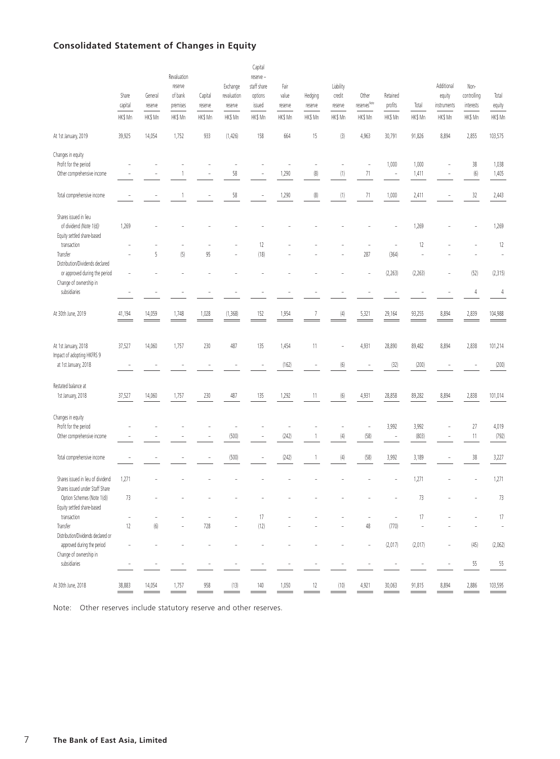# **Consolidated Statement of Changes in Equity**

|                                                                      |                |         | Revaluation        |                    |                         | Capital<br>reserve -     |               |         |                     |                          |                          |                    |                      |                     |                          |
|----------------------------------------------------------------------|----------------|---------|--------------------|--------------------|-------------------------|--------------------------|---------------|---------|---------------------|--------------------------|--------------------------|--------------------|----------------------|---------------------|--------------------------|
|                                                                      | Share          | General | reserve<br>of bank | Capital            | Exchange<br>revaluation | staff share<br>options   | Fair<br>value | Hedging | Liability<br>credit | Other                    | Retained                 |                    | Additional<br>equity | Non-<br>controlling | Total                    |
|                                                                      | capital        | reserve | premises           | reserve<br>HK\$ Mn | reserve<br>HK\$ Mn      | issued                   | reserve       | reserve | reserve<br>HK\$ Mn  | reserves <sup>Note</sup> | profits                  | Total              | instruments          | interests           | equity<br>HK\$ Mn        |
|                                                                      | HK\$ Mn        | HK\$ Mn | HK\$ Mn            |                    |                         | HK\$ Mn                  | HK\$ Mn       | HK\$ Mn |                     | HK\$ Mn                  | HK\$ Mn                  | HK\$ Mn            | HK\$ Mn              | HK\$ Mn             |                          |
| At 1st January, 2019                                                 | 39,925         | 14,054  | 1,752              | 933                | (1,426)                 | 158                      | 664           | 15      | (3)                 | 4,963                    | 30,791                   | 91,826             | 8,894                | 2,855               | 103,575                  |
| Changes in equity                                                    |                |         |                    |                    |                         |                          |               |         |                     |                          |                          |                    |                      |                     |                          |
| Profit for the period                                                |                |         |                    |                    | $\overline{a}$          |                          | ÷             | ÷,      |                     | $\overline{\phantom{a}}$ | 1,000                    | 1,000              |                      | 38                  | 1,038                    |
| Other comprehensive income                                           |                |         |                    |                    | 58                      | $\overline{\phantom{a}}$ | 1,290         | (8)     | $\left( 1\right)$   | 71                       | $\sim$ $-$               | 1,411              |                      | (6)                 | 1,405                    |
| Total comprehensive income                                           |                |         |                    |                    | 58                      | $\overline{\phantom{a}}$ | 1,290         | (8)     | $\left( 1\right)$   | 71                       | 1,000                    | 2,411              |                      | 32                  | 2,443                    |
| Shares issued in lieu                                                |                |         |                    |                    |                         |                          |               |         |                     |                          |                          |                    |                      |                     |                          |
| of dividend (Note 1(d))<br>Equity settled share-based                | 1,269          |         |                    |                    |                         |                          |               |         |                     |                          |                          | 1,269              |                      |                     | 1,269                    |
| transaction                                                          |                |         |                    |                    |                         | 12                       |               |         |                     | ٠                        | ٠                        | 12                 |                      |                     | 12                       |
| Transfer                                                             |                | 5       | (5)                | 95                 |                         | (18)                     |               |         |                     | 287                      | (364)                    |                    |                      |                     | J,                       |
| Distribution/Dividends declared<br>or approved during the period     |                |         |                    |                    |                         |                          |               |         |                     | ÷                        | (2,263)                  | (2,263)            |                      | (52)                | (2, 315)                 |
| Change of ownership in<br>subsidiaries                               |                |         |                    |                    |                         |                          |               |         |                     |                          | ÷,                       |                    |                      | 4                   | 4                        |
|                                                                      |                |         |                    |                    |                         |                          |               |         |                     |                          |                          |                    |                      |                     |                          |
| At 30th June, 2019                                                   | 41,194         | 14,059  | 1,748              | 1,028              | (1,368)                 | 152                      | 1,954         | 7       | $\left( 4\right)$   | 5,321                    | 29,164                   | 93,255             | 8,894                | 2,839               | 104,988                  |
| At 1st January, 2018                                                 | 37,527         | 14,060  | 1,757              | 230                | 487                     | 135                      | 1,454         | 11      |                     | 4,931                    | 28,890                   | 89,482             | 8,894                | 2,838               | 101,214                  |
| Impact of adopting HKFRS 9                                           |                |         |                    |                    |                         |                          |               |         |                     |                          |                          |                    |                      |                     |                          |
| at 1st January, 2018                                                 |                |         |                    |                    |                         | $\overline{\phantom{a}}$ | (162)         |         | (6)                 |                          | (32)                     | (200)              |                      |                     | (200)                    |
| Restated balance at                                                  |                |         |                    |                    |                         |                          |               |         |                     |                          |                          |                    |                      |                     |                          |
| 1st January, 2018                                                    | 37,527         | 14,060  | 1,757              | 230                | 487                     | 135                      | 1,292         | 11      | $\left( 6\right)$   | 4,931                    | 28,858                   | 89,282             | 8,894                | 2,838               | 101,014                  |
| Changes in equity                                                    |                |         |                    |                    |                         |                          |               |         |                     |                          |                          |                    |                      |                     |                          |
| Profit for the period                                                |                |         |                    |                    |                         |                          |               |         |                     | $\overline{\phantom{a}}$ | 3,992                    | 3,992              |                      | 27                  | 4,019                    |
| Other comprehensive income                                           | $\overline{a}$ |         |                    | ٠                  | (500)                   | $\overline{\phantom{a}}$ | (242)         | 1       | $\left( 4\right)$   | (58)                     | $\overline{\phantom{a}}$ | (803)              |                      | 11                  | (792)                    |
| Total comprehensive income                                           |                |         |                    |                    | (500)                   | $\overline{\phantom{a}}$ | (242)         | 1       | $\left( 4\right)$   | (58)                     | 3,992                    | 3,189              |                      | 38                  | 3,227                    |
|                                                                      |                |         |                    |                    |                         |                          |               |         |                     |                          |                          |                    |                      |                     |                          |
| Shares issued in lieu of dividend<br>Shares issued under Staff Share | 1,271          |         |                    |                    |                         |                          |               |         |                     |                          |                          | 1,271              |                      |                     | 1,271                    |
| Option Schemes (Note 1(d))<br>Equity settled share-based             | 73             |         |                    |                    |                         |                          |               |         |                     |                          |                          | 73                 |                      |                     | 73                       |
| transaction                                                          | i,             |         |                    |                    |                         | 17                       |               |         |                     | ÷,                       | ÷,                       | 17                 |                      |                     | 17                       |
| Transfer                                                             | 12             | (6)     |                    | 728                | ä,                      | (12)                     |               |         |                     | 48                       | (770)                    |                    |                      |                     | $\overline{\phantom{a}}$ |
| Distribution/Dividends declared or                                   |                |         |                    |                    |                         |                          |               |         |                     |                          |                          |                    |                      |                     |                          |
| approved during the period<br>Change of ownership in                 |                |         |                    |                    |                         |                          |               |         |                     | i.                       | (2,017)                  | (2,017)            |                      | (45)                | (2,062)                  |
| subsidiaries                                                         |                |         |                    |                    | ٠                       | $\sim$                   |               |         |                     |                          | $\overline{\phantom{a}}$ | ÷,                 |                      | 55                  | 55                       |
| At 30th June, 2018                                                   | 38,883         | 14,054  | 1,757              | 958                | (13)                    | 140                      | 1,050         | 12      | (10)                | 4,921                    | $\frac{30,063}{2}$       | $\frac{91,815}{2}$ | 8,894<br>$=$         | 2,886<br>$=$        | 103,595                  |

Note: Other reserves include statutory reserve and other reserves.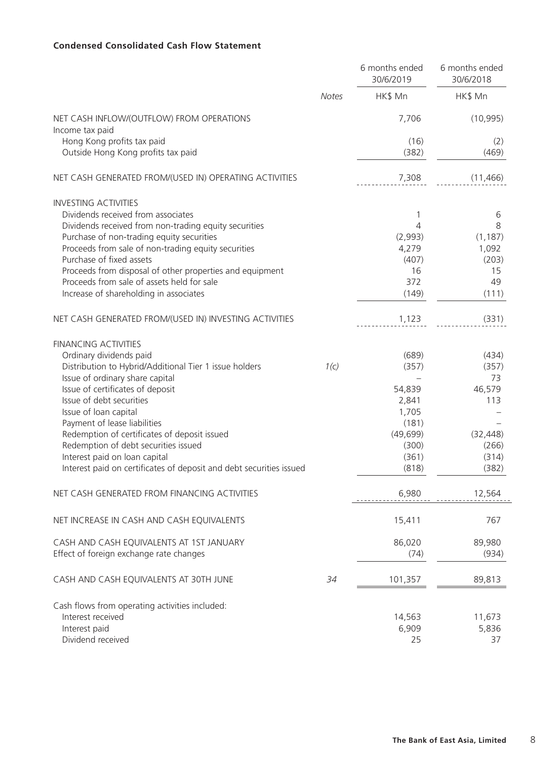### **Condensed Consolidated Cash Flow Statement**

|                                                                                                                                                                                                                                                                                                                                                                                                                                                                              |              | 6 months ended<br>30/6/2019                                                                 | 6 months ended<br>30/6/2018                                                   |
|------------------------------------------------------------------------------------------------------------------------------------------------------------------------------------------------------------------------------------------------------------------------------------------------------------------------------------------------------------------------------------------------------------------------------------------------------------------------------|--------------|---------------------------------------------------------------------------------------------|-------------------------------------------------------------------------------|
|                                                                                                                                                                                                                                                                                                                                                                                                                                                                              | <b>Notes</b> | HK\$ Mn                                                                                     | HK\$ Mn                                                                       |
| NET CASH INFLOW/(OUTFLOW) FROM OPERATIONS<br>Income tax paid                                                                                                                                                                                                                                                                                                                                                                                                                 |              | 7,706                                                                                       | (10, 995)                                                                     |
| Hong Kong profits tax paid<br>Outside Hong Kong profits tax paid                                                                                                                                                                                                                                                                                                                                                                                                             |              | (16)<br>(382)                                                                               | (2)<br>(469)                                                                  |
| NET CASH GENERATED FROM/(USED IN) OPERATING ACTIVITIES                                                                                                                                                                                                                                                                                                                                                                                                                       |              | 7,308                                                                                       | (11, 466)                                                                     |
| <b>INVESTING ACTIVITIES</b><br>Dividends received from associates<br>Dividends received from non-trading equity securities<br>Purchase of non-trading equity securities<br>Proceeds from sale of non-trading equity securities<br>Purchase of fixed assets<br>Proceeds from disposal of other properties and equipment<br>Proceeds from sale of assets held for sale<br>Increase of shareholding in associates                                                               |              | 1<br>4<br>(2,993)<br>4,279<br>(407)<br>16<br>372<br>(149)                                   | 6<br>8<br>(1, 187)<br>1,092<br>(203)<br>15<br>49<br>(111)                     |
| NET CASH GENERATED FROM/(USED IN) INVESTING ACTIVITIES                                                                                                                                                                                                                                                                                                                                                                                                                       |              | 1,123                                                                                       | (331)                                                                         |
| <b>FINANCING ACTIVITIES</b><br>Ordinary dividends paid<br>Distribution to Hybrid/Additional Tier 1 issue holders<br>Issue of ordinary share capital<br>Issue of certificates of deposit<br>Issue of debt securities<br>Issue of loan capital<br>Payment of lease liabilities<br>Redemption of certificates of deposit issued<br>Redemption of debt securities issued<br>Interest paid on loan capital<br>Interest paid on certificates of deposit and debt securities issued | 1(c)         | (689)<br>(357)<br>54,839<br>2,841<br>1,705<br>(181)<br>(49, 699)<br>(300)<br>(361)<br>(818) | (434)<br>(357)<br>73<br>46,579<br>113<br>(32, 448)<br>(266)<br>(314)<br>(382) |
| NET CASH GENERATED FROM FINANCING ACTIVITIES                                                                                                                                                                                                                                                                                                                                                                                                                                 |              | 6,980                                                                                       | 12,564                                                                        |
| NET INCREASE IN CASH AND CASH EQUIVALENTS                                                                                                                                                                                                                                                                                                                                                                                                                                    |              | 15,411                                                                                      | 767                                                                           |
| CASH AND CASH EQUIVALENTS AT 1ST JANUARY<br>Effect of foreign exchange rate changes                                                                                                                                                                                                                                                                                                                                                                                          |              | 86,020<br>(74)                                                                              | 89,980<br>(934)                                                               |
| CASH AND CASH EQUIVALENTS AT 30TH JUNE                                                                                                                                                                                                                                                                                                                                                                                                                                       | 34           | 101,357                                                                                     | 89,813                                                                        |
| Cash flows from operating activities included:<br>Interest received<br>Interest paid<br>Dividend received                                                                                                                                                                                                                                                                                                                                                                    |              | 14,563<br>6,909<br>25                                                                       | 11,673<br>5,836<br>37                                                         |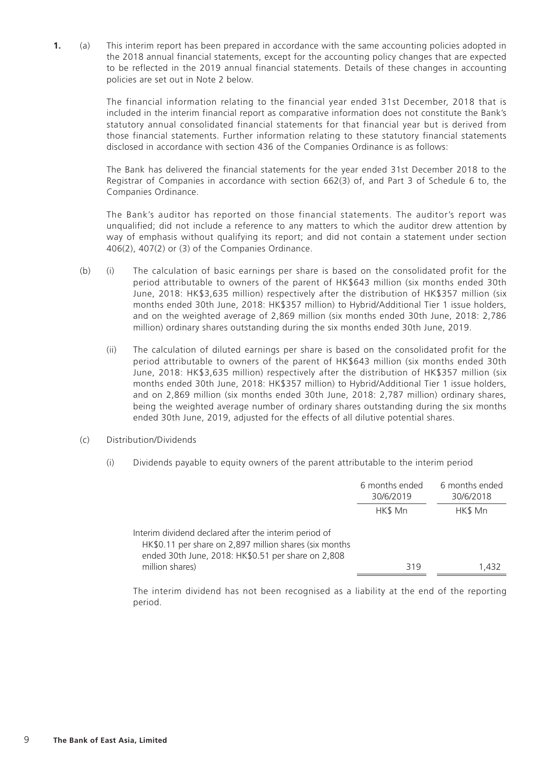**1.** (a) This interim report has been prepared in accordance with the same accounting policies adopted in the 2018 annual financial statements, except for the accounting policy changes that are expected to be reflected in the 2019 annual financial statements. Details of these changes in accounting policies are set out in Note 2 below.

> The financial information relating to the financial year ended 31st December, 2018 that is included in the interim financial report as comparative information does not constitute the Bank's statutory annual consolidated financial statements for that financial year but is derived from those financial statements. Further information relating to these statutory financial statements disclosed in accordance with section 436 of the Companies Ordinance is as follows:

> The Bank has delivered the financial statements for the year ended 31st December 2018 to the Registrar of Companies in accordance with section 662(3) of, and Part 3 of Schedule 6 to, the Companies Ordinance.

> The Bank's auditor has reported on those financial statements. The auditor's report was unqualified; did not include a reference to any matters to which the auditor drew attention by way of emphasis without qualifying its report; and did not contain a statement under section 406(2), 407(2) or (3) of the Companies Ordinance.

- (b) (i) The calculation of basic earnings per share is based on the consolidated profit for the period attributable to owners of the parent of HK\$643 million (six months ended 30th June, 2018: HK\$3,635 million) respectively after the distribution of HK\$357 million (six months ended 30th June, 2018: HK\$357 million) to Hybrid/Additional Tier 1 issue holders, and on the weighted average of 2,869 million (six months ended 30th June, 2018: 2,786 million) ordinary shares outstanding during the six months ended 30th June, 2019.
	- (ii) The calculation of diluted earnings per share is based on the consolidated profit for the period attributable to owners of the parent of HK\$643 million (six months ended 30th June, 2018: HK\$3,635 million) respectively after the distribution of HK\$357 million (six months ended 30th June, 2018: HK\$357 million) to Hybrid/Additional Tier 1 issue holders, and on 2,869 million (six months ended 30th June, 2018: 2,787 million) ordinary shares, being the weighted average number of ordinary shares outstanding during the six months ended 30th June, 2019, adjusted for the effects of all dilutive potential shares.
- (c) Distribution/Dividends
	- (i) Dividends payable to equity owners of the parent attributable to the interim period

|                                                                                                                                                                       | 6 months ended<br>30/6/2019 | 6 months ended<br>30/6/2018 |
|-----------------------------------------------------------------------------------------------------------------------------------------------------------------------|-----------------------------|-----------------------------|
|                                                                                                                                                                       | HK\$ Mn                     | HK\$ Mn                     |
| Interim dividend declared after the interim period of<br>HK\$0.11 per share on 2,897 million shares (six months<br>ended 30th June, 2018: HK\$0.51 per share on 2,808 |                             |                             |
| million shares)                                                                                                                                                       | 319                         | 1.432                       |

The interim dividend has not been recognised as a liability at the end of the reporting period.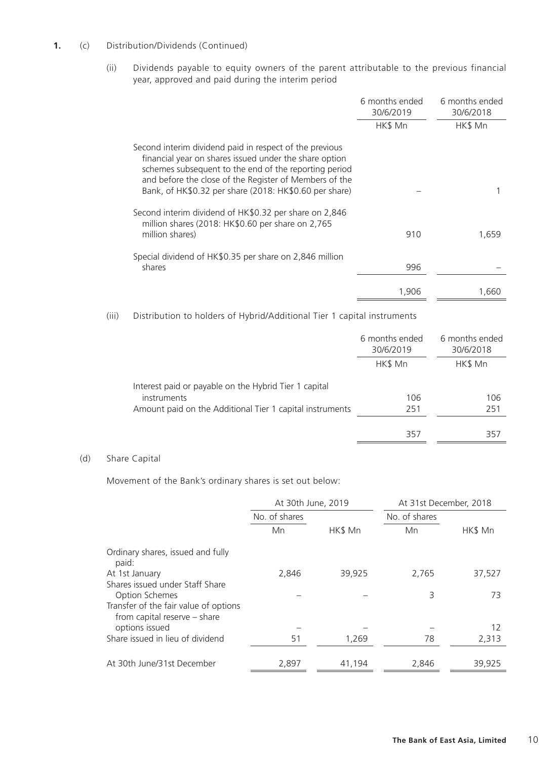### **1.** (c) Distribution/Dividends (Continued)

(ii) Dividends payable to equity owners of the parent attributable to the previous financial year, approved and paid during the interim period

|                                                                                                                                                                                                                                                                                                | 6 months ended<br>30/6/2019 | 6 months ended<br>30/6/2018 |
|------------------------------------------------------------------------------------------------------------------------------------------------------------------------------------------------------------------------------------------------------------------------------------------------|-----------------------------|-----------------------------|
|                                                                                                                                                                                                                                                                                                | HK\$ Mn                     | HK\$ Mn                     |
| Second interim dividend paid in respect of the previous<br>financial year on shares issued under the share option<br>schemes subsequent to the end of the reporting period<br>and before the close of the Register of Members of the<br>Bank, of HK\$0.32 per share (2018: HK\$0.60 per share) |                             |                             |
| Second interim dividend of HK\$0.32 per share on 2,846<br>million shares (2018: HK\$0.60 per share on 2,765<br>million shares)                                                                                                                                                                 | 910                         | 1,659                       |
| Special dividend of HK\$0.35 per share on 2,846 million<br>shares                                                                                                                                                                                                                              | 996                         |                             |
|                                                                                                                                                                                                                                                                                                | 1,906                       | 1,660                       |

(iii) Distribution to holders of Hybrid/Additional Tier 1 capital instruments

|                                                          | 6 months ended<br>30/6/2019 | 6 months ended<br>30/6/2018 |
|----------------------------------------------------------|-----------------------------|-----------------------------|
|                                                          | HK\$ Mn                     | HK\$ Mn                     |
| Interest paid or payable on the Hybrid Tier 1 capital    |                             |                             |
| instruments                                              | 106                         | 106                         |
| Amount paid on the Additional Tier 1 capital instruments | 251                         | 251                         |
|                                                          |                             |                             |
|                                                          | 357                         | 357                         |

#### (d) Share Capital

Movement of the Bank's ordinary shares is set out below:

|                                                                       | At 30th June, 2019 |         | At 31st December, 2018 |         |
|-----------------------------------------------------------------------|--------------------|---------|------------------------|---------|
|                                                                       | No. of shares      |         | No. of shares          |         |
|                                                                       | Mn                 | HK\$ Mn | Mn                     | HK\$ Mn |
| Ordinary shares, issued and fully<br>paid:                            |                    |         |                        |         |
| At 1st January<br>Shares issued under Staff Share                     | 2,846              | 39,925  | 2,765                  | 37,527  |
| Option Schemes                                                        |                    |         | 3                      | 73      |
| Transfer of the fair value of options<br>from capital reserve - share |                    |         |                        |         |
| options issued                                                        |                    |         |                        | 12      |
| Share issued in lieu of dividend                                      | 51                 | 1,269   | 78                     | 2,313   |
| At 30th June/31st December                                            | 2,897              | 41,194  | 2,846                  | 39,925  |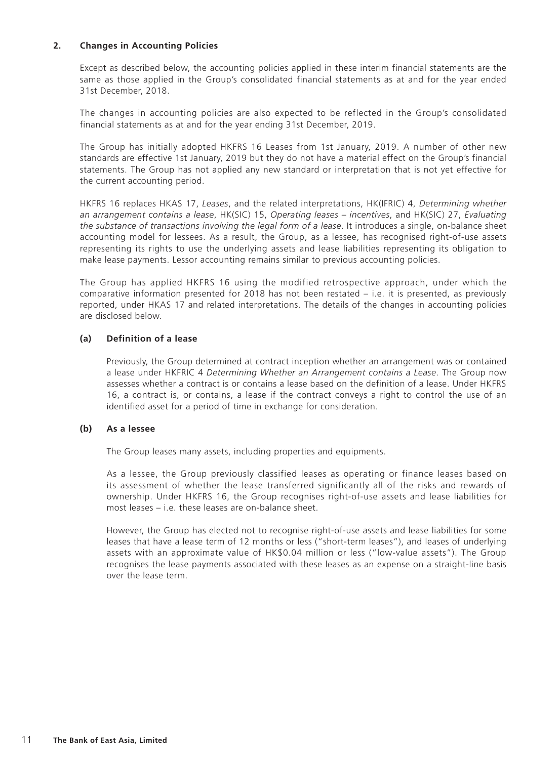### **2. Changes in Accounting Policies**

Except as described below, the accounting policies applied in these interim financial statements are the same as those applied in the Group's consolidated financial statements as at and for the year ended 31st December, 2018.

The changes in accounting policies are also expected to be reflected in the Group's consolidated financial statements as at and for the year ending 31st December, 2019.

The Group has initially adopted HKFRS 16 Leases from 1st January, 2019. A number of other new standards are effective 1st January, 2019 but they do not have a material effect on the Group's financial statements. The Group has not applied any new standard or interpretation that is not yet effective for the current accounting period.

HKFRS 16 replaces HKAS 17, *Leases*, and the related interpretations, HK(IFRIC) 4, *Determining whether an arrangement contains a lease*, HK(SIC) 15, *Operating leases – incentives*, and HK(SIC) 27, *Evaluating the substance of transactions involving the legal form of a lease*. It introduces a single, on-balance sheet accounting model for lessees. As a result, the Group, as a lessee, has recognised right-of-use assets representing its rights to use the underlying assets and lease liabilities representing its obligation to make lease payments. Lessor accounting remains similar to previous accounting policies.

The Group has applied HKFRS 16 using the modified retrospective approach, under which the comparative information presented for 2018 has not been restated – i.e. it is presented, as previously reported, under HKAS 17 and related interpretations. The details of the changes in accounting policies are disclosed below.

### **(a) Definition of a lease**

Previously, the Group determined at contract inception whether an arrangement was or contained a lease under HKFRIC 4 *Determining Whether an Arrangement contains a Lease*. The Group now assesses whether a contract is or contains a lease based on the definition of a lease. Under HKFRS 16, a contract is, or contains, a lease if the contract conveys a right to control the use of an identified asset for a period of time in exchange for consideration.

### **(b) As a lessee**

The Group leases many assets, including properties and equipments.

As a lessee, the Group previously classified leases as operating or finance leases based on its assessment of whether the lease transferred significantly all of the risks and rewards of ownership. Under HKFRS 16, the Group recognises right-of-use assets and lease liabilities for most leases – i.e. these leases are on-balance sheet.

However, the Group has elected not to recognise right-of-use assets and lease liabilities for some leases that have a lease term of 12 months or less ("short-term leases"), and leases of underlying assets with an approximate value of HK\$0.04 million or less ("low-value assets"). The Group recognises the lease payments associated with these leases as an expense on a straight-line basis over the lease term.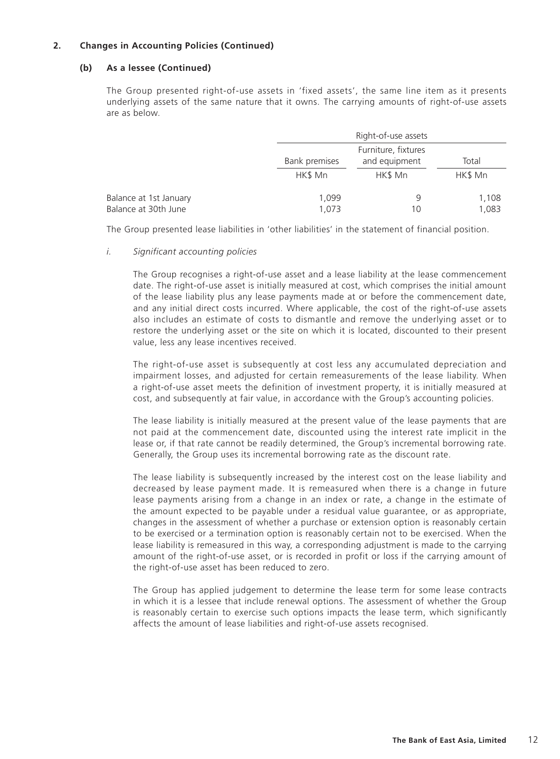### **2. Changes in Accounting Policies (Continued)**

### **(b) As a lessee (Continued)**

The Group presented right-of-use assets in 'fixed assets', the same line item as it presents underlying assets of the same nature that it owns. The carrying amounts of right-of-use assets are as below.

|                                                |                | Right-of-use assets                  |                |  |  |
|------------------------------------------------|----------------|--------------------------------------|----------------|--|--|
|                                                | Bank premises  | Furniture, fixtures<br>and equipment | Total          |  |  |
|                                                | HK\$ Mn        | HK\$ Mn                              | HK\$ Mn        |  |  |
| Balance at 1st January<br>Balance at 30th June | 1,099<br>1,073 | 9<br>10                              | 1,108<br>1,083 |  |  |

The Group presented lease liabilities in 'other liabilities' in the statement of financial position.

*i. Significant accounting policies*

The Group recognises a right-of-use asset and a lease liability at the lease commencement date. The right-of-use asset is initially measured at cost, which comprises the initial amount of the lease liability plus any lease payments made at or before the commencement date, and any initial direct costs incurred. Where applicable, the cost of the right-of-use assets also includes an estimate of costs to dismantle and remove the underlying asset or to restore the underlying asset or the site on which it is located, discounted to their present value, less any lease incentives received.

The right-of-use asset is subsequently at cost less any accumulated depreciation and impairment losses, and adjusted for certain remeasurements of the lease liability. When a right-of-use asset meets the definition of investment property, it is initially measured at cost, and subsequently at fair value, in accordance with the Group's accounting policies.

The lease liability is initially measured at the present value of the lease payments that are not paid at the commencement date, discounted using the interest rate implicit in the lease or, if that rate cannot be readily determined, the Group's incremental borrowing rate. Generally, the Group uses its incremental borrowing rate as the discount rate.

The lease liability is subsequently increased by the interest cost on the lease liability and decreased by lease payment made. It is remeasured when there is a change in future lease payments arising from a change in an index or rate, a change in the estimate of the amount expected to be payable under a residual value guarantee, or as appropriate, changes in the assessment of whether a purchase or extension option is reasonably certain to be exercised or a termination option is reasonably certain not to be exercised. When the lease liability is remeasured in this way, a corresponding adjustment is made to the carrying amount of the right-of-use asset, or is recorded in profit or loss if the carrying amount of the right-of-use asset has been reduced to zero.

The Group has applied judgement to determine the lease term for some lease contracts in which it is a lessee that include renewal options. The assessment of whether the Group is reasonably certain to exercise such options impacts the lease term, which significantly affects the amount of lease liabilities and right-of-use assets recognised.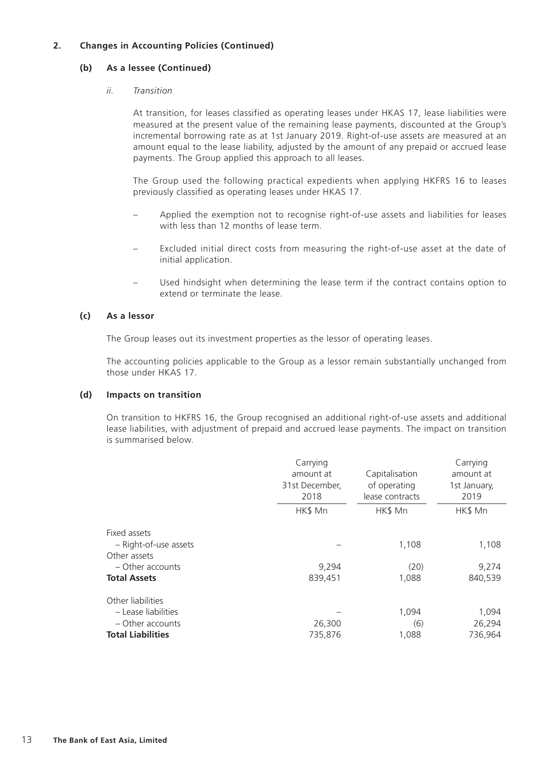### **2. Changes in Accounting Policies (Continued)**

### **(b) As a lessee (Continued)**

### *ii. Transition*

At transition, for leases classified as operating leases under HKAS 17, lease liabilities were measured at the present value of the remaining lease payments, discounted at the Group's incremental borrowing rate as at 1st January 2019. Right-of-use assets are measured at an amount equal to the lease liability, adjusted by the amount of any prepaid or accrued lease payments. The Group applied this approach to all leases.

The Group used the following practical expedients when applying HKFRS 16 to leases previously classified as operating leases under HKAS 17.

- Applied the exemption not to recognise right-of-use assets and liabilities for leases with less than 12 months of lease term.
- Excluded initial direct costs from measuring the right-of-use asset at the date of initial application.
- Used hindsight when determining the lease term if the contract contains option to extend or terminate the lease.

### **(c) As a lessor**

The Group leases out its investment properties as the lessor of operating leases.

The accounting policies applicable to the Group as a lessor remain substantially unchanged from those under HKAS 17.

### **(d) Impacts on transition**

On transition to HKFRS 16, the Group recognised an additional right-of-use assets and additional lease liabilities, with adjustment of prepaid and accrued lease payments. The impact on transition is summarised below.

|                                          | Carrying<br>amount at<br>31st December,<br>2018 | Capitalisation<br>of operating<br>lease contracts | Carrying<br>amount at<br>1st January,<br>2019 |
|------------------------------------------|-------------------------------------------------|---------------------------------------------------|-----------------------------------------------|
|                                          | HK\$ Mn                                         | HK\$ Mn                                           | HK\$ Mn                                       |
| Fixed assets<br>- Right-of-use assets    |                                                 | 1,108                                             | 1,108                                         |
| Other assets                             |                                                 |                                                   |                                               |
| - Other accounts<br><b>Total Assets</b>  | 9,294<br>839,451                                | (20)<br>1,088                                     | 9,274<br>840,539                              |
| Other liabilities<br>- Lease liabilities |                                                 | 1,094                                             | 1,094                                         |
| – Other accounts                         | 26,300                                          | (6)                                               | 26,294                                        |
| <b>Total Liabilities</b>                 | 735,876                                         | 1,088                                             | 736.964                                       |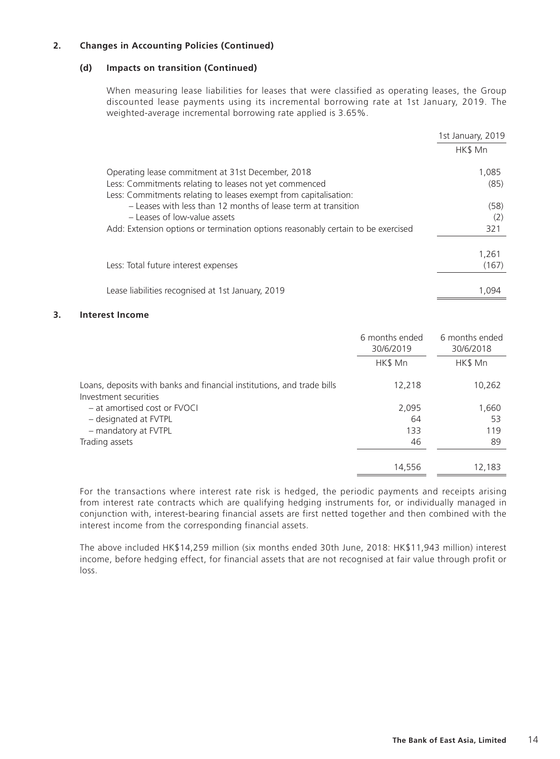### **2. Changes in Accounting Policies (Continued)**

### **(d) Impacts on transition (Continued)**

When measuring lease liabilities for leases that were classified as operating leases, the Group discounted lease payments using its incremental borrowing rate at 1st January, 2019. The weighted-average incremental borrowing rate applied is 3.65%.

|                                                                                                                            | 1st January, 2019 |
|----------------------------------------------------------------------------------------------------------------------------|-------------------|
|                                                                                                                            | HK\$ Mn           |
| Operating lease commitment at 31st December, 2018                                                                          | 1,085             |
| Less: Commitments relating to leases not yet commenced<br>Less: Commitments relating to leases exempt from capitalisation: | (85)              |
| - Leases with less than 12 months of lease term at transition                                                              | (58)              |
| - Leases of low-value assets                                                                                               | (2)               |
| Add: Extension options or termination options reasonably certain to be exercised                                           | 321               |
|                                                                                                                            | 1,261             |
| Less: Total future interest expenses                                                                                       | (167)             |
| Lease liabilities recognised at 1st January, 2019                                                                          | 1.094             |

### **3. Interest Income**

|                                                                                                 | 6 months ended<br>30/6/2019 | 6 months ended<br>30/6/2018 |
|-------------------------------------------------------------------------------------------------|-----------------------------|-----------------------------|
|                                                                                                 | HK\$ Mn                     | HK\$ Mn                     |
| Loans, deposits with banks and financial institutions, and trade bills<br>Investment securities | 12,218                      | 10,262                      |
| - at amortised cost or FVOCL                                                                    | 2,095                       | 1,660                       |
| - designated at FVTPL                                                                           | 64                          | 53                          |
| - mandatory at FVTPL                                                                            | 133                         | 119                         |
| Trading assets                                                                                  | 46                          | 89                          |
|                                                                                                 | 14,556                      | 12,183                      |

For the transactions where interest rate risk is hedged, the periodic payments and receipts arising from interest rate contracts which are qualifying hedging instruments for, or individually managed in conjunction with, interest-bearing financial assets are first netted together and then combined with the interest income from the corresponding financial assets.

The above included HK\$14,259 million (six months ended 30th June, 2018: HK\$11,943 million) interest income, before hedging effect, for financial assets that are not recognised at fair value through profit or loss.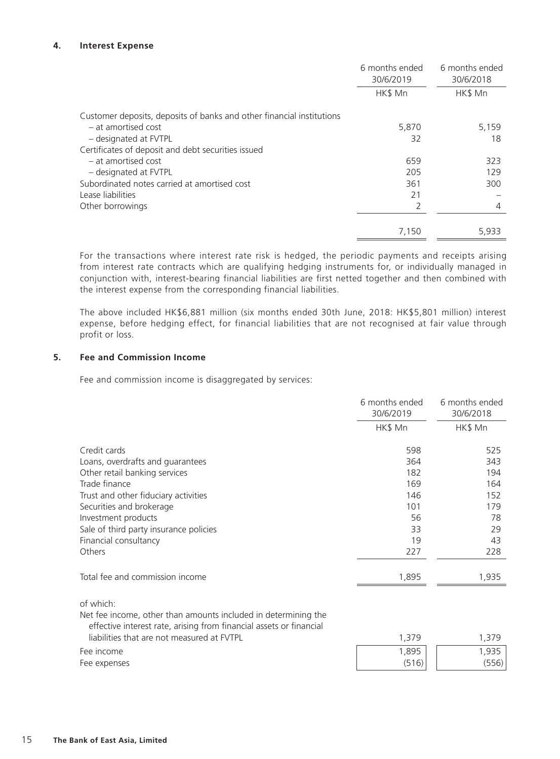|                                                                       | 6 months ended<br>30/6/2019 | 6 months ended<br>30/6/2018 |
|-----------------------------------------------------------------------|-----------------------------|-----------------------------|
|                                                                       | HK\$ Mn                     | HK\$ Mn                     |
| Customer deposits, deposits of banks and other financial institutions |                             |                             |
| - at amortised cost                                                   | 5,870                       | 5,159                       |
| - designated at FVTPL                                                 | 32                          | 18                          |
| Certificates of deposit and debt securities issued                    |                             |                             |
| - at amortised cost                                                   | 659                         | 323                         |
| - designated at FVTPL                                                 | 205                         | 129                         |
| Subordinated notes carried at amortised cost                          | 361                         | 300                         |
| Lease liabilities                                                     | 21                          |                             |
| Other borrowings                                                      | 2                           | 4                           |
|                                                                       | 7,150                       | 5,933                       |

For the transactions where interest rate risk is hedged, the periodic payments and receipts arising from interest rate contracts which are qualifying hedging instruments for, or individually managed in conjunction with, interest-bearing financial liabilities are first netted together and then combined with the interest expense from the corresponding financial liabilities.

The above included HK\$6,881 million (six months ended 30th June, 2018: HK\$5,801 million) interest expense, before hedging effect, for financial liabilities that are not recognised at fair value through profit or loss.

### **5. Fee and Commission Income**

Fee and commission income is disaggregated by services:

|                                                                                                                                                    | 6 months ended<br>30/6/2019 | 6 months ended<br>30/6/2018 |
|----------------------------------------------------------------------------------------------------------------------------------------------------|-----------------------------|-----------------------------|
|                                                                                                                                                    | HK\$ Mn                     | HK\$ Mn                     |
| Credit cards                                                                                                                                       | 598                         | 525                         |
| Loans, overdrafts and guarantees                                                                                                                   | 364                         | 343                         |
| Other retail banking services                                                                                                                      | 182                         | 194                         |
| Trade finance                                                                                                                                      | 169                         | 164                         |
| Trust and other fiduciary activities                                                                                                               | 146                         | 152                         |
| Securities and brokerage                                                                                                                           | 101                         | 179                         |
| Investment products                                                                                                                                | 56                          | 78                          |
| Sale of third party insurance policies                                                                                                             | 33                          | 29                          |
| Financial consultancy                                                                                                                              | 19                          | 43                          |
| Others                                                                                                                                             | 227                         | 228                         |
| Total fee and commission income                                                                                                                    | 1,895                       | 1,935                       |
| of which:<br>Net fee income, other than amounts included in determining the<br>effective interest rate, arising from financial assets or financial |                             |                             |
| liabilities that are not measured at FVTPL                                                                                                         | 1,379                       | 1,379                       |
| Fee income                                                                                                                                         | 1,895                       | 1,935                       |
| Fee expenses                                                                                                                                       | (516)                       | (556)                       |
|                                                                                                                                                    |                             |                             |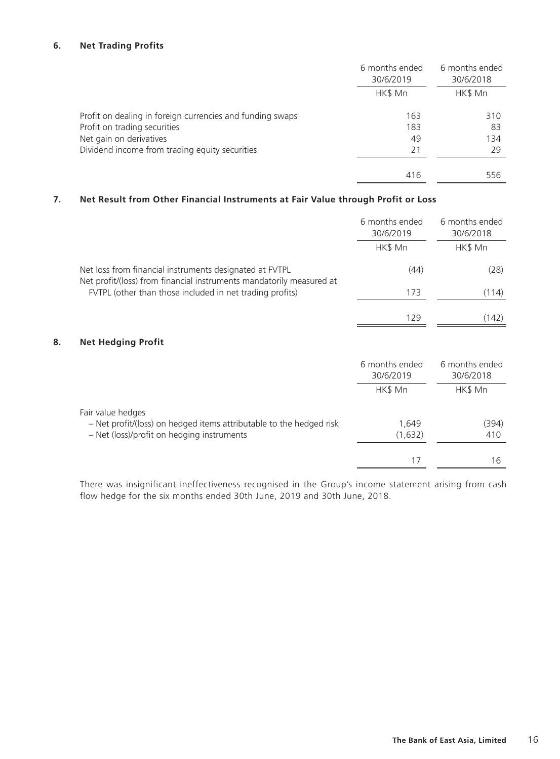### **6. Net Trading Profits**

|                                                           | 6 months ended<br>30/6/2019 | 6 months ended<br>30/6/2018 |
|-----------------------------------------------------------|-----------------------------|-----------------------------|
|                                                           | HK\$ Mn                     | HK\$ Mn                     |
| Profit on dealing in foreign currencies and funding swaps | 163                         | 310                         |
| Profit on trading securities                              | 183                         | 83                          |
| Net gain on derivatives                                   | 49                          | 134                         |
| Dividend income from trading equity securities            | 21                          | 29                          |
|                                                           | 416                         | 556                         |

### **7. Net Result from Other Financial Instruments at Fair Value through Profit or Loss**

|                                                                                                                                 | 6 months ended<br>30/6/2019 | 6 months ended<br>30/6/2018 |
|---------------------------------------------------------------------------------------------------------------------------------|-----------------------------|-----------------------------|
|                                                                                                                                 | HK\$ Mn                     | HK\$ Mn                     |
| Net loss from financial instruments designated at FVTPL<br>Net profit/(loss) from financial instruments mandatorily measured at | (44)                        | (28)                        |
| FVTPL (other than those included in net trading profits)                                                                        | 173                         | (114)                       |
|                                                                                                                                 | 129                         | (142)                       |
| 8.<br><b>Net Hedging Profit</b>                                                                                                 |                             |                             |
|                                                                                                                                 | 6 months ended<br>30/6/2019 | 6 months ended<br>30/6/2018 |
|                                                                                                                                 | HK\$ Mn                     | HK\$ Mn                     |
| Fair value hedges                                                                                                               |                             |                             |
| - Net profit/(loss) on hedged items attributable to the hedged risk                                                             | 1,649                       | (394)                       |
| - Net (loss)/profit on hedging instruments                                                                                      | (1,632)                     | 410                         |
|                                                                                                                                 | 17                          | 16                          |

There was insignificant ineffectiveness recognised in the Group's income statement arising from cash flow hedge for the six months ended 30th June, 2019 and 30th June, 2018.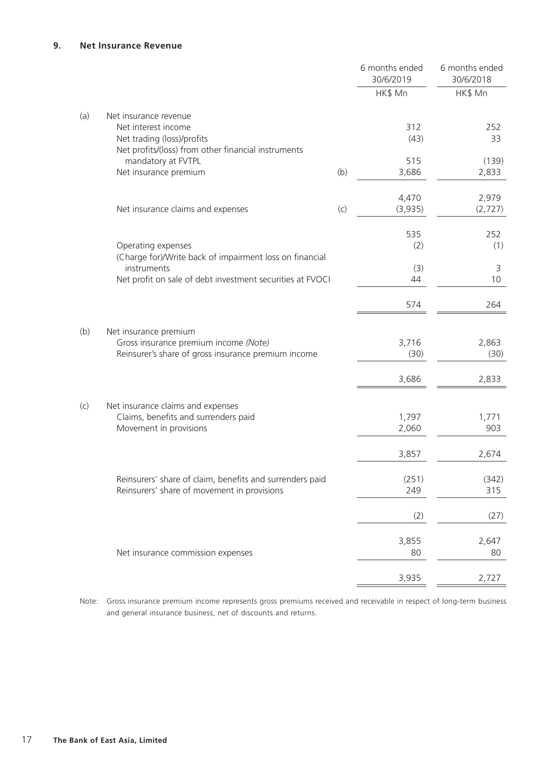|     |                                                                                                                                     |     | 6 months ended<br>30/6/2019 | 6 months ended<br>30/6/2018 |
|-----|-------------------------------------------------------------------------------------------------------------------------------------|-----|-----------------------------|-----------------------------|
|     |                                                                                                                                     |     | HK\$ Mn                     | HK\$ Mn                     |
| (a) | Net insurance revenue<br>Net interest income                                                                                        |     | 312                         | 252                         |
|     | Net trading (loss)/profits<br>Net profits/(loss) from other financial instruments                                                   |     | (43)                        | 33                          |
|     | mandatory at FVTPL<br>Net insurance premium                                                                                         | (b) | 515<br>3,686                | (139)<br>2,833              |
|     | Net insurance claims and expenses                                                                                                   | (c) | 4,470<br>(3,935)            | 2,979<br>(2, 727)           |
|     | Operating expenses                                                                                                                  |     | 535<br>(2)                  | 252<br>(1)                  |
|     | (Charge for)/Write back of impairment loss on financial<br>instruments<br>Net profit on sale of debt investment securities at FVOCI |     | (3)<br>44                   | 3<br>10                     |
|     |                                                                                                                                     |     | 574                         | 264                         |
| (b) | Net insurance premium<br>Gross insurance premium income (Note)<br>Reinsurer's share of gross insurance premium income               |     | 3,716<br>(30)               | 2,863<br>(30)               |
|     |                                                                                                                                     |     | 3,686                       | 2,833                       |
| (c) | Net insurance claims and expenses<br>Claims, benefits and surrenders paid<br>Movement in provisions                                 |     | 1,797<br>2,060              | 1,771<br>903                |
|     |                                                                                                                                     |     | 3,857                       | 2,674                       |
|     | Reinsurers' share of claim, benefits and surrenders paid<br>Reinsurers' share of movement in provisions                             |     | (251)<br>249                | (342)<br>315                |
|     |                                                                                                                                     |     | (2)                         | (27)                        |
|     | Net insurance commission expenses                                                                                                   |     | 3,855<br>80                 | 2,647<br>80                 |
|     |                                                                                                                                     |     | 3,935                       | 2,727                       |

Note: Gross insurance premium income represents gross premiums received and receivable in respect of long-term business and general insurance business, net of discounts and returns.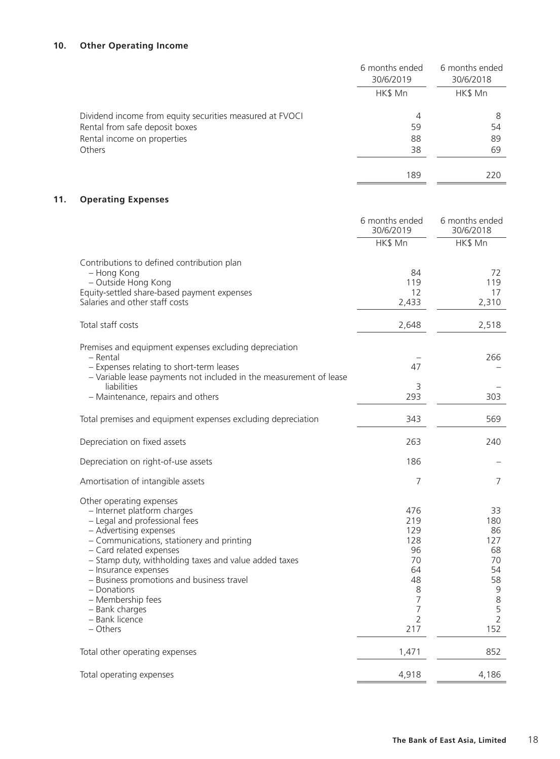# **10. Other Operating Income**

 $11.$ 

|                                                                                                                                                                                                                                                                                                                                                                                                              | 6 months ended<br>30/6/2019                                                                           | 6 months ended<br>30/6/2018                                                                  |
|--------------------------------------------------------------------------------------------------------------------------------------------------------------------------------------------------------------------------------------------------------------------------------------------------------------------------------------------------------------------------------------------------------------|-------------------------------------------------------------------------------------------------------|----------------------------------------------------------------------------------------------|
|                                                                                                                                                                                                                                                                                                                                                                                                              | HK\$ Mn                                                                                               | HK\$ Mn                                                                                      |
| Dividend income from equity securities measured at FVOCI<br>Rental from safe deposit boxes<br>Rental income on properties<br>Others                                                                                                                                                                                                                                                                          | 4<br>59<br>88<br>38                                                                                   | 8<br>54<br>89<br>69                                                                          |
|                                                                                                                                                                                                                                                                                                                                                                                                              | 189                                                                                                   | 220                                                                                          |
| <b>Operating Expenses</b>                                                                                                                                                                                                                                                                                                                                                                                    |                                                                                                       |                                                                                              |
|                                                                                                                                                                                                                                                                                                                                                                                                              | 6 months ended<br>30/6/2019                                                                           | 6 months ended<br>30/6/2018                                                                  |
|                                                                                                                                                                                                                                                                                                                                                                                                              | HK\$ Mn                                                                                               | HK\$ Mn                                                                                      |
| Contributions to defined contribution plan<br>- Hong Kong<br>- Outside Hong Kong<br>Equity-settled share-based payment expenses<br>Salaries and other staff costs                                                                                                                                                                                                                                            | 84<br>119<br>12<br>2,433                                                                              | 72<br>119<br>17<br>2,310                                                                     |
| Total staff costs                                                                                                                                                                                                                                                                                                                                                                                            | 2,648                                                                                                 | 2,518                                                                                        |
| Premises and equipment expenses excluding depreciation<br>$-$ Rental<br>- Expenses relating to short-term leases<br>- Variable lease payments not included in the measurement of lease<br>liabilities<br>- Maintenance, repairs and others                                                                                                                                                                   | 47<br>3<br>293                                                                                        | 266<br>303                                                                                   |
| Total premises and equipment expenses excluding depreciation                                                                                                                                                                                                                                                                                                                                                 | 343                                                                                                   | 569                                                                                          |
| Depreciation on fixed assets                                                                                                                                                                                                                                                                                                                                                                                 | 263                                                                                                   | 240                                                                                          |
| Depreciation on right-of-use assets                                                                                                                                                                                                                                                                                                                                                                          | 186                                                                                                   |                                                                                              |
| $\sim$ $\sim$<br>$\cdots$<br>Amortisation of intangible assets                                                                                                                                                                                                                                                                                                                                               |                                                                                                       |                                                                                              |
| Other operating expenses<br>- Internet platform charges<br>- Legal and professional fees<br>- Advertising expenses<br>- Communications, stationery and printing<br>- Card related expenses<br>- Stamp duty, withholding taxes and value added taxes<br>- Insurance expenses<br>- Business promotions and business travel<br>- Donations<br>- Membership fees<br>- Bank charges<br>- Bank licence<br>- Others | 476<br>219<br>129<br>128<br>96<br>70<br>64<br>48<br>8<br>$\overline{7}$<br>7<br>$\overline{2}$<br>217 | 33<br>180<br>86<br>127<br>68<br>70<br>54<br>58<br>9<br>$\,8\,$<br>5<br>$\overline{2}$<br>152 |
| Total other onerating expenses                                                                                                                                                                                                                                                                                                                                                                               | 1471                                                                                                  | 852                                                                                          |

Total other operating expenses and the set of the set of the set of the set of the set of the set of the set of the set of the set of the set of the set of the set of the set of the set of the set of the set of the set of Total operating expenses  $\frac{4,918}{4,186}$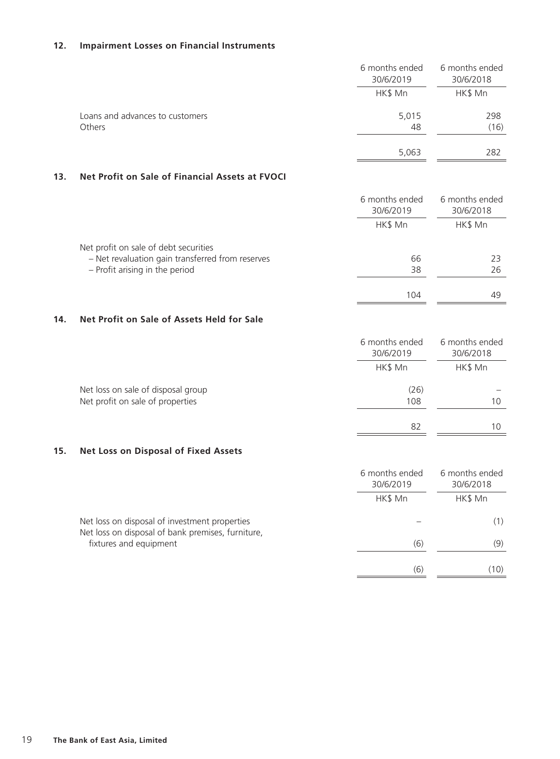### **12. Impairment Losses on Financial Instruments**

|                                 | 6 months ended<br>30/6/2019 | 6 months ended<br>30/6/2018 |
|---------------------------------|-----------------------------|-----------------------------|
|                                 | HK\$ Mn                     | HK\$ Mn                     |
| Loans and advances to customers | 5,015                       | 298                         |
| Others                          | 48                          | (16)                        |
|                                 | 5,063                       | 282                         |

### **13. Net Profit on Sale of Financial Assets at FVOCI**

|                                                  | 6 months ended<br>30/6/2019 | 6 months ended<br>30/6/2018 |
|--------------------------------------------------|-----------------------------|-----------------------------|
|                                                  | HK\$ Mn                     | HK\$ Mn                     |
| Net profit on sale of debt securities            |                             |                             |
| - Net revaluation gain transferred from reserves | 66                          | 23                          |
| - Profit arising in the period                   | 38                          | 26                          |
|                                                  | 104                         | 49                          |

### **14. Net Profit on Sale of Assets Held for Sale**

|                                                                        | 6 months ended<br>30/6/2019 | 6 months ended<br>30/6/2018 |
|------------------------------------------------------------------------|-----------------------------|-----------------------------|
|                                                                        | HK\$ Mn                     | HK\$ Mn                     |
| Net loss on sale of disposal group<br>Net profit on sale of properties | (26)<br>108                 | 10                          |
|                                                                        | 82                          | 10                          |

### **15. Net Loss on Disposal of Fixed Assets**

|                                                                                                    | 6 months ended<br>30/6/2019 | 6 months ended<br>30/6/2018 |
|----------------------------------------------------------------------------------------------------|-----------------------------|-----------------------------|
|                                                                                                    | HK\$ Mn                     | HK\$ Mn                     |
| Net loss on disposal of investment properties<br>Net loss on disposal of bank premises, furniture, |                             |                             |
| fixtures and equipment                                                                             | (6)                         | (9)                         |
|                                                                                                    | (6)                         | (10)                        |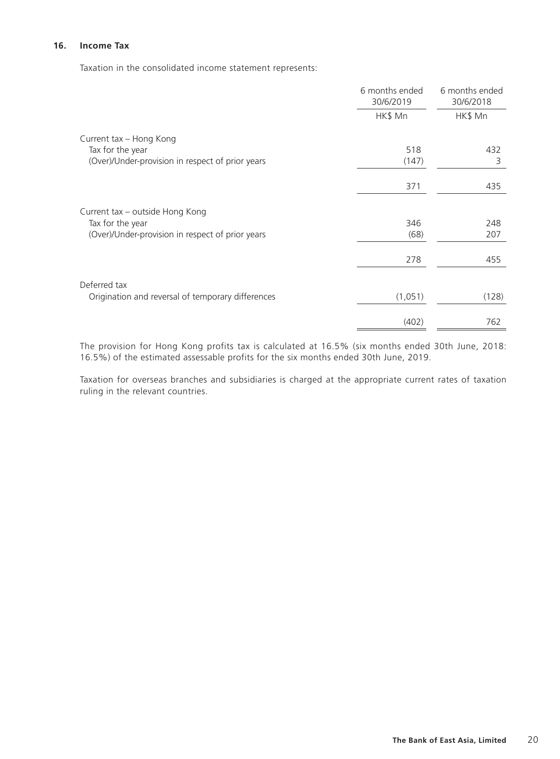#### **16. Income Tax**

Taxation in the consolidated income statement represents:

|                                                   | 6 months ended<br>30/6/2019 | 6 months ended<br>30/6/2018 |
|---------------------------------------------------|-----------------------------|-----------------------------|
|                                                   | HK\$ Mn                     | HK\$ Mn                     |
| Current tax - Hong Kong                           |                             |                             |
| Tax for the year                                  | 518                         | 432                         |
| (Over)/Under-provision in respect of prior years  | (147)                       | 3                           |
|                                                   | 371                         | 435                         |
| Current tax - outside Hong Kong                   |                             |                             |
| Tax for the year                                  | 346                         | 248                         |
| (Over)/Under-provision in respect of prior years  | (68)                        | 207                         |
|                                                   | 278                         | 455                         |
| Deferred tax                                      |                             |                             |
| Origination and reversal of temporary differences | (1,051)                     | (128)                       |
|                                                   | (402)                       | 762                         |

The provision for Hong Kong profits tax is calculated at 16.5% (six months ended 30th June, 2018: 16.5%) of the estimated assessable profits for the six months ended 30th June, 2019.

Taxation for overseas branches and subsidiaries is charged at the appropriate current rates of taxation ruling in the relevant countries.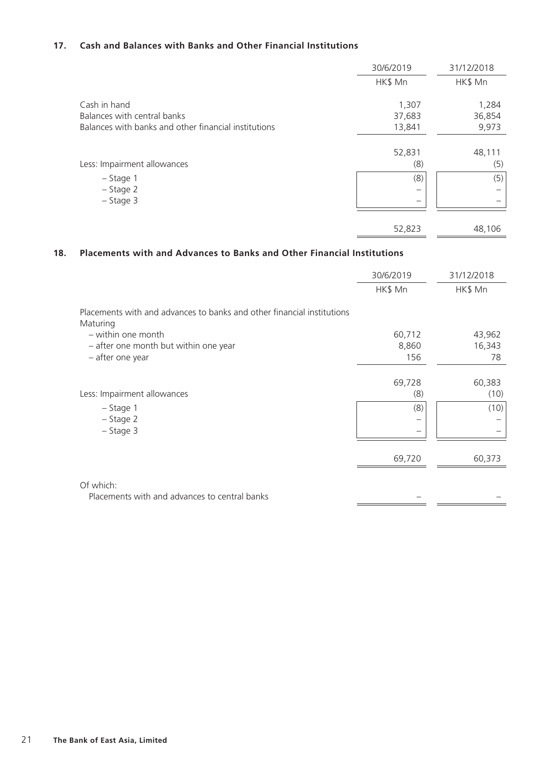### **17. Cash and Balances with Banks and Other Financial Institutions**

|                                                      | 30/6/2019 | 31/12/2018 |
|------------------------------------------------------|-----------|------------|
|                                                      | HK\$ Mn   | HK\$ Mn    |
| Cash in hand                                         | 1,307     | 1,284      |
| Balances with central banks                          | 37,683    | 36,854     |
| Balances with banks and other financial institutions | 13,841    | 9,973      |
|                                                      | 52,831    | 48,111     |
| Less: Impairment allowances                          | (8)       | (5)        |
| $-$ Stage 1                                          | (8)       | (5)        |
| $-$ Stage 2                                          |           |            |
| $-$ Stage 3                                          |           |            |
|                                                      | 52,823    | 48,106     |

### **18. Placements with and Advances to Banks and Other Financial Institutions**

|                                                                                    | 30/6/2019 | 31/12/2018 |
|------------------------------------------------------------------------------------|-----------|------------|
|                                                                                    | HK\$ Mn   | HK\$ Mn    |
| Placements with and advances to banks and other financial institutions<br>Maturing |           |            |
| - within one month                                                                 | 60,712    | 43,962     |
| - after one month but within one year                                              | 8,860     | 16,343     |
| - after one year                                                                   | 156       | 78         |
|                                                                                    |           |            |
|                                                                                    | 69,728    | 60,383     |
| Less: Impairment allowances                                                        | (8)       | (10)       |
| $-$ Stage 1                                                                        | (8)       | (10)       |
| $-$ Stage 2                                                                        |           |            |
| $-$ Stage 3                                                                        |           |            |
|                                                                                    |           |            |
|                                                                                    | 69,720    | 60,373     |
|                                                                                    |           |            |
| Of which:                                                                          |           |            |
| Placements with and advances to central banks                                      |           |            |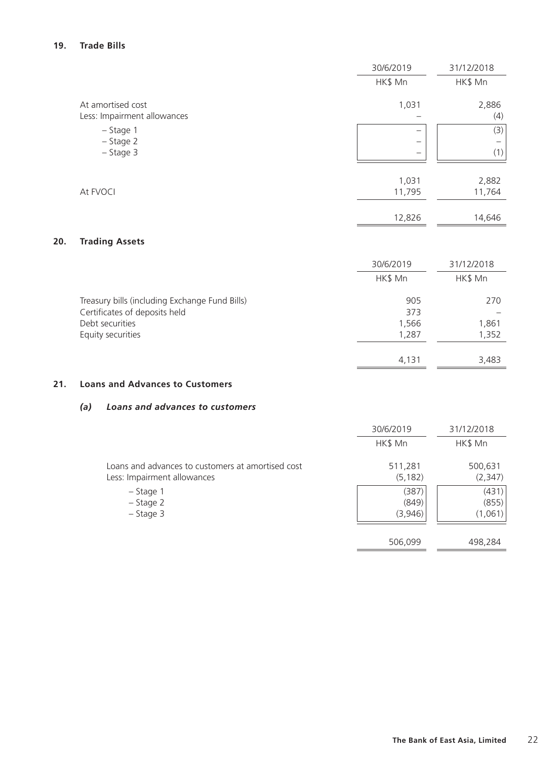|                                                  | 30/6/2019       | 31/12/2018      |
|--------------------------------------------------|-----------------|-----------------|
|                                                  | HK\$ Mn         | HK\$ Mn         |
| At amortised cost<br>Less: Impairment allowances | 1,031           | 2,886<br>(4)    |
| $-$ Stage 1<br>$-$ Stage 2<br>$-$ Stage 3        | –               | (3)<br>(1)      |
| At FVOCI                                         | 1,031<br>11,795 | 2,882<br>11,764 |
|                                                  | 12,826          | 14,646          |

 $\overline{a}$ 

# **20. Trading Assets**

|                                                | 30/6/2019 | 31/12/2018 |
|------------------------------------------------|-----------|------------|
|                                                | HK\$ Mn   | HK\$ Mn    |
| Treasury bills (including Exchange Fund Bills) | 905       | 270        |
| Certificates of deposits held                  | 373       |            |
| Debt securities                                | 1,566     | 1,861      |
| Equity securities                              | 1.287     | 1,352      |
|                                                | 4,131     | 3.483      |

### **21. Loans and Advances to Customers**

### *(a) Loans and advances to customers*

|                                                   | 30/6/2019 | 31/12/2018 |
|---------------------------------------------------|-----------|------------|
|                                                   | HK\$ Mn   | HK\$ Mn    |
| Loans and advances to customers at amortised cost | 511,281   | 500,631    |
| Less: Impairment allowances                       | (5, 182)  | (2, 347)   |
| $-$ Stage 1                                       | (387)     | (431)      |
| $-$ Stage 2                                       | (849)     | (855)      |
| $-$ Stage 3                                       | (3,946)   | (1,061)    |
|                                                   |           |            |
|                                                   | 506,099   | 498,284    |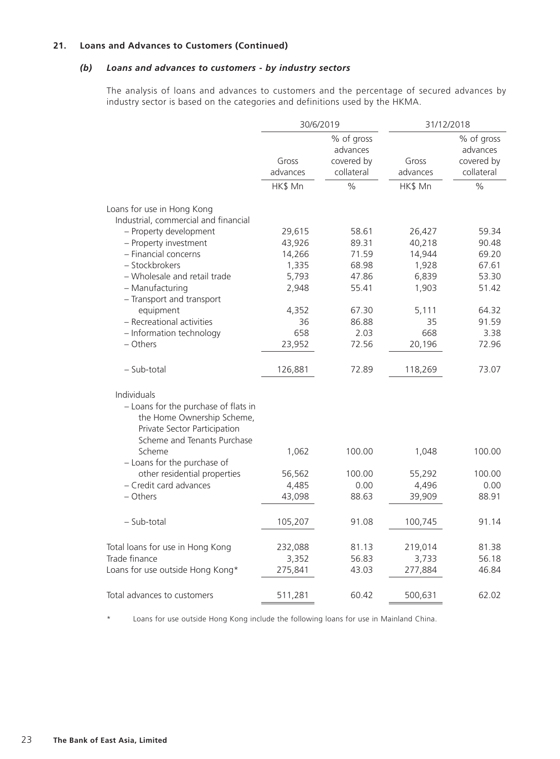### *(b) Loans and advances to customers - by industry sectors*

The analysis of loans and advances to customers and the percentage of secured advances by industry sector is based on the categories and definitions used by the HKMA.

|                                                                                                                                   | 30/6/2019         |                                                    | 31/12/2018        |                                                    |  |
|-----------------------------------------------------------------------------------------------------------------------------------|-------------------|----------------------------------------------------|-------------------|----------------------------------------------------|--|
|                                                                                                                                   | Gross<br>advances | % of gross<br>advances<br>covered by<br>collateral | Gross<br>advances | % of gross<br>advances<br>covered by<br>collateral |  |
|                                                                                                                                   | HK\$ Mn           | $\frac{0}{0}$                                      | HK\$ Mn           | $\frac{0}{0}$                                      |  |
| Loans for use in Hong Kong<br>Industrial, commercial and financial                                                                |                   |                                                    |                   |                                                    |  |
| - Property development                                                                                                            | 29,615            | 58.61                                              | 26,427            | 59.34                                              |  |
| - Property investment                                                                                                             | 43,926            | 89.31                                              | 40,218            | 90.48                                              |  |
| - Financial concerns                                                                                                              | 14,266            | 71.59                                              | 14,944            | 69.20                                              |  |
| - Stockbrokers                                                                                                                    | 1,335             | 68.98                                              | 1,928             | 67.61                                              |  |
| - Wholesale and retail trade                                                                                                      | 5,793             | 47.86                                              | 6,839             | 53.30                                              |  |
| - Manufacturing<br>- Transport and transport                                                                                      | 2,948             | 55.41                                              | 1,903             | 51.42                                              |  |
| equipment                                                                                                                         | 4,352             | 67.30                                              | 5,111             | 64.32                                              |  |
| - Recreational activities                                                                                                         | 36                | 86.88                                              | 35                | 91.59                                              |  |
| - Information technology                                                                                                          | 658               | 2.03                                               | 668               | 3.38                                               |  |
| - Others                                                                                                                          | 23,952            | 72.56                                              | 20,196            | 72.96                                              |  |
| - Sub-total                                                                                                                       | 126,881           | 72.89                                              | 118,269           | 73.07                                              |  |
| Individuals                                                                                                                       |                   |                                                    |                   |                                                    |  |
| - Loans for the purchase of flats in<br>the Home Ownership Scheme,<br>Private Sector Participation<br>Scheme and Tenants Purchase |                   |                                                    |                   |                                                    |  |
| Scheme<br>- Loans for the purchase of                                                                                             | 1,062             | 100.00                                             | 1,048             | 100.00                                             |  |
| other residential properties                                                                                                      | 56,562            | 100.00                                             | 55,292            | 100.00                                             |  |
| - Credit card advances                                                                                                            | 4,485             | 0.00                                               | 4,496             | 0.00                                               |  |
| - Others                                                                                                                          | 43,098            | 88.63                                              | 39,909            | 88.91                                              |  |
| - Sub-total                                                                                                                       | 105,207           | 91.08                                              | 100,745           | 91.14                                              |  |
| Total loans for use in Hong Kong                                                                                                  | 232,088           | 81.13                                              | 219,014           | 81.38                                              |  |
| Trade finance                                                                                                                     | 3,352             | 56.83                                              | 3,733             | 56.18                                              |  |
| Loans for use outside Hong Kong*                                                                                                  | 275,841           | 43.03                                              | 277,884           | 46.84                                              |  |
| Total advances to customers                                                                                                       | 511,281           | 60.42                                              | 500,631           | 62.02                                              |  |

\* Loans for use outside Hong Kong include the following loans for use in Mainland China.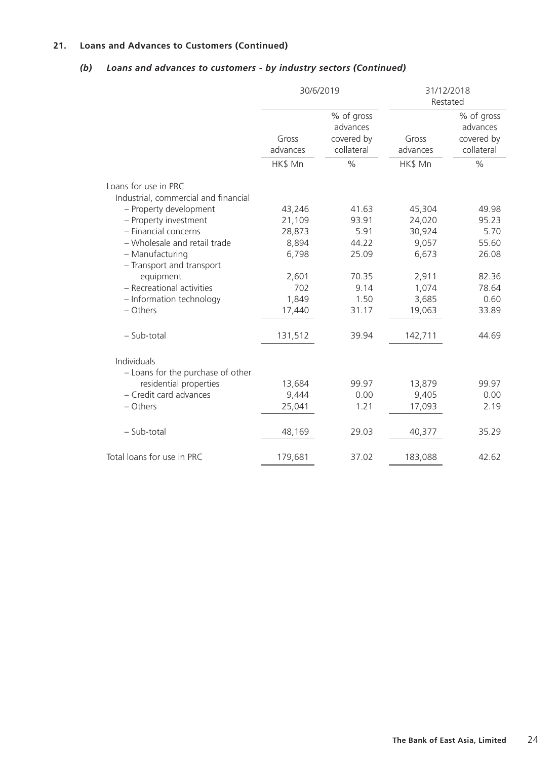# *(b) Loans and advances to customers - by industry sectors (Continued)*

|                                                              |          | 30/6/2019                            | 31/12/2018<br>Restated |                                      |
|--------------------------------------------------------------|----------|--------------------------------------|------------------------|--------------------------------------|
|                                                              | Gross    | % of gross<br>advances<br>covered by | Gross                  | % of gross<br>advances<br>covered by |
|                                                              | advances | collateral                           | advances               | collateral                           |
|                                                              | HK\$ Mn  | $\%$                                 | HK\$ Mn                | $\frac{0}{0}$                        |
| Loans for use in PRC<br>Industrial, commercial and financial |          |                                      |                        |                                      |
| - Property development                                       | 43,246   | 41.63                                | 45,304                 | 49.98                                |
| - Property investment                                        | 21,109   | 93.91                                | 24,020                 | 95.23                                |
| - Financial concerns                                         | 28,873   | 5.91                                 | 30,924                 | 5.70                                 |
| - Wholesale and retail trade                                 | 8,894    | 44.22                                | 9,057                  | 55.60                                |
| - Manufacturing                                              | 6,798    | 25.09                                | 6,673                  | 26.08                                |
| - Transport and transport                                    |          |                                      |                        |                                      |
| equipment                                                    | 2,601    | 70.35                                | 2,911                  | 82.36                                |
| - Recreational activities                                    | 702      | 9.14                                 | 1,074                  | 78.64                                |
| - Information technology                                     | 1,849    | 1.50                                 | 3,685                  | 0.60                                 |
| - Others                                                     | 17,440   | 31.17                                | 19,063                 | 33.89                                |
| - Sub-total                                                  | 131,512  | 39.94                                | 142,711                | 44.69                                |
| Individuals                                                  |          |                                      |                        |                                      |
| - Loans for the purchase of other                            |          |                                      |                        |                                      |
| residential properties                                       | 13,684   | 99.97                                | 13,879                 | 99.97                                |
| - Credit card advances                                       | 9,444    | 0.00                                 | 9,405                  | 0.00                                 |
| - Others                                                     | 25,041   | 1.21                                 | 17,093                 | 2.19                                 |
| - Sub-total                                                  | 48,169   | 29.03                                | 40,377                 | 35.29                                |
| Total loans for use in PRC                                   | 179,681  | 37.02                                | 183,088                | 42.62                                |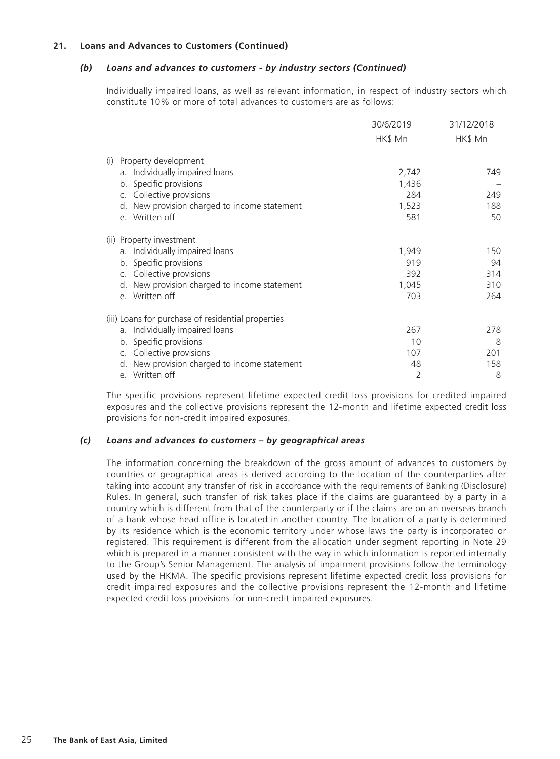#### *(b) Loans and advances to customers - by industry sectors (Continued)*

Individually impaired loans, as well as relevant information, in respect of industry sectors which constitute 10% or more of total advances to customers are as follows:

|                                                    | 30/6/2019 | 31/12/2018 |
|----------------------------------------------------|-----------|------------|
|                                                    | HK\$ Mn   | HK\$ Mn    |
| Property development<br>(i)                        |           |            |
| a. Individually impaired loans                     | 2,742     | 749        |
| b. Specific provisions                             | 1,436     |            |
| c. Collective provisions                           | 284       | 249        |
| d. New provision charged to income statement       | 1,523     | 188        |
| e. Written off                                     | 581       | 50         |
| (ii) Property investment                           |           |            |
| a. Individually impaired loans                     | 1,949     | 150        |
| b. Specific provisions                             | 919       | 94         |
| Collective provisions                              | 392       | 314        |
| d. New provision charged to income statement       | 1,045     | 310        |
| e. Written off                                     | 703       | 264        |
| (iii) Loans for purchase of residential properties |           |            |
| a. Individually impaired loans                     | 267       | 278        |
| b. Specific provisions                             | 10        | 8          |
| c. Collective provisions                           | 107       | 201        |
| d. New provision charged to income statement       | 48        | 158        |
| e. Written off                                     | 2         | 8          |

The specific provisions represent lifetime expected credit loss provisions for credited impaired exposures and the collective provisions represent the 12-month and lifetime expected credit loss provisions for non-credit impaired exposures.

#### *(c) Loans and advances to customers – by geographical areas*

The information concerning the breakdown of the gross amount of advances to customers by countries or geographical areas is derived according to the location of the counterparties after taking into account any transfer of risk in accordance with the requirements of Banking (Disclosure) Rules. In general, such transfer of risk takes place if the claims are guaranteed by a party in a country which is different from that of the counterparty or if the claims are on an overseas branch of a bank whose head office is located in another country. The location of a party is determined by its residence which is the economic territory under whose laws the party is incorporated or registered. This requirement is different from the allocation under segment reporting in Note 29 which is prepared in a manner consistent with the way in which information is reported internally to the Group's Senior Management. The analysis of impairment provisions follow the terminology used by the HKMA. The specific provisions represent lifetime expected credit loss provisions for credit impaired exposures and the collective provisions represent the 12-month and lifetime expected credit loss provisions for non-credit impaired exposures.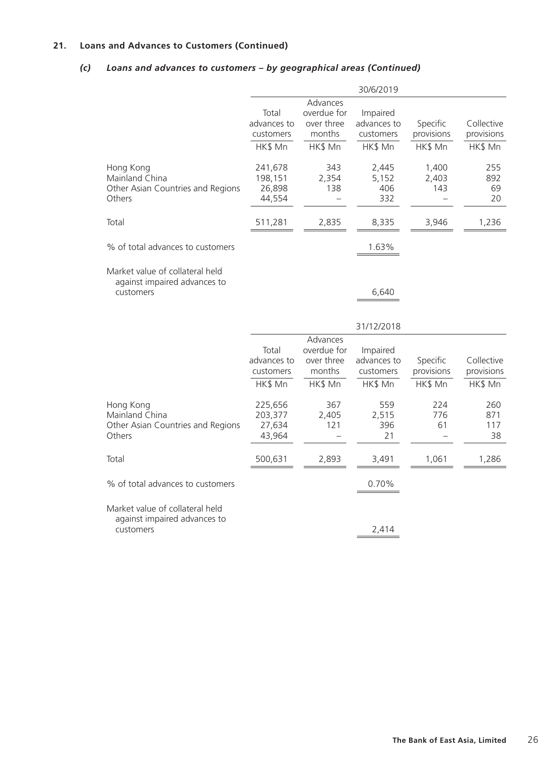# *(c) Loans and advances to customers – by geographical areas (Continued)*

|                                                                              |                                              |                                                            | 30/6/2019                                       |                                   |                                     |
|------------------------------------------------------------------------------|----------------------------------------------|------------------------------------------------------------|-------------------------------------------------|-----------------------------------|-------------------------------------|
|                                                                              | Total<br>advances to<br>customers<br>HK\$ Mn | Advances<br>overdue for<br>over three<br>months<br>HK\$ Mn | Impaired<br>advances to<br>customers<br>HK\$ Mn | Specific<br>provisions<br>HK\$ Mn | Collective<br>provisions<br>HK\$ Mn |
| Hong Kong<br>Mainland China<br>Other Asian Countries and Regions<br>Others   | 241,678<br>198,151<br>26,898<br>44,554       | 343<br>2,354<br>138                                        | 2,445<br>5,152<br>406<br>332                    | 1,400<br>2,403<br>143             | 255<br>892<br>69<br>20              |
| Total                                                                        | 511,281                                      | 2,835                                                      | 8,335                                           | 3,946                             | 1,236                               |
| % of total advances to customers                                             |                                              |                                                            | 1.63%                                           |                                   |                                     |
| Market value of collateral held<br>against impaired advances to<br>customers |                                              |                                                            | 6,640                                           |                                   |                                     |
|                                                                              |                                              |                                                            | 31/12/2018                                      |                                   |                                     |
|                                                                              | Total<br>advances to<br>customers<br>HK\$ Mn | Advances<br>overdue for<br>over three<br>months<br>HK\$ Mn | Impaired<br>advances to<br>customers<br>HK\$ Mn | Specific<br>provisions<br>HK\$ Mn | Collective<br>provisions<br>HK\$ Mn |
| Hong Kong<br>Mainland China<br>Other Asian Countries and Regions<br>Others   | 225,656<br>203,377<br>27,634<br>43,964       | 367<br>2,405<br>121                                        | 559<br>2,515<br>396<br>21                       | 224<br>776<br>61                  | 260<br>871<br>117<br>38             |
| Total                                                                        | 500,631                                      | 2,893                                                      | 3,491                                           | 1,061                             | 1,286                               |
| % of total advances to customers                                             |                                              |                                                            | 0.70%                                           |                                   |                                     |
| Market value of collateral held<br>against impaired advances to<br>customers |                                              |                                                            | 2,414                                           |                                   |                                     |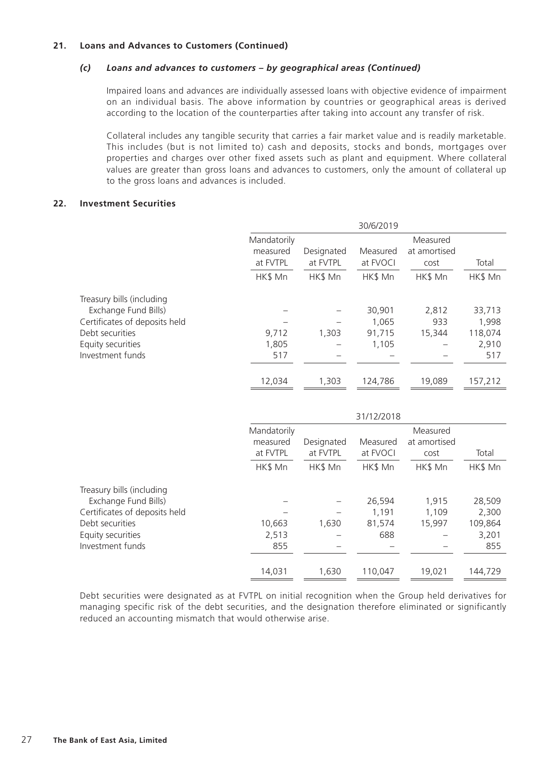#### *(c) Loans and advances to customers – by geographical areas (Continued)*

Impaired loans and advances are individually assessed loans with objective evidence of impairment on an individual basis. The above information by countries or geographical areas is derived according to the location of the counterparties after taking into account any transfer of risk.

Collateral includes any tangible security that carries a fair market value and is readily marketable. This includes (but is not limited to) cash and deposits, stocks and bonds, mortgages over properties and charges over other fixed assets such as plant and equipment. Where collateral values are greater than gross loans and advances to customers, only the amount of collateral up to the gross loans and advances is included.

#### **22. Investment Securities**

|                               |                         |            | 30/6/2019 |                          |         |
|-------------------------------|-------------------------|------------|-----------|--------------------------|---------|
|                               | Mandatorily<br>measured | Designated | Measured  | Measured<br>at amortised |         |
|                               | at FVTPL                | at FVTPL   | at FVOCI  | cost                     | Total   |
|                               | HK\$ Mn                 | HK\$ Mn    | HK\$ Mn   | HK\$ Mn                  | HK\$ Mn |
| Treasury bills (including     |                         |            |           |                          |         |
| Exchange Fund Bills)          |                         |            | 30,901    | 2,812                    | 33,713  |
| Certificates of deposits held |                         |            | 1,065     | 933                      | 1,998   |
| Debt securities               | 9,712                   | 1,303      | 91,715    | 15,344                   | 118,074 |
| Equity securities             | 1,805                   |            | 1,105     |                          | 2,910   |
| Investment funds              | 517                     |            |           |                          | 517     |
|                               | 12,034                  | 1.303      | 124,786   | 19.089                   | 157,212 |

|                               |             |            | 31/12/2018 |              |         |
|-------------------------------|-------------|------------|------------|--------------|---------|
|                               | Mandatorily |            |            | Measured     |         |
|                               | measured    | Designated | Measured   | at amortised |         |
|                               | at FVTPL    | at FVTPL   | at FVOCI   | cost         | Total   |
|                               | HK\$ Mn     | HK\$ Mn    | HK\$ Mn    | HK\$ Mn      | HK\$ Mn |
| Treasury bills (including     |             |            |            |              |         |
| Exchange Fund Bills)          |             |            | 26,594     | 1,915        | 28,509  |
| Certificates of deposits held |             |            | 1.191      | 1.109        | 2,300   |
| Debt securities               | 10,663      | 1,630      | 81,574     | 15.997       | 109,864 |
| Equity securities             | 2,513       |            | 688        |              | 3,201   |
| Investment funds              | 855         |            |            |              | 855     |
|                               |             |            |            |              |         |
|                               | 14,031      | 1.630      | 110.047    | 19.021       | 144.729 |

Debt securities were designated as at FVTPL on initial recognition when the Group held derivatives for managing specific risk of the debt securities, and the designation therefore eliminated or significantly reduced an accounting mismatch that would otherwise arise.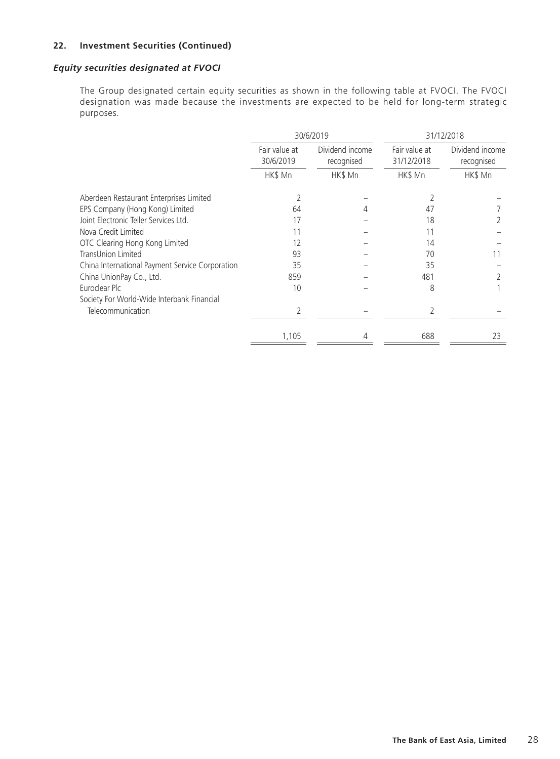### **22. Investment Securities (Continued)**

### *Equity securities designated at FVOCI*

The Group designated certain equity securities as shown in the following table at FVOCI. The FVOCI designation was made because the investments are expected to be held for long-term strategic purposes.

|                                                 |                            | 30/6/2019                     | 31/12/2018                  |                               |  |  |
|-------------------------------------------------|----------------------------|-------------------------------|-----------------------------|-------------------------------|--|--|
|                                                 | Fair value at<br>30/6/2019 | Dividend income<br>recognised | Fair value at<br>31/12/2018 | Dividend income<br>recognised |  |  |
|                                                 | HK\$ Mn                    | HK\$ Mn                       | HK\$ Mn                     | HK\$ Mn                       |  |  |
| Aberdeen Restaurant Enterprises Limited         |                            |                               |                             |                               |  |  |
| EPS Company (Hong Kong) Limited                 | 64                         |                               | 47                          |                               |  |  |
| Joint Electronic Teller Services Ltd.           | 17                         |                               | 18                          |                               |  |  |
| Nova Credit Limited                             | 11                         |                               | 11                          |                               |  |  |
| OTC Clearing Hong Kong Limited                  | 12                         |                               | 14                          |                               |  |  |
| TransUnion Limited                              | 93                         |                               | 70                          |                               |  |  |
| China International Payment Service Corporation | 35                         |                               | 35                          |                               |  |  |
| China UnionPay Co., Ltd.                        | 859                        |                               | 481                         |                               |  |  |
| Euroclear Plc                                   | 10                         |                               | 8                           |                               |  |  |
| Society For World-Wide Interbank Financial      |                            |                               |                             |                               |  |  |
| Telecommunication                               | 2                          |                               |                             |                               |  |  |
|                                                 | 1,105                      | 4                             | 688                         | 23                            |  |  |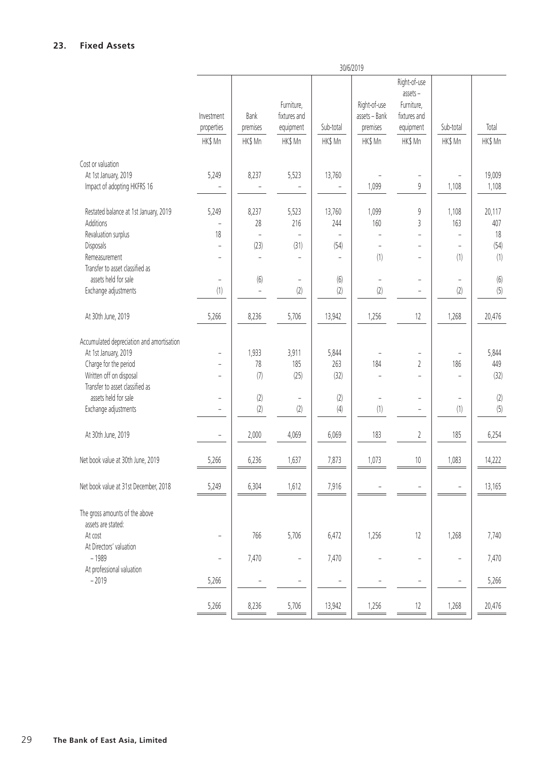|                                           | 30/6/2019                |                  |                                         |           |                                           |                                                                       |                          |         |  |  |  |
|-------------------------------------------|--------------------------|------------------|-----------------------------------------|-----------|-------------------------------------------|-----------------------------------------------------------------------|--------------------------|---------|--|--|--|
|                                           | Investment<br>properties | Bank<br>premises | Furniture,<br>fixtures and<br>equipment | Sub-total | Right-of-use<br>assets - Bank<br>premises | Right-of-use<br>$assets -$<br>Furniture,<br>fixtures and<br>equipment | Sub-total                | Total   |  |  |  |
|                                           | HK\$ Mn                  | HK\$ Mn          | HK\$ Mn                                 | HK\$ Mn   | HK\$ Mn                                   | HK\$ Mn                                                               | HK\$ Mn                  | HK\$ Mn |  |  |  |
|                                           |                          |                  |                                         |           |                                           |                                                                       |                          |         |  |  |  |
| Cost or valuation                         |                          |                  |                                         |           |                                           |                                                                       |                          |         |  |  |  |
| At 1st January, 2019                      | 5,249                    | 8,237            | 5,523                                   | 13,760    |                                           |                                                                       |                          | 19,009  |  |  |  |
| Impact of adopting HKFRS 16               |                          |                  |                                         |           | 1,099                                     | 9                                                                     | 1,108                    | 1,108   |  |  |  |
|                                           |                          |                  |                                         |           |                                           |                                                                       |                          |         |  |  |  |
| Restated balance at 1st January, 2019     | 5,249                    | 8,237            | 5,523                                   | 13,760    | 1,099                                     | 9                                                                     | 1,108                    | 20,117  |  |  |  |
| Additions                                 |                          | 28               | 216                                     | 244       | 160                                       | 3                                                                     | 163                      | 407     |  |  |  |
| Revaluation surplus                       | 18                       | $\overline{a}$   | $\overline{a}$                          |           |                                           | ÷                                                                     | ÷                        | 18      |  |  |  |
| Disposals                                 |                          | (23)             | (31)                                    | (54)      |                                           | ۰                                                                     | $\overline{a}$           | (54)    |  |  |  |
| Remeasurement                             |                          |                  | ÷                                       |           | (1)                                       | ÷.                                                                    | (1)                      | (1)     |  |  |  |
| Transfer to asset classified as           |                          |                  |                                         |           |                                           |                                                                       |                          |         |  |  |  |
| assets held for sale                      | $\overline{\phantom{a}}$ | (6)              | $\overline{\phantom{0}}$                | (6)       | $\overline{a}$                            | $\overline{\phantom{a}}$                                              | $\qquad \qquad -$        | (6)     |  |  |  |
| Exchange adjustments                      | (1)                      |                  | (2)                                     | (2)       | (2)                                       | $\overline{\phantom{0}}$                                              | (2)                      | (5)     |  |  |  |
|                                           |                          |                  |                                         |           |                                           |                                                                       |                          |         |  |  |  |
| At 30th June, 2019                        | 5,266                    | 8,236            | 5,706                                   | 13,942    | 1,256                                     | 12                                                                    | 1,268                    | 20,476  |  |  |  |
|                                           |                          |                  |                                         |           |                                           |                                                                       |                          |         |  |  |  |
| Accumulated depreciation and amortisation |                          |                  |                                         |           |                                           |                                                                       |                          |         |  |  |  |
| At 1st January, 2019                      |                          | 1,933            | 3,911                                   | 5,844     |                                           | $\overline{\phantom{a}}$                                              | $\overline{\phantom{0}}$ | 5,844   |  |  |  |
| Charge for the period                     |                          | 78               | 185                                     | 263       | 184                                       | $\overline{2}$                                                        | 186                      | 449     |  |  |  |
| Written off on disposal                   |                          | (7)              | (25)                                    | (32)      |                                           | $\overline{a}$                                                        |                          | (32)    |  |  |  |
| Transfer to asset classified as           |                          |                  |                                         |           |                                           |                                                                       |                          |         |  |  |  |
| assets held for sale                      | $\overline{a}$           | (2)              | $\overline{\phantom{a}}$                | (2)       | $\overline{a}$                            | $\qquad \qquad -$                                                     | $\overline{\phantom{a}}$ | (2)     |  |  |  |
| Exchange adjustments                      |                          | (2)              | (2)                                     | (4)       | (1)                                       | $\overline{a}$                                                        | (1)                      | (5)     |  |  |  |
|                                           |                          |                  |                                         |           |                                           |                                                                       |                          |         |  |  |  |
| At 30th June, 2019                        |                          | 2,000            | 4,069                                   |           | 183                                       | $\overline{2}$                                                        | 185                      | 6,254   |  |  |  |
|                                           | $\overline{\phantom{a}}$ |                  |                                         | 6,069     |                                           |                                                                       |                          |         |  |  |  |
|                                           |                          |                  |                                         |           |                                           |                                                                       |                          |         |  |  |  |
| Net book value at 30th June, 2019         | 5,266                    | 6,236            | 1,637                                   | 7,873     | 1,073                                     | $10\,$                                                                | 1,083                    | 14,222  |  |  |  |
|                                           |                          |                  |                                         |           |                                           |                                                                       |                          |         |  |  |  |
| Net book value at 31st December, 2018     | 5,249                    | 6,304            | 1,612                                   | 7,916     |                                           |                                                                       |                          | 13,165  |  |  |  |
|                                           |                          |                  |                                         |           |                                           |                                                                       |                          |         |  |  |  |
| The gross amounts of the above            |                          |                  |                                         |           |                                           |                                                                       |                          |         |  |  |  |
| assets are stated:                        |                          |                  |                                         |           |                                           |                                                                       |                          |         |  |  |  |
| At cost                                   | ۰                        | 766              | 5,706                                   | 6,472     | 1,256                                     | 12                                                                    | 1,268                    | 7,740   |  |  |  |
| At Directors' valuation                   |                          |                  |                                         |           |                                           |                                                                       |                          |         |  |  |  |
| $-1989$                                   |                          | 7,470            | $\overline{a}$                          | 7,470     |                                           | $\qquad \qquad -$                                                     |                          | 7,470   |  |  |  |
| At professional valuation                 |                          |                  |                                         |           |                                           |                                                                       |                          |         |  |  |  |
| $-2019$                                   | 5,266                    |                  | $\overline{\phantom{0}}$                | -         |                                           | -                                                                     | $\overline{\phantom{0}}$ | 5,266   |  |  |  |
|                                           |                          |                  |                                         |           |                                           |                                                                       |                          |         |  |  |  |
|                                           | 5,266                    | 8,236            | 5,706                                   | 13,942    | 1,256                                     | 12                                                                    | 1,268                    | 20,476  |  |  |  |
|                                           |                          |                  |                                         |           |                                           |                                                                       |                          |         |  |  |  |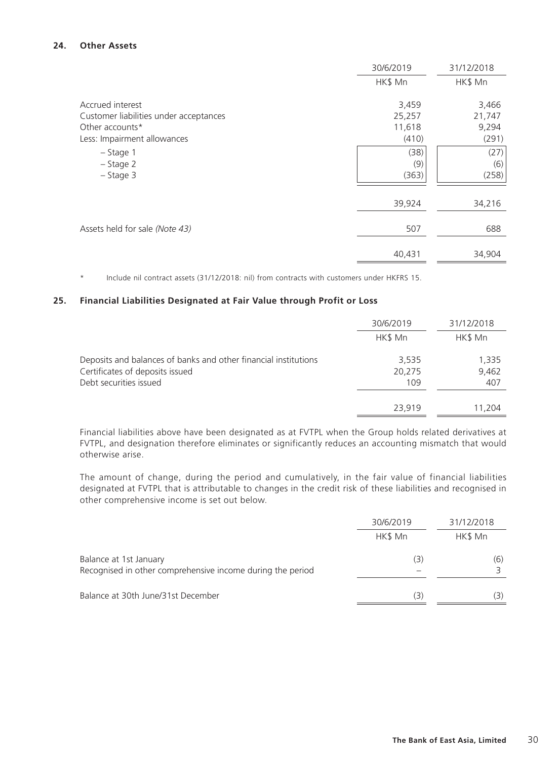### **24. Other Assets**

|                                        | 30/6/2019 | 31/12/2018 |
|----------------------------------------|-----------|------------|
|                                        | HK\$ Mn   | HK\$ Mn    |
| Accrued interest                       | 3,459     | 3,466      |
| Customer liabilities under acceptances | 25,257    | 21,747     |
| Other accounts*                        | 11,618    | 9,294      |
| Less: Impairment allowances            | (410)     | (291)      |
| $-$ Stage 1                            | (38)      | (27)       |
| $-$ Stage 2                            | (9)       | (6)        |
| $-$ Stage 3                            | (363)     | (258)      |
|                                        | 39,924    | 34,216     |
| Assets held for sale (Note 43)         | 507       | 688        |
|                                        | 40,431    | 34,904     |

\* Include nil contract assets (31/12/2018: nil) from contracts with customers under HKFRS 15.

### **25. Financial Liabilities Designated at Fair Value through Profit or Loss**

|                                                                 | 30/6/2019 | 31/12/2018 |
|-----------------------------------------------------------------|-----------|------------|
|                                                                 | HK\$ Mn   | HK\$ Mn    |
| Deposits and balances of banks and other financial institutions | 3,535     | 1,335      |
| Certificates of deposits issued                                 | 20.275    | 9,462      |
| Debt securities issued                                          | 109       | 407        |
|                                                                 |           |            |
|                                                                 | 23,919    | 11.204     |

Financial liabilities above have been designated as at FVTPL when the Group holds related derivatives at FVTPL, and designation therefore eliminates or significantly reduces an accounting mismatch that would otherwise arise.

The amount of change, during the period and cumulatively, in the fair value of financial liabilities designated at FVTPL that is attributable to changes in the credit risk of these liabilities and recognised in other comprehensive income is set out below.

|                                                                                      | 30/6/2019 | 31/12/2018 |  |
|--------------------------------------------------------------------------------------|-----------|------------|--|
|                                                                                      | HK\$ Mn   | HK\$ Mn    |  |
| Balance at 1st January<br>Recognised in other comprehensive income during the period | (3)       | (6)        |  |
| Balance at 30th June/31st December                                                   | (3)       | (3)        |  |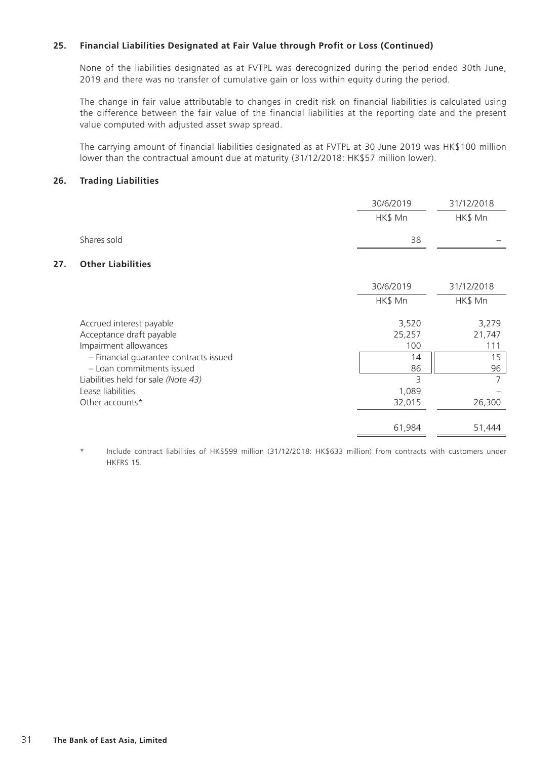### **25. Financial Liabilities Designated at Fair Value through Profit or Loss (Continued)**

None of the liabilities designated as at FVTPL was derecognized during the period ended 30th June, 2019 and there was no transfer of cumulative gain or loss within equity during the period.

The change in fair value attributable to changes in credit risk on financial liabilities is calculated using the difference between the fair value of the financial liabilities at the reporting date and the present value computed with adjusted asset swap spread.

The carrying amount of financial liabilities designated as at FVTPL at 30 June 2019 was HK\$100 million lower than the contractual amount due at maturity (31/12/2018: HK\$57 million lower).

#### **26. Trading Liabilities**

**27.** 

|                                        | 30/6/2019 | 31/12/2018 |
|----------------------------------------|-----------|------------|
|                                        | HK\$ Mn   | HK\$ Mn    |
| Shares sold                            | 38        |            |
| <b>Other Liabilities</b>               |           |            |
|                                        | 30/6/2019 | 31/12/2018 |
|                                        | HK\$ Mn   | HK\$ Mn    |
| Accrued interest payable               | 3,520     | 3,279      |
| Acceptance draft payable               | 25,257    | 21,747     |
| Impairment allowances                  | 100       | 111        |
| - Financial quarantee contracts issued | 14        | 15         |
| - Loan commitments issued              | 86        | 96         |
| Liabilities held for sale (Note 43)    | 3         | 7          |
| Lease liabilities                      | 1,089     |            |
| Other accounts*                        | 32,015    | 26,300     |
|                                        | 61,984    | 51,444     |

Include contract liabilities of HK\$599 million (31/12/2018: HK\$633 million) from contracts with customers under HKFRS 15.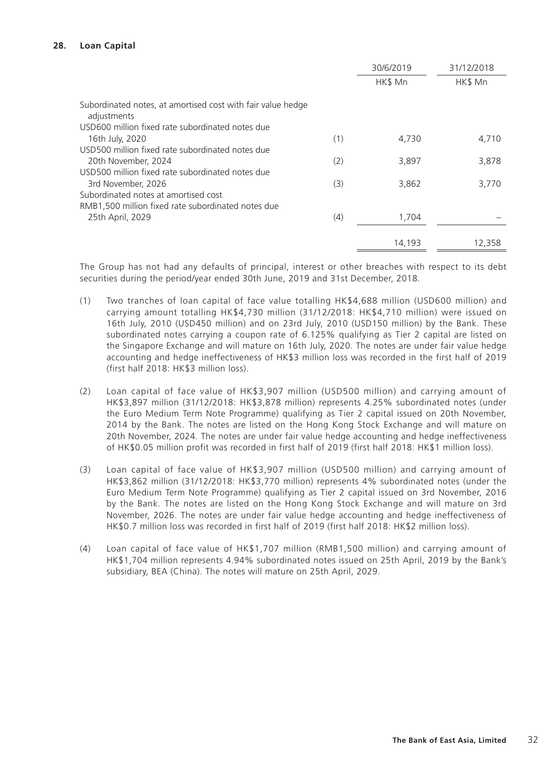### **28. Loan Capital**

|                                                                                                                                |     | 30/6/2019 | 31/12/2018 |
|--------------------------------------------------------------------------------------------------------------------------------|-----|-----------|------------|
|                                                                                                                                |     | HK\$ Mn   | HK\$ Mn    |
| Subordinated notes, at amortised cost with fair value hedge<br>adjustments<br>USD600 million fixed rate subordinated notes due |     |           |            |
| 16th July, 2020                                                                                                                | (1) | 4,730     | 4,710      |
| USD500 million fixed rate subordinated notes due<br>20th November, 2024                                                        | (2) | 3,897     | 3,878      |
| USD500 million fixed rate subordinated notes due<br>3rd November, 2026                                                         | (3) | 3,862     | 3,770      |
| Subordinated notes at amortised cost<br>RMB1,500 million fixed rate subordinated notes due                                     |     |           |            |
| 25th April, 2029                                                                                                               | (4) | 1,704     |            |
|                                                                                                                                |     | 14,193    | 12,358     |

The Group has not had any defaults of principal, interest or other breaches with respect to its debt securities during the period/year ended 30th June, 2019 and 31st December, 2018.

- (1) Two tranches of loan capital of face value totalling HK\$4,688 million (USD600 million) and carrying amount totalling HK\$4,730 million (31/12/2018: HK\$4,710 million) were issued on 16th July, 2010 (USD450 million) and on 23rd July, 2010 (USD150 million) by the Bank. These subordinated notes carrying a coupon rate of 6.125% qualifying as Tier 2 capital are listed on the Singapore Exchange and will mature on 16th July, 2020. The notes are under fair value hedge accounting and hedge ineffectiveness of HK\$3 million loss was recorded in the first half of 2019 (first half 2018: HK\$3 million loss).
- (2) Loan capital of face value of HK\$3,907 million (USD500 million) and carrying amount of HK\$3,897 million (31/12/2018: HK\$3,878 million) represents 4.25% subordinated notes (under the Euro Medium Term Note Programme) qualifying as Tier 2 capital issued on 20th November, 2014 by the Bank. The notes are listed on the Hong Kong Stock Exchange and will mature on 20th November, 2024. The notes are under fair value hedge accounting and hedge ineffectiveness of HK\$0.05 million profit was recorded in first half of 2019 (first half 2018: HK\$1 million loss).
- (3) Loan capital of face value of HK\$3,907 million (USD500 million) and carrying amount of HK\$3,862 million (31/12/2018: HK\$3,770 million) represents 4% subordinated notes (under the Euro Medium Term Note Programme) qualifying as Tier 2 capital issued on 3rd November, 2016 by the Bank. The notes are listed on the Hong Kong Stock Exchange and will mature on 3rd November, 2026. The notes are under fair value hedge accounting and hedge ineffectiveness of HK\$0.7 million loss was recorded in first half of 2019 (first half 2018: HK\$2 million loss).
- (4) Loan capital of face value of HK\$1,707 million (RMB1,500 million) and carrying amount of HK\$1,704 million represents 4.94% subordinated notes issued on 25th April, 2019 by the Bank's subsidiary, BEA (China). The notes will mature on 25th April, 2029.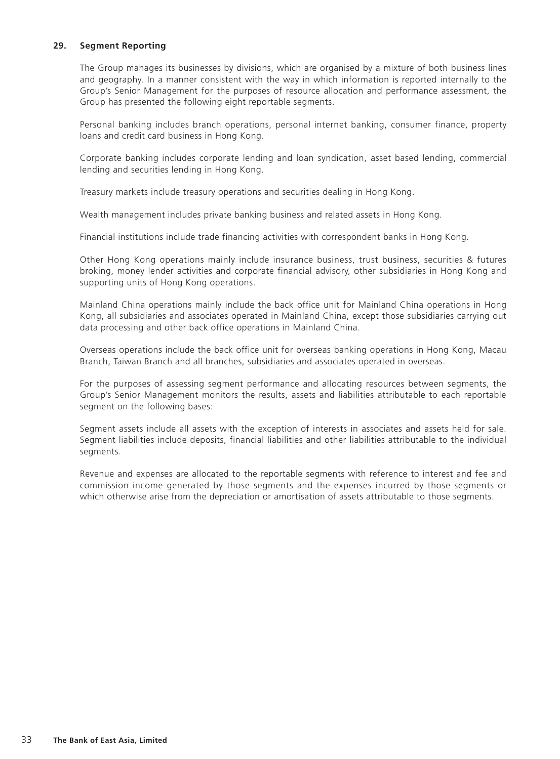### **29. Segment Reporting**

The Group manages its businesses by divisions, which are organised by a mixture of both business lines and geography. In a manner consistent with the way in which information is reported internally to the Group's Senior Management for the purposes of resource allocation and performance assessment, the Group has presented the following eight reportable segments.

Personal banking includes branch operations, personal internet banking, consumer finance, property loans and credit card business in Hong Kong.

Corporate banking includes corporate lending and loan syndication, asset based lending, commercial lending and securities lending in Hong Kong.

Treasury markets include treasury operations and securities dealing in Hong Kong.

Wealth management includes private banking business and related assets in Hong Kong.

Financial institutions include trade financing activities with correspondent banks in Hong Kong.

Other Hong Kong operations mainly include insurance business, trust business, securities & futures broking, money lender activities and corporate financial advisory, other subsidiaries in Hong Kong and supporting units of Hong Kong operations.

Mainland China operations mainly include the back office unit for Mainland China operations in Hong Kong, all subsidiaries and associates operated in Mainland China, except those subsidiaries carrying out data processing and other back office operations in Mainland China.

Overseas operations include the back office unit for overseas banking operations in Hong Kong, Macau Branch, Taiwan Branch and all branches, subsidiaries and associates operated in overseas.

For the purposes of assessing segment performance and allocating resources between segments, the Group's Senior Management monitors the results, assets and liabilities attributable to each reportable segment on the following bases:

Segment assets include all assets with the exception of interests in associates and assets held for sale. Segment liabilities include deposits, financial liabilities and other liabilities attributable to the individual segments.

Revenue and expenses are allocated to the reportable segments with reference to interest and fee and commission income generated by those segments and the expenses incurred by those segments or which otherwise arise from the depreciation or amortisation of assets attributable to those segments.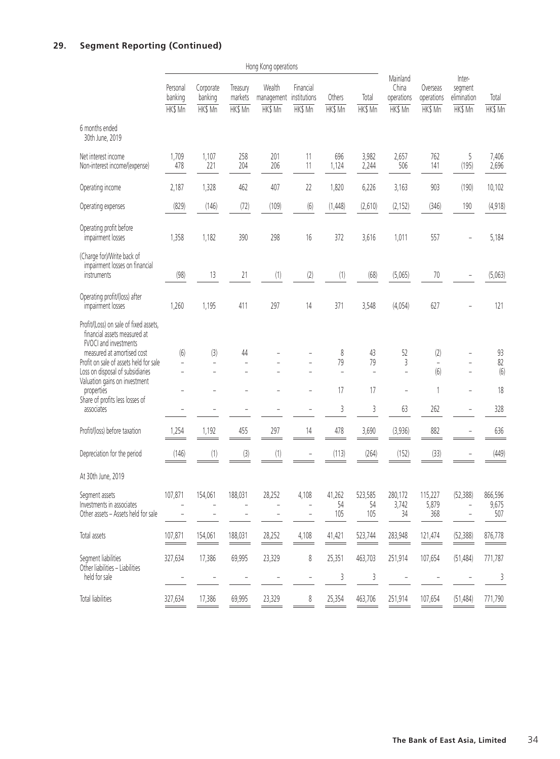# **29. Segment Reporting (Continued)**

|                                                                                                 | Hong Kong operations           |                                 |                                |                                 |                                      |                          |                      |                                            |                                   |                                             |                         |
|-------------------------------------------------------------------------------------------------|--------------------------------|---------------------------------|--------------------------------|---------------------------------|--------------------------------------|--------------------------|----------------------|--------------------------------------------|-----------------------------------|---------------------------------------------|-------------------------|
|                                                                                                 | Personal<br>banking<br>HK\$ Mn | Corporate<br>banking<br>HK\$ Mn | Treasury<br>markets<br>HK\$ Mn | Wealth<br>management<br>HK\$ Mn | Financial<br>institutions<br>HK\$ Mn | Others<br>HK\$ Mn        | Total<br>HK\$ Mn     | Mainland<br>China<br>operations<br>HK\$ Mn | Overseas<br>operations<br>HK\$ Mn | Inter-<br>segment<br>elimination<br>HK\$ Mn | Total<br>HK\$ Mn        |
| 6 months ended<br>30th June, 2019                                                               |                                |                                 |                                |                                 |                                      |                          |                      |                                            |                                   |                                             |                         |
| Net interest income<br>Non-interest income/(expense)                                            | 1,709<br>478                   | 1,107<br>221                    | 258<br>204                     | 201<br>206                      | 11<br>11                             | 696<br>1,124             | 3,982<br>2,244       | 2,657<br>506                               | 762<br>141                        | 5<br>(195)                                  | 7,406<br>2,696          |
| Operating income                                                                                | 2,187                          | 1,328                           | 462                            | 407                             | 22                                   | 1,820                    | 6,226                | 3,163                                      | 903                               | (190)                                       | 10,102                  |
| Operating expenses                                                                              | (829)                          | (146)                           | (72)                           | (109)                           | (6)                                  | (1,448)                  | (2,610)              | (2, 152)                                   | (346)                             | 190                                         | (4,918)                 |
| Operating profit before<br>impairment losses                                                    | 1,358                          | 1,182                           | 390                            | 298                             | 16                                   | 372                      | 3,616                | 1,011                                      | 557                               |                                             | 5,184                   |
| (Charge for)/Write back of<br>impairment losses on financial<br>instruments                     | (98)                           | 13                              | 21                             | (1)                             | (2)                                  | (1)                      | (68)                 | (5,065)                                    | $70\,$                            |                                             | (5,063)                 |
| Operating profit/(loss) after<br>impairment losses                                              | 1,260                          | 1,195                           | 411                            | 297                             | 14                                   | 371                      | 3,548                | (4,054)                                    | 627                               |                                             | 121                     |
| Profit/(Loss) on sale of fixed assets,<br>financial assets measured at<br>FVOCI and investments |                                |                                 |                                |                                 |                                      |                          |                      |                                            |                                   |                                             |                         |
| measured at amortised cost<br>Profit on sale of assets held for sale                            | (6)<br>$\overline{a}$          | (3)<br>$\overline{\phantom{0}}$ | 44<br>$\overline{a}$           |                                 |                                      | 8<br>79                  | 43<br>79             | 52<br>3                                    | (2)<br>$\overline{\phantom{a}}$   |                                             | 93<br>82                |
| Loss on disposal of subsidiaries<br>Valuation gains on investment                               | $\overline{a}$                 | $\overline{\phantom{0}}$        | $\overline{a}$                 |                                 |                                      | $\overline{\phantom{a}}$ | $\overline{a}$       | $\overline{a}$                             | (6)                               |                                             | (6)                     |
| properties<br>Share of profits less losses of                                                   |                                |                                 |                                |                                 |                                      | 17                       | 17                   | ۳                                          | 1                                 |                                             | 18                      |
| associates                                                                                      |                                |                                 |                                |                                 |                                      | 3                        | 3                    | 63                                         | 262                               | $\overline{a}$                              | 328                     |
| Profit/(loss) before taxation                                                                   | 1,254                          | 1,192                           | 455                            | 297                             | 14                                   | 478                      | 3,690                | (3,936)                                    | 882                               |                                             | 636                     |
| Depreciation for the period                                                                     | (146)                          | (1)                             | (3)                            | (1)                             |                                      | (113)                    | (264)                | (152)                                      | (33)                              |                                             | (449)                   |
| At 30th June, 2019                                                                              |                                |                                 |                                |                                 |                                      |                          |                      |                                            |                                   |                                             |                         |
| Segment assets<br>Investments in associates<br>Other assets - Assets held for sale              | 107,871                        | 154,061<br>$\overline{a}$       | 188,031<br>L,                  | 28,252<br>$\overline{a}$        | 4,108<br>$\overline{\phantom{0}}$    | 41,262<br>54<br>105      | 523,585<br>54<br>105 | 280,172<br>3,742<br>34                     | 115,227<br>5,879<br>368           | (52, 388)<br>-                              | 866,596<br>9,675<br>507 |
| Total assets                                                                                    | 107,871                        | 154,061                         | 188,031                        | 28,252                          | 4,108                                | 41,421                   | 523,744              | 283,948                                    | 121,474                           | (52, 388)                                   | 876,778                 |
| Segment liabilities                                                                             | 327,634                        | 17,386                          | 69,995                         | 23,329                          | 8                                    | 25,351                   | 463,703              | 251,914                                    | 107,654                           | (51, 484)                                   | 771,787                 |
| Other liabilities - Liabilities<br>held for sale                                                | -                              | -                               | ÷                              | $\overline{a}$                  | $\overline{\phantom{a}}$             | 3                        | 3                    |                                            |                                   |                                             | 3                       |
| <b>Total liabilities</b>                                                                        | 327,634                        | 17,386                          | 69,995                         | 23,329                          | 8                                    | 25,354                   | 463,706              | 251,914                                    | 107,654                           | (51, 484)                                   | 771,790                 |
|                                                                                                 |                                |                                 |                                |                                 |                                      |                          |                      |                                            |                                   |                                             |                         |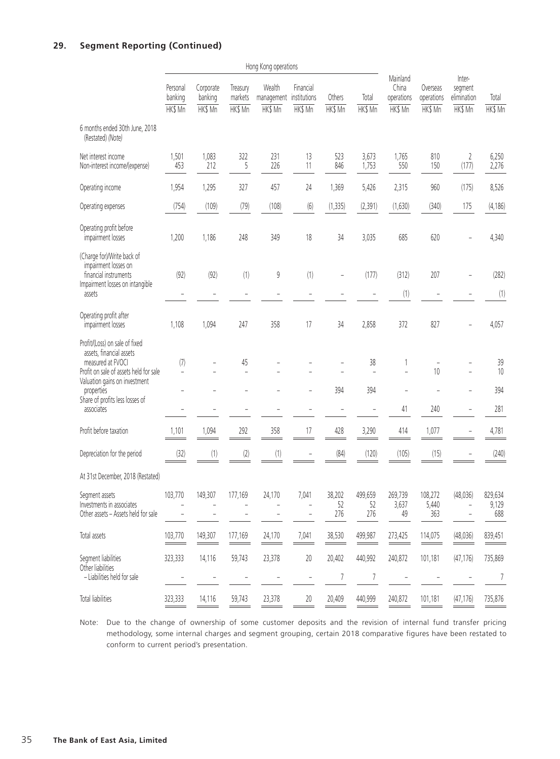|                                                                                                                                                                                                             | Hong Kong operations           |                                 |                                |                                 |                                      |                     |                      |                                            |                                   |                                             |                         |
|-------------------------------------------------------------------------------------------------------------------------------------------------------------------------------------------------------------|--------------------------------|---------------------------------|--------------------------------|---------------------------------|--------------------------------------|---------------------|----------------------|--------------------------------------------|-----------------------------------|---------------------------------------------|-------------------------|
|                                                                                                                                                                                                             | Personal<br>banking<br>HK\$ Mn | Corporate<br>banking<br>HK\$ Mn | Treasury<br>markets<br>HK\$ Mn | Wealth<br>management<br>HK\$ Mn | Financial<br>institutions<br>HK\$ Mn | Others<br>HK\$ Mn   | Total<br>HK\$ Mn     | Mainland<br>China<br>operations<br>HK\$ Mn | Overseas<br>operations<br>HK\$ Mn | Inter-<br>segment<br>elimination<br>HK\$ Mn | Total<br>HK\$ Mn        |
| 6 months ended 30th June, 2018<br>(Restated) (Note)                                                                                                                                                         |                                |                                 |                                |                                 |                                      |                     |                      |                                            |                                   |                                             |                         |
| Net interest income<br>Non-interest income/(expense)                                                                                                                                                        | 1,501<br>453                   | 1,083<br>212                    | 322<br>5                       | 231<br>226                      | 13<br>11                             | 523<br>846          | 3,673<br>1,753       | 1,765<br>550                               | 810<br>150                        | 2<br>(177)                                  | 6,250<br>2,276          |
| Operating income                                                                                                                                                                                            | 1,954                          | 1,295                           | 327                            | 457                             | 24                                   | 1,369               | 5,426                | 2,315                                      | 960                               | (175)                                       | 8,526                   |
| Operating expenses                                                                                                                                                                                          | (754)                          | (109)                           | (79)                           | (108)                           | (6)                                  | (1, 335)            | (2, 391)             | (1,630)                                    | (340)                             | 175                                         | (4, 186)                |
| Operating profit before<br>impairment losses                                                                                                                                                                | 1,200                          | 1,186                           | 248                            | 349                             | 18                                   | 34                  | 3,035                | 685                                        | 620                               |                                             | 4,340                   |
| (Charge for)/Write back of<br>impairment losses on<br>financial instruments<br>Impairment losses on intangible<br>assets                                                                                    | (92)                           | (92)                            | (1)                            | 9                               | (1)                                  | $\overline{a}$      | (177)                | (312)<br>(1)                               | 207                               |                                             | (282)<br>(1)            |
| Operating profit after<br>impairment losses                                                                                                                                                                 | 1,108                          | 1,094                           | 247                            | 358                             | 17                                   | 34                  | 2,858                | 372                                        | 827                               |                                             | 4,057                   |
| Profit/(Loss) on sale of fixed<br>assets, financial assets<br>measured at FVOCI<br>Profit on sale of assets held for sale<br>Valuation gains on investment<br>properties<br>Share of profits less losses of | (7)<br>$\overline{a}$          |                                 | 45                             |                                 |                                      | 394                 | 38<br>394            | 1<br>$\overline{a}$                        | 10                                |                                             | 39<br>10<br>394         |
| associates                                                                                                                                                                                                  |                                |                                 |                                |                                 |                                      |                     |                      | 41                                         | 240                               |                                             | 281                     |
| Profit before taxation                                                                                                                                                                                      | 1,101                          | 1,094                           | 292                            | 358                             | 17                                   | 428                 | 3,290                | 414                                        | 1,077                             |                                             | 4,781                   |
| Depreciation for the period                                                                                                                                                                                 | (32)                           | (1)                             | (2)                            | (1)                             |                                      | (84)                | (120)                | (105)                                      | (15)                              |                                             | (240)                   |
| At 31st December, 2018 (Restated)                                                                                                                                                                           |                                |                                 |                                |                                 |                                      |                     |                      |                                            |                                   |                                             |                         |
| Segment assets<br>Investments in associates<br>Other assets - Assets held for sale                                                                                                                          | 103,770                        | 149,307                         | 177,169                        | 24,170                          | 7,041<br>$\overline{a}$              | 38,202<br>52<br>276 | 499,659<br>52<br>276 | 269,739<br>3,637<br>49                     | 108,272<br>5,440<br>363           | (48, 036)<br>$\qquad \qquad -$              | 829,634<br>9,129<br>688 |
| Total assets                                                                                                                                                                                                | 103,770                        | 149,307                         | 177,169                        | 24,170                          | 7,041                                | 38,530              | 499,987              | 273,425                                    | 114,075                           | (48, 036)                                   | 839,451                 |
| Segment liabilities<br>Other liabilities                                                                                                                                                                    | 323,333                        | 14,116                          | 59,743                         | 23,378                          | $20\,$                               | 20,402              | 440,992              | 240,872                                    | 101,181                           | (47, 176)                                   | 735,869                 |
| - Liabilities held for sale                                                                                                                                                                                 |                                |                                 |                                |                                 | $\qquad \qquad -$                    | 7                   | 7                    |                                            |                                   |                                             | 7                       |
| Total liabilities                                                                                                                                                                                           | 323,333                        | 14,116                          | 59,743                         | 23,378                          | $20\,$                               | 20,409              | 440,999              | 240,872                                    | 101,181                           | (47, 176)                                   | 735,876                 |

Note: Due to the change of ownership of some customer deposits and the revision of internal fund transfer pricing methodology, some internal charges and segment grouping, certain 2018 comparative figures have been restated to conform to current period's presentation.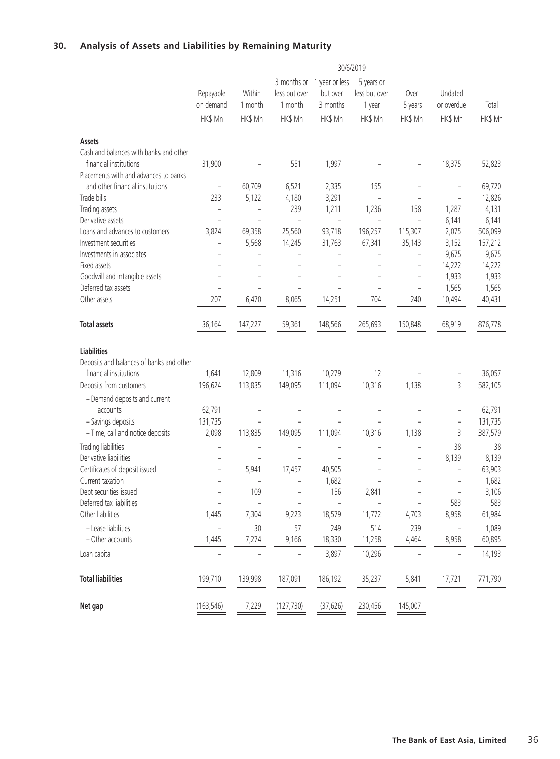# **30. Analysis of Assets and Liabilities by Remaining Maturity**

|                                                                                                           |                          |                   |                          | 30/6/2019                                          |                                       |                          |                          |                 |
|-----------------------------------------------------------------------------------------------------------|--------------------------|-------------------|--------------------------|----------------------------------------------------|---------------------------------------|--------------------------|--------------------------|-----------------|
|                                                                                                           | Repayable<br>on demand   | Within<br>1 month | less but over<br>1 month | 3 months or 1 year or less<br>but over<br>3 months | 5 years or<br>less but over<br>1 year | Over<br>5 years          | Undated<br>or overdue    | Total           |
|                                                                                                           | HK\$ Mn                  | HK\$ Mn           | HK\$ Mn                  | HK\$ Mn                                            | HK\$ Mn                               | HK\$ Mn                  | HK\$ Mn                  | HK\$ Mn         |
| Assets                                                                                                    |                          |                   |                          |                                                    |                                       |                          |                          |                 |
| Cash and balances with banks and other<br>financial institutions<br>Placements with and advances to banks | 31,900                   |                   | 551                      | 1,997                                              |                                       |                          | 18,375                   | 52,823          |
| and other financial institutions                                                                          | $\overline{\phantom{0}}$ | 60,709            | 6,521                    | 2,335                                              | 155                                   |                          |                          | 69,720          |
| Trade bills                                                                                               | 233                      | 5,122             | 4,180                    | 3,291                                              | $\overline{\phantom{0}}$              |                          | $\overline{a}$           | 12,826          |
| Trading assets                                                                                            |                          |                   | 239                      | 1,211                                              | 1,236                                 | 158                      | 1,287                    | 4,131           |
| Derivative assets                                                                                         | $\overline{\phantom{0}}$ |                   | $\qquad \qquad -$        |                                                    | $\qquad \qquad -$                     | $\overline{\phantom{0}}$ | 6,141                    | 6,141           |
| Loans and advances to customers                                                                           | 3,824                    | 69,358            | 25,560                   | 93,718                                             | 196,257                               | 115,307                  | 2,075                    | 506,099         |
| Investment securities                                                                                     | $\overline{a}$           | 5,568             | 14,245                   | 31,763                                             | 67,341                                | 35,143                   | 3,152                    | 157,212         |
| Investments in associates<br>Fixed assets                                                                 |                          |                   |                          |                                                    |                                       |                          | 9,675<br>14,222          | 9,675<br>14,222 |
| Goodwill and intangible assets                                                                            |                          |                   | $\overline{a}$           |                                                    |                                       |                          | 1,933                    | 1,933           |
| Deferred tax assets                                                                                       | $\overline{a}$           |                   | -                        |                                                    | $\overline{\phantom{0}}$              | $\overline{\phantom{0}}$ | 1,565                    | 1,565           |
| Other assets                                                                                              | 207                      | 6,470             | 8,065                    | 14,251                                             | 704                                   | 240                      | 10,494                   | 40,431          |
| <b>Total assets</b>                                                                                       | 36,164                   | 147,227           | 59,361                   | 148,566                                            | 265,693                               | 150,848                  | 68,919                   | 876,778         |
| <b>Liabilities</b>                                                                                        |                          |                   |                          |                                                    |                                       |                          |                          |                 |
| Deposits and balances of banks and other                                                                  |                          |                   |                          |                                                    |                                       |                          |                          |                 |
| financial institutions                                                                                    | 1,641                    | 12,809            | 11,316                   | 10,279                                             | 12                                    |                          | -                        | 36,057          |
| Deposits from customers                                                                                   | 196,624                  | 113,835           | 149,095                  | 111,094                                            | 10,316                                | 1,138                    | 3                        | 582,105         |
| - Demand deposits and current                                                                             |                          |                   |                          |                                                    |                                       |                          |                          |                 |
| accounts                                                                                                  | 62,791                   |                   |                          |                                                    |                                       |                          | -                        | 62,791          |
| - Savings deposits                                                                                        | 131,735                  |                   |                          |                                                    |                                       |                          | -                        | 131,735         |
| - Time, call and notice deposits                                                                          | 2,098                    | 113,835           | 149,095                  | 111,094                                            | 10,316                                | 1,138                    | 3                        | 387,579         |
| Trading liabilities                                                                                       |                          |                   |                          |                                                    |                                       |                          | 38                       | 38              |
| Derivative liabilities                                                                                    |                          |                   |                          |                                                    |                                       |                          | 8,139                    | 8,139           |
| Certificates of deposit issued<br>Current taxation                                                        |                          | 5,941             | 17,457                   | 40,505<br>1,682                                    |                                       |                          | $\overline{a}$           | 63,903          |
| Debt securities issued                                                                                    | $\qquad \qquad -$        | 109               | $\qquad \qquad -$        | 156                                                | 2,841                                 |                          | $\qquad \qquad -$        | 1,682<br>3,106  |
| Deferred tax liabilities                                                                                  |                          |                   |                          |                                                    |                                       |                          | 583                      | 583             |
| Other liabilities                                                                                         | 1,445                    | 7,304             | 9,223                    | 18,579                                             | 11,772                                | 4,703                    | 8,958                    | 61,984          |
| - Lease liabilities                                                                                       |                          | 30                | 57                       | 249                                                | 514                                   | 239                      |                          | 1,089           |
| - Other accounts                                                                                          | 1,445                    | 7,274             | 9,166                    | 18,330                                             | 11,258                                | 4,464                    | 8,958                    | 60,895          |
| Loan capital                                                                                              |                          |                   |                          | 3,897                                              | 10,296                                |                          | $\overline{\phantom{0}}$ | 14,193          |
|                                                                                                           |                          |                   |                          |                                                    |                                       |                          |                          |                 |
| <b>Total liabilities</b>                                                                                  | 199,710                  | 139,998           | 187,091                  | 186,192                                            | 35,237                                | 5,841                    | 17,721                   | 771,790         |
| Net gap                                                                                                   | (163, 546)               | 7,229             | (127, 730)               | (37, 626)                                          | 230,456                               | 145,007                  |                          |                 |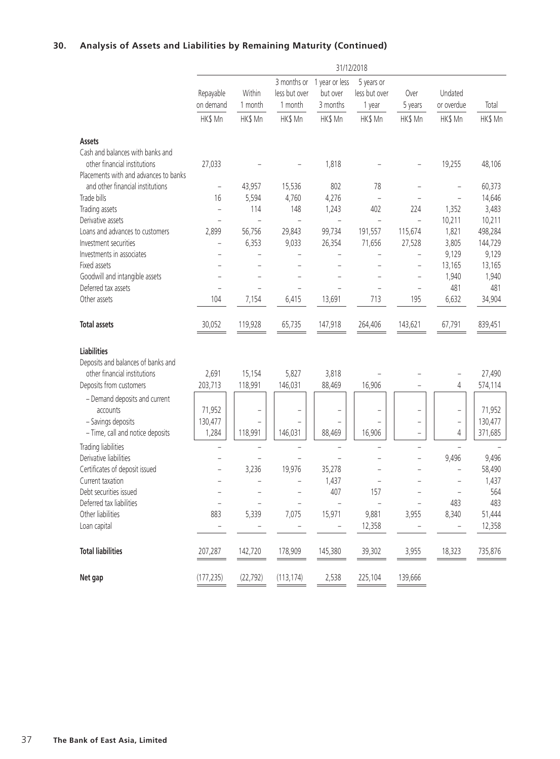# **30. Analysis of Assets and Liabilities by Remaining Maturity (Continued)**

|                                            |                          |                   |                                 | 31/12/2018                                         |                                       |                               |                          |                    |
|--------------------------------------------|--------------------------|-------------------|---------------------------------|----------------------------------------------------|---------------------------------------|-------------------------------|--------------------------|--------------------|
|                                            | Repayable<br>on demand   | Within<br>1 month | less but over<br>1 month        | 3 months or 1 year or less<br>but over<br>3 months | 5 years or<br>less but over<br>1 year | Over<br>5 years               | Undated<br>or overdue    | Total              |
|                                            | HK\$ Mn                  | HK\$ Mn           | HK\$ Mn                         | HK\$ Mn                                            | HK\$ Mn                               | HK\$ Mn                       | HK\$ Mn                  | HK\$ Mn            |
| Assets                                     |                          |                   |                                 |                                                    |                                       |                               |                          |                    |
| Cash and balances with banks and           |                          |                   |                                 |                                                    |                                       |                               |                          |                    |
| other financial institutions               | 27,033                   |                   |                                 | 1,818                                              |                                       |                               | 19,255                   | 48,106             |
| Placements with and advances to banks      |                          |                   |                                 |                                                    |                                       |                               |                          |                    |
| and other financial institutions           | $\overline{\phantom{0}}$ | 43,957            | 15,536                          | 802                                                | 78                                    |                               |                          | 60,373             |
| Trade bills                                | 16                       | 5,594             | 4,760                           | 4,276                                              |                                       |                               | $\overline{\phantom{0}}$ | 14,646             |
| Trading assets<br>Derivative assets        | -<br>-                   | 114               | 148<br>$\overline{\phantom{0}}$ | 1,243<br>$\overline{\phantom{0}}$                  | 402<br>$\overline{a}$                 | 224<br>$\overline{a}$         | 1,352<br>10,211          | 3,483<br>10,211    |
| Loans and advances to customers            | 2,899                    | 56,756            | 29,843                          | 99,734                                             | 191,557                               | 115,674                       | 1,821                    | 498,284            |
| Investment securities                      |                          | 6,353             | 9,033                           | 26,354                                             | 71,656                                | 27,528                        | 3,805                    | 144,729            |
| Investments in associates                  |                          |                   |                                 |                                                    |                                       |                               | 9,129                    | 9,129              |
| Fixed assets                               |                          |                   |                                 |                                                    |                                       |                               | 13,165                   | 13,165             |
| Goodwill and intangible assets             | $\overline{a}$           |                   | $\overline{\phantom{0}}$        |                                                    |                                       | $\overline{a}$                | 1,940                    | 1,940              |
| Deferred tax assets                        | $\overline{a}$           |                   | $\overline{a}$                  |                                                    |                                       |                               | 481                      | 481                |
| Other assets                               | 104                      | 7,154             | 6,415                           | 13,691                                             | 713                                   | 195                           | 6,632                    | 34,904             |
|                                            |                          |                   |                                 |                                                    |                                       |                               |                          |                    |
| <b>Total assets</b>                        | 30,052                   | 119,928           | 65,735                          | 147,918                                            | 264,406                               | 143,621                       | 67,791                   | 839,451            |
| <b>Liabilities</b>                         |                          |                   |                                 |                                                    |                                       |                               |                          |                    |
| Deposits and balances of banks and         |                          |                   |                                 |                                                    |                                       |                               |                          |                    |
| other financial institutions               | 2,691                    | 15,154            | 5,827                           | 3,818                                              |                                       |                               | -                        | 27,490             |
| Deposits from customers                    | 203,713                  | 118,991           | 146,031                         | 88,469                                             | 16,906                                |                               | 4                        | 574,114            |
|                                            |                          |                   |                                 |                                                    |                                       |                               |                          |                    |
| - Demand deposits and current              |                          |                   |                                 |                                                    |                                       |                               |                          |                    |
| accounts<br>- Savings deposits             | 71,952<br>130,477        |                   |                                 |                                                    |                                       | $\qquad \qquad -$             | -                        | 71,952             |
| - Time, call and notice deposits           | 1,284                    | 118,991           | 146,031                         | 88,469                                             | 16,906                                | -<br>$\overline{\phantom{0}}$ | -<br>4                   | 130,477<br>371,685 |
|                                            |                          |                   |                                 |                                                    |                                       |                               |                          |                    |
| Trading liabilities                        |                          |                   |                                 |                                                    |                                       |                               |                          |                    |
| Derivative liabilities                     |                          |                   |                                 |                                                    |                                       | -                             | 9,496                    | 9,496              |
| Certificates of deposit issued             |                          | 3,236             | 19,976                          | 35,278<br>1,437                                    |                                       |                               |                          | 58,490             |
| Current taxation<br>Debt securities issued |                          |                   |                                 | 407                                                | 157                                   |                               |                          | 1,437<br>564       |
| Deferred tax liabilities                   |                          |                   | -                               |                                                    |                                       |                               | $\qquad \qquad -$<br>483 | 483                |
| Other liabilities                          | 883                      | 5,339             | 7,075                           | 15,971                                             | 9,881                                 | 3,955                         | 8,340                    |                    |
| Loan capital                               | $\overline{\phantom{0}}$ |                   |                                 |                                                    | 12,358                                |                               |                          | 51,444<br>12,358   |
|                                            |                          |                   |                                 |                                                    |                                       |                               |                          |                    |
| <b>Total liabilities</b>                   | 207,287                  | 142,720           | 178,909                         | 145,380                                            | 39,302                                | 3,955                         | 18,323                   | 735,876            |
| Net gap                                    | (177, 235)               | (22, 792)         | (113, 174)                      | 2,538                                              | 225,104                               | 139,666                       |                          |                    |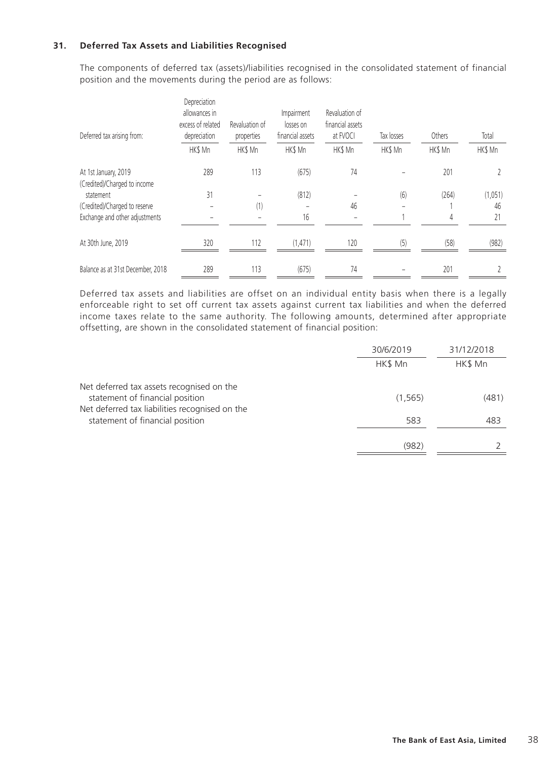#### **31. Deferred Tax Assets and Liabilities Recognised**

The components of deferred tax (assets)/liabilities recognised in the consolidated statement of financial position and the movements during the period are as follows:

| Deferred tax arising from:        | Depreciation<br>allowances in<br>excess of related<br>depreciation<br>HK\$ Mn | Revaluation of<br>properties<br>HK\$ Mn | Impairment<br>losses on<br>financial assets<br>HK\$ Mn | Revaluation of<br>financial assets<br>at FVOCI<br>HK\$ Mn | Tax losses<br>HK\$ Mn | Others<br>HK\$ Mn | Total<br>HK\$ Mn |
|-----------------------------------|-------------------------------------------------------------------------------|-----------------------------------------|--------------------------------------------------------|-----------------------------------------------------------|-----------------------|-------------------|------------------|
|                                   |                                                                               |                                         |                                                        |                                                           |                       |                   |                  |
| At 1st January, 2019              | 289                                                                           | 113                                     | (675)                                                  | 74                                                        |                       | 201               |                  |
| (Credited)/Charged to income      |                                                                               |                                         |                                                        |                                                           |                       |                   |                  |
| statement                         | 31                                                                            |                                         | (812)                                                  |                                                           | (6)                   | (264)             | (1,051)          |
| (Credited)/Charged to reserve     |                                                                               | (1)                                     |                                                        | 46                                                        |                       |                   | 46               |
| Exchange and other adjustments    |                                                                               |                                         | 16                                                     |                                                           |                       | 4                 | 21               |
| At 30th June, 2019                | 320                                                                           | 112                                     | (1, 471)                                               | 120                                                       | (5)                   | (58)              | (982)            |
| Balance as at 31st December, 2018 | 289                                                                           | 113                                     | (675)                                                  | 74                                                        |                       | 201               |                  |

Deferred tax assets and liabilities are offset on an individual entity basis when there is a legally enforceable right to set off current tax assets against current tax liabilities and when the deferred income taxes relate to the same authority. The following amounts, determined after appropriate offsetting, are shown in the consolidated statement of financial position:

|                                                                                   | 30/6/2019 | 31/12/2018 |  |
|-----------------------------------------------------------------------------------|-----------|------------|--|
|                                                                                   | HK\$ Mn   | HK\$ Mn    |  |
| Net deferred tax assets recognised on the                                         |           |            |  |
| statement of financial position                                                   | (1, 565)  | (481)      |  |
| Net deferred tax liabilities recognised on the<br>statement of financial position | 583       | 483        |  |
|                                                                                   |           |            |  |
|                                                                                   | (982)     |            |  |
|                                                                                   |           |            |  |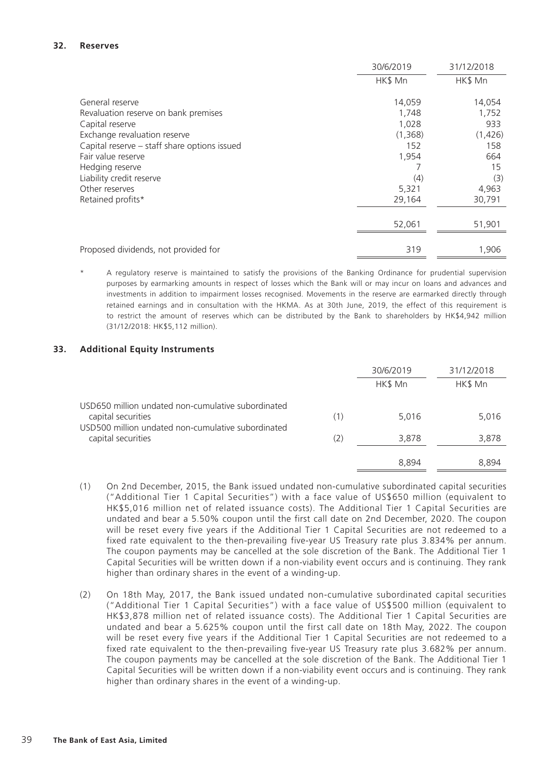#### **32. Reserves**

|                                              | 30/6/2019 | 31/12/2018 |
|----------------------------------------------|-----------|------------|
|                                              | HK\$ Mn   | HK\$ Mn    |
| General reserve                              | 14,059    | 14,054     |
| Revaluation reserve on bank premises         | 1,748     | 1,752      |
| Capital reserve                              | 1,028     | 933        |
| Exchange revaluation reserve                 | (1,368)   | (1,426)    |
| Capital reserve - staff share options issued | 152       | 158        |
| Fair value reserve                           | 1,954     | 664        |
| Hedging reserve                              |           | 15         |
| Liability credit reserve                     | (4)       | (3)        |
| Other reserves                               | 5,321     | 4,963      |
| Retained profits*                            | 29,164    | 30,791     |
|                                              | 52,061    | 51,901     |
|                                              |           |            |
| Proposed dividends, not provided for         | 319       | 1,906      |

A regulatory reserve is maintained to satisfy the provisions of the Banking Ordinance for prudential supervision purposes by earmarking amounts in respect of losses which the Bank will or may incur on loans and advances and investments in addition to impairment losses recognised. Movements in the reserve are earmarked directly through retained earnings and in consultation with the HKMA. As at 30th June, 2019, the effect of this requirement is to restrict the amount of reserves which can be distributed by the Bank to shareholders by HK\$4,942 million (31/12/2018: HK\$5,112 million).

#### **33. Additional Equity Instruments**

|                                                                          |     | 30/6/2019 | 31/12/2018 |
|--------------------------------------------------------------------------|-----|-----------|------------|
|                                                                          |     | HK\$ Mn   | HK\$ Mn    |
| USD650 million undated non-cumulative subordinated                       |     |           |            |
| capital securities                                                       | (1) | 5.016     | 5,016      |
| USD500 million undated non-cumulative subordinated<br>capital securities | (2) | 3,878     | 3,878      |
|                                                                          |     | 8.894     | 8.894      |

- (1) On 2nd December, 2015, the Bank issued undated non-cumulative subordinated capital securities ("Additional Tier 1 Capital Securities") with a face value of US\$650 million (equivalent to HK\$5,016 million net of related issuance costs). The Additional Tier 1 Capital Securities are undated and bear a 5.50% coupon until the first call date on 2nd December, 2020. The coupon will be reset every five years if the Additional Tier 1 Capital Securities are not redeemed to a fixed rate equivalent to the then-prevailing five-year US Treasury rate plus 3.834% per annum. The coupon payments may be cancelled at the sole discretion of the Bank. The Additional Tier 1 Capital Securities will be written down if a non-viability event occurs and is continuing. They rank higher than ordinary shares in the event of a winding-up.
- (2) On 18th May, 2017, the Bank issued undated non-cumulative subordinated capital securities ("Additional Tier 1 Capital Securities") with a face value of US\$500 million (equivalent to HK\$3,878 million net of related issuance costs). The Additional Tier 1 Capital Securities are undated and bear a 5.625% coupon until the first call date on 18th May, 2022. The coupon will be reset every five years if the Additional Tier 1 Capital Securities are not redeemed to a fixed rate equivalent to the then-prevailing five-year US Treasury rate plus 3.682% per annum. The coupon payments may be cancelled at the sole discretion of the Bank. The Additional Tier 1 Capital Securities will be written down if a non-viability event occurs and is continuing. They rank higher than ordinary shares in the event of a winding-up.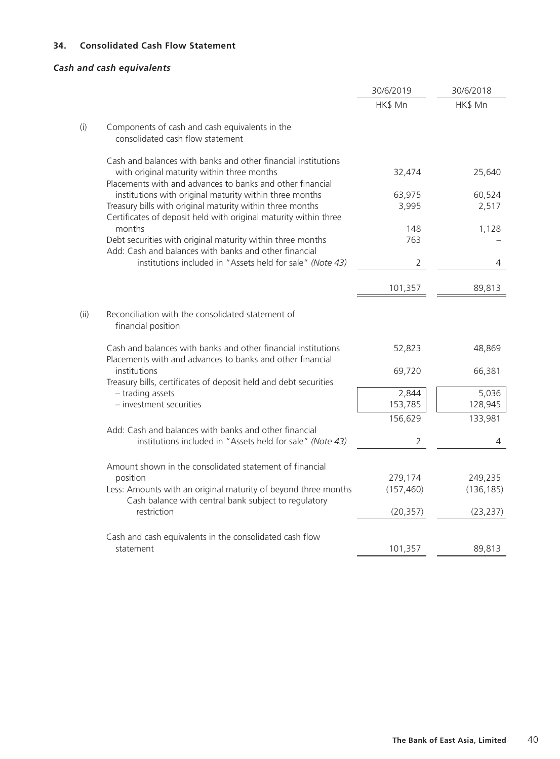## **34. Consolidated Cash Flow Statement**

# *Cash and cash equivalents*

|                                                                                                                               |                                                                                                                                                                          | 30/6/2019      | 30/6/2018  |
|-------------------------------------------------------------------------------------------------------------------------------|--------------------------------------------------------------------------------------------------------------------------------------------------------------------------|----------------|------------|
|                                                                                                                               |                                                                                                                                                                          | HK\$ Mn        | HK\$ Mn    |
| (i)                                                                                                                           | Components of cash and cash equivalents in the<br>consolidated cash flow statement                                                                                       |                |            |
|                                                                                                                               | Cash and balances with banks and other financial institutions<br>with original maturity within three months<br>Placements with and advances to banks and other financial | 32,474         | 25,640     |
|                                                                                                                               | institutions with original maturity within three months                                                                                                                  | 63,975         | 60,524     |
| Treasury bills with original maturity within three months<br>Certificates of deposit held with original maturity within three | 3,995                                                                                                                                                                    | 2,517          |            |
|                                                                                                                               | months                                                                                                                                                                   | 148            | 1,128      |
|                                                                                                                               | Debt securities with original maturity within three months                                                                                                               | 763            |            |
|                                                                                                                               | Add: Cash and balances with banks and other financial<br>institutions included in "Assets held for sale" (Note 43)                                                       | $\overline{2}$ | 4          |
|                                                                                                                               |                                                                                                                                                                          |                |            |
|                                                                                                                               |                                                                                                                                                                          | 101,357        | 89,813     |
| (ii)                                                                                                                          | Reconciliation with the consolidated statement of<br>financial position                                                                                                  |                |            |
|                                                                                                                               | Cash and balances with banks and other financial institutions<br>Placements with and advances to banks and other financial                                               | 52,823         | 48,869     |
|                                                                                                                               | institutions                                                                                                                                                             | 69,720         | 66,381     |
|                                                                                                                               | Treasury bills, certificates of deposit held and debt securities<br>- trading assets                                                                                     | 2,844          | 5,036      |
|                                                                                                                               | - investment securities                                                                                                                                                  | 153,785        | 128,945    |
|                                                                                                                               |                                                                                                                                                                          | 156,629        | 133,981    |
|                                                                                                                               | Add: Cash and balances with banks and other financial                                                                                                                    |                |            |
|                                                                                                                               | institutions included in "Assets held for sale" (Note 43)                                                                                                                | 2              | 4          |
|                                                                                                                               | Amount shown in the consolidated statement of financial                                                                                                                  |                |            |
|                                                                                                                               | position                                                                                                                                                                 | 279,174        | 249,235    |
|                                                                                                                               | Less: Amounts with an original maturity of beyond three months<br>Cash balance with central bank subject to regulatory                                                   | (157, 460)     | (136, 185) |
|                                                                                                                               | restriction                                                                                                                                                              | (20, 357)      | (23, 237)  |
|                                                                                                                               | Cash and cash equivalents in the consolidated cash flow                                                                                                                  |                |            |
|                                                                                                                               | statement                                                                                                                                                                | 101,357        | 89,813     |
|                                                                                                                               |                                                                                                                                                                          |                |            |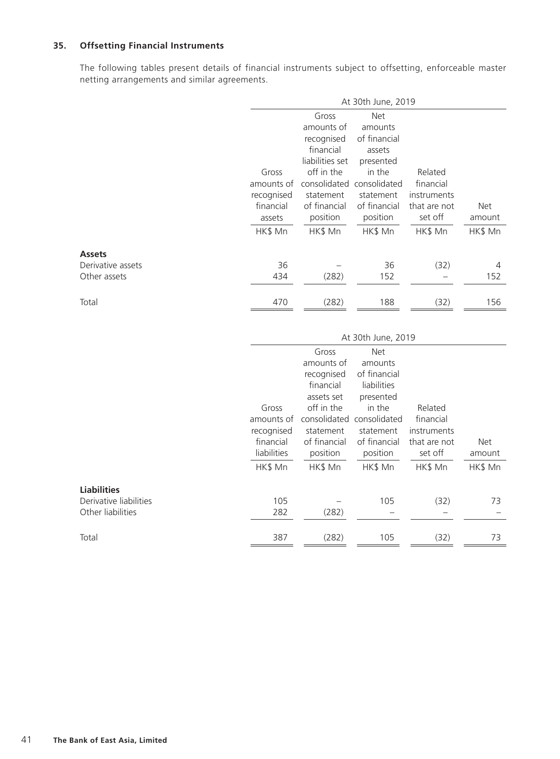# **35. Offsetting Financial Instruments**

The following tables present details of financial instruments subject to offsetting, enforceable master netting arrangements and similar agreements.

|                   | At 30th June, 2019 |                 |                    |              |         |
|-------------------|--------------------|-----------------|--------------------|--------------|---------|
|                   |                    | Gross           | <b>Net</b>         |              |         |
|                   |                    | amounts of      | amounts            |              |         |
|                   |                    | recognised      | of financial       |              |         |
|                   |                    | financial       | assets             |              |         |
|                   |                    | liabilities set | presented          |              |         |
|                   | Gross              | off in the      | in the             | Related      |         |
|                   | amounts of         | consolidated    | consolidated       | financial    |         |
|                   | recognised         | statement       | statement          | instruments  |         |
|                   | financial          | of financial    | of financial       | that are not | Net     |
|                   | assets             | position        | position           | set off      | amount  |
|                   | HK\$ Mn            | HK\$ Mn         | HK\$ Mn            | HK\$ Mn      | HK\$ Mn |
| <b>Assets</b>     |                    |                 |                    |              |         |
| Derivative assets | 36                 |                 | 36                 | (32)         | 4       |
| Other assets      | 434                | (282)           | 152                |              | 152     |
| Total             | 470                | (282)           | 188                | (32)         | 156     |
|                   |                    |                 |                    |              |         |
|                   |                    |                 | At 30th June, 2019 |              |         |
|                   |                    | Gross           | Net                |              |         |

|                        |             | Gross                     | <b>Net</b>   |              |         |
|------------------------|-------------|---------------------------|--------------|--------------|---------|
|                        |             | amounts of                | amounts      |              |         |
|                        |             | recognised                | of financial |              |         |
|                        |             | financial                 | liabilities  |              |         |
|                        |             | assets set                | presented    |              |         |
|                        | Gross       | off in the                | in the       | Related      |         |
|                        | amounts of  | consolidated consolidated |              | financial    |         |
|                        | recognised  | statement                 | statement    | instruments  |         |
|                        | financial   | of financial              | of financial | that are not | Net     |
|                        | liabilities | position                  | position     | set off      | amount  |
|                        | HK\$ Mn     | HK\$ Mn                   | HK\$ Mn      | HK\$ Mn      | HK\$ Mn |
| <b>Liabilities</b>     |             |                           |              |              |         |
| Derivative liabilities | 105         |                           | 105          | (32)         | 73      |
| Other liabilities      | 282         | (282)                     |              |              |         |
| Total                  | 387         | (282)                     | 105          | (32)         | 73      |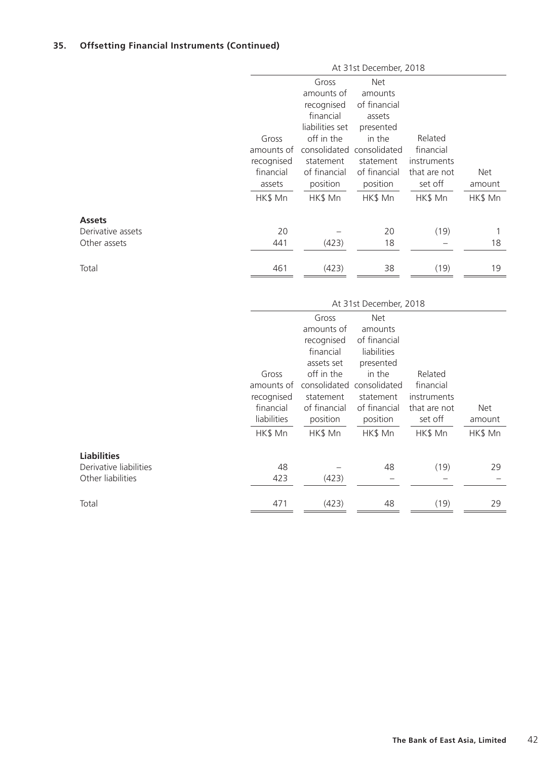# **35. Offsetting Financial Instruments (Continued)**

|                   | At 31st December, 2018 |                 |              |              |            |  |
|-------------------|------------------------|-----------------|--------------|--------------|------------|--|
|                   |                        | Gross           | <b>Net</b>   |              |            |  |
|                   |                        | amounts of      | amounts      |              |            |  |
|                   |                        | recognised      | of financial |              |            |  |
|                   |                        | financial       | assets       |              |            |  |
|                   |                        | liabilities set | presented    |              |            |  |
|                   | Gross                  | off in the      | in the       | Related      |            |  |
|                   | amounts of             | consolidated    | consolidated | financial    |            |  |
|                   | recognised             | statement       | statement    | instruments  |            |  |
|                   | financial              | of financial    | of financial | that are not | <b>Net</b> |  |
|                   | assets                 | position        | position     | set off      | amount     |  |
|                   | HK\$ Mn                | HK\$ Mn         | HK\$ Mn      | HK\$ Mn      | HK\$ Mn    |  |
| <b>Assets</b>     |                        |                 |              |              |            |  |
| Derivative assets | 20                     |                 | 20           | (19)         |            |  |
| Other assets      | 441                    | (423)           | 18           |              | 18         |  |
| Total             | 461                    | (423)           | 38           | (19)         | 19         |  |

|                        | At 31st December, 2018 |              |              |              |         |  |
|------------------------|------------------------|--------------|--------------|--------------|---------|--|
|                        |                        | Gross        | Net          |              |         |  |
|                        |                        | amounts of   | amounts      |              |         |  |
|                        |                        | recognised   | of financial |              |         |  |
|                        |                        | financial    | liabilities  |              |         |  |
|                        |                        | assets set   | presented    |              |         |  |
|                        | Gross                  | off in the   | in the       | Related      |         |  |
|                        | amounts of             | consolidated | consolidated | financial    |         |  |
|                        | recognised             | statement    | statement    | instruments  |         |  |
|                        | financial              | of financial | of financial | that are not | Net     |  |
|                        | liabilities            | position     | position     | set off      | amount  |  |
|                        | HK\$ Mn                | HK\$ Mn      | HK\$ Mn      | HK\$ Mn      | HK\$ Mn |  |
| <b>Liabilities</b>     |                        |              |              |              |         |  |
| Derivative liabilities | 48                     |              | 48           | (19)         | 29      |  |
| Other liabilities      | 423                    | (423)        |              |              |         |  |
| Total                  | 471                    | (423)        | 48           | (19)         | 29      |  |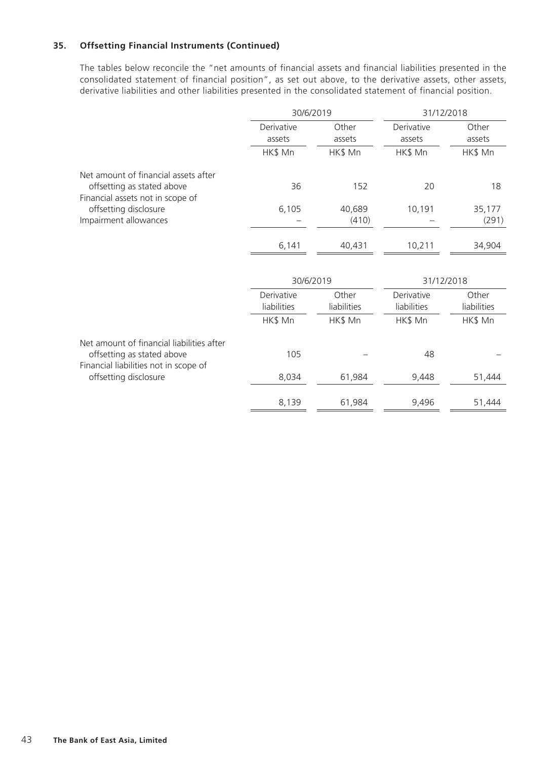### **35. Offsetting Financial Instruments (Continued)**

The tables below reconcile the "net amounts of financial assets and financial liabilities presented in the consolidated statement of financial position", as set out above, to the derivative assets, other assets, derivative liabilities and other liabilities presented in the consolidated statement of financial position.

|                                                                     | 30/6/2019                 |                      | 31/12/2018                |                      |  |
|---------------------------------------------------------------------|---------------------------|----------------------|---------------------------|----------------------|--|
|                                                                     | Derivative                | Other                | Derivative                | Other                |  |
|                                                                     | assets                    | assets               | assets                    | assets               |  |
|                                                                     | HK\$ Mn                   | HK\$ Mn              | HK\$ Mn                   | HK\$ Mn              |  |
| Net amount of financial assets after                                |                           |                      |                           |                      |  |
| offsetting as stated above<br>Financial assets not in scope of      | 36                        | 152                  | 20                        | 18                   |  |
| offsetting disclosure<br>Impairment allowances                      | 6,105                     | 40,689<br>(410)      | 10,191                    | 35,177<br>(291)      |  |
|                                                                     |                           |                      |                           |                      |  |
|                                                                     | 6,141                     | 40,431               | 10,211                    | 34,904               |  |
|                                                                     |                           |                      |                           |                      |  |
|                                                                     | 30/6/2019                 |                      | 31/12/2018                |                      |  |
|                                                                     | Derivative<br>liabilities | Other<br>liabilities | Derivative<br>liabilities | Other<br>liabilities |  |
|                                                                     | HK\$ Mn                   | HK\$ Mn              | HK\$ Mn                   | HK\$ Mn              |  |
| Net amount of financial liabilities after                           |                           |                      |                           |                      |  |
| offsetting as stated above<br>Financial liabilities not in scope of | 105                       |                      | 48                        |                      |  |
| offsetting disclosure                                               | 8,034                     | 61,984               | 9,448                     | 51,444               |  |
|                                                                     | 8,139                     | 61,984               | 9,496                     | 51,444               |  |
|                                                                     |                           |                      |                           |                      |  |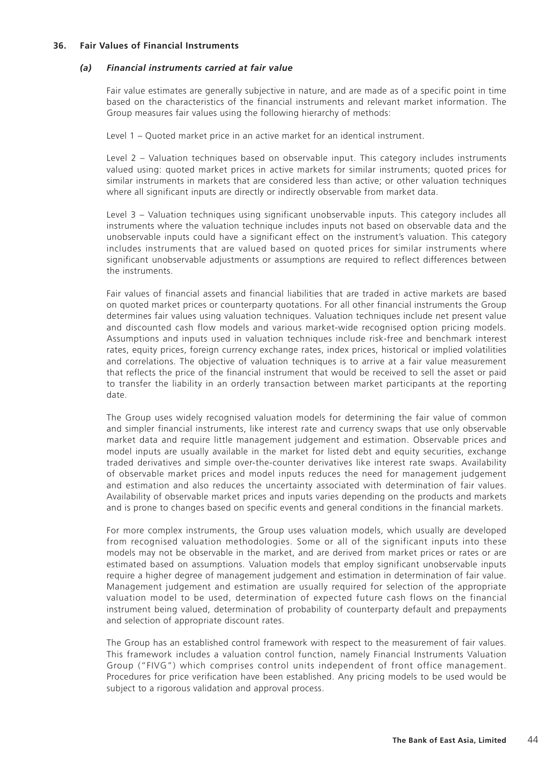#### **36. Fair Values of Financial Instruments**

#### *(a) Financial instruments carried at fair value*

Fair value estimates are generally subjective in nature, and are made as of a specific point in time based on the characteristics of the financial instruments and relevant market information. The Group measures fair values using the following hierarchy of methods:

Level 1 – Quoted market price in an active market for an identical instrument.

Level 2 – Valuation techniques based on observable input. This category includes instruments valued using: quoted market prices in active markets for similar instruments; quoted prices for similar instruments in markets that are considered less than active; or other valuation techniques where all significant inputs are directly or indirectly observable from market data.

Level 3 – Valuation techniques using significant unobservable inputs. This category includes all instruments where the valuation technique includes inputs not based on observable data and the unobservable inputs could have a significant effect on the instrument's valuation. This category includes instruments that are valued based on quoted prices for similar instruments where significant unobservable adjustments or assumptions are required to reflect differences between the instruments.

Fair values of financial assets and financial liabilities that are traded in active markets are based on quoted market prices or counterparty quotations. For all other financial instruments the Group determines fair values using valuation techniques. Valuation techniques include net present value and discounted cash flow models and various market-wide recognised option pricing models. Assumptions and inputs used in valuation techniques include risk-free and benchmark interest rates, equity prices, foreign currency exchange rates, index prices, historical or implied volatilities and correlations. The objective of valuation techniques is to arrive at a fair value measurement that reflects the price of the financial instrument that would be received to sell the asset or paid to transfer the liability in an orderly transaction between market participants at the reporting date.

The Group uses widely recognised valuation models for determining the fair value of common and simpler financial instruments, like interest rate and currency swaps that use only observable market data and require little management judgement and estimation. Observable prices and model inputs are usually available in the market for listed debt and equity securities, exchange traded derivatives and simple over-the-counter derivatives like interest rate swaps. Availability of observable market prices and model inputs reduces the need for management judgement and estimation and also reduces the uncertainty associated with determination of fair values. Availability of observable market prices and inputs varies depending on the products and markets and is prone to changes based on specific events and general conditions in the financial markets.

For more complex instruments, the Group uses valuation models, which usually are developed from recognised valuation methodologies. Some or all of the significant inputs into these models may not be observable in the market, and are derived from market prices or rates or are estimated based on assumptions. Valuation models that employ significant unobservable inputs require a higher degree of management judgement and estimation in determination of fair value. Management judgement and estimation are usually required for selection of the appropriate valuation model to be used, determination of expected future cash flows on the financial instrument being valued, determination of probability of counterparty default and prepayments and selection of appropriate discount rates.

The Group has an established control framework with respect to the measurement of fair values. This framework includes a valuation control function, namely Financial Instruments Valuation Group ("FIVG") which comprises control units independent of front office management. Procedures for price verification have been established. Any pricing models to be used would be subject to a rigorous validation and approval process.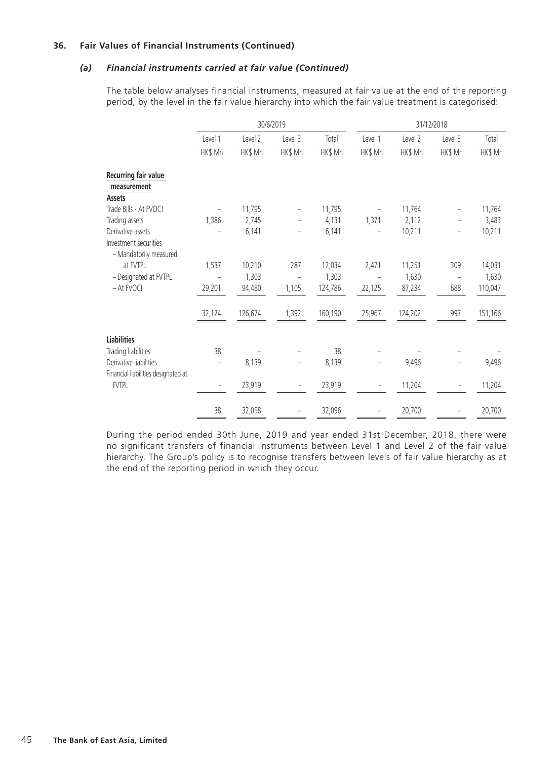#### *(a) Financial instruments carried at fair value (Continued)*

The table below analyses financial instruments, measured at fair value at the end of the reporting period, by the level in the fair value hierarchy into which the fair value treatment is categorised:

|                                                                      | 30/6/2019 |         |                   | 31/12/2018 |         |         |                   |         |
|----------------------------------------------------------------------|-----------|---------|-------------------|------------|---------|---------|-------------------|---------|
|                                                                      | Level 1   | Level 2 | Level 3           | Total      | Level 1 | Level 2 | Level 3           | Total   |
|                                                                      | HK\$ Mn   | HK\$ Mn | HK\$ Mn           | HK\$ Mn    | HK\$ Mn | HK\$ Mn | HK\$ Mn           | HK\$ Mn |
| Recurring fair value<br>measurement                                  |           |         |                   |            |         |         |                   |         |
| Assets                                                               |           |         |                   |            |         |         |                   |         |
| Trade Bills - At FVOCI                                               |           | 11,795  |                   | 11,795     |         | 11,764  |                   | 11,764  |
| Trading assets                                                       | 1,386     | 2,745   |                   | 4,131      | 1,371   | 2,112   |                   | 3,483   |
| Derivative assets<br>Investment securities<br>- Mandatorily measured |           | 6,141   | $\qquad \qquad -$ | 6,141      |         | 10,211  | $\qquad \qquad -$ | 10,211  |
| at FVTPL                                                             | 1,537     | 10,210  | 287               | 12,034     | 2,471   | 11,251  | 309               | 14,031  |
| - Designated at FVTPL                                                |           | 1,303   | $\qquad \qquad -$ | 1,303      |         | 1,630   |                   | 1,630   |
| - At FVOCI                                                           | 29,201    | 94,480  | 1,105             | 124,786    | 22,125  | 87,234  | 688               | 110,047 |
|                                                                      | 32,124    | 126,674 | 1,392             | 160,190    | 25,967  | 124,202 | 997               | 151,166 |
| <b>Liabilities</b>                                                   |           |         |                   |            |         |         |                   |         |
| Trading liabilities                                                  | 38        |         |                   | 38         |         |         |                   |         |
| Derivative liabilities                                               |           | 8,139   |                   | 8,139      |         | 9,496   |                   | 9,496   |
| Financial liabilities designated at<br><b>FVTPL</b>                  | -         | 23,919  | -                 | 23,919     | -       | 11,204  |                   | 11,204  |
|                                                                      | 38        | 32,058  |                   | 32,096     |         | 20,700  |                   | 20,700  |

During the period ended 30th June, 2019 and year ended 31st December, 2018, there were no significant transfers of financial instruments between Level 1 and Level 2 of the fair value hierarchy. The Group's policy is to recognise transfers between levels of fair value hierarchy as at the end of the reporting period in which they occur.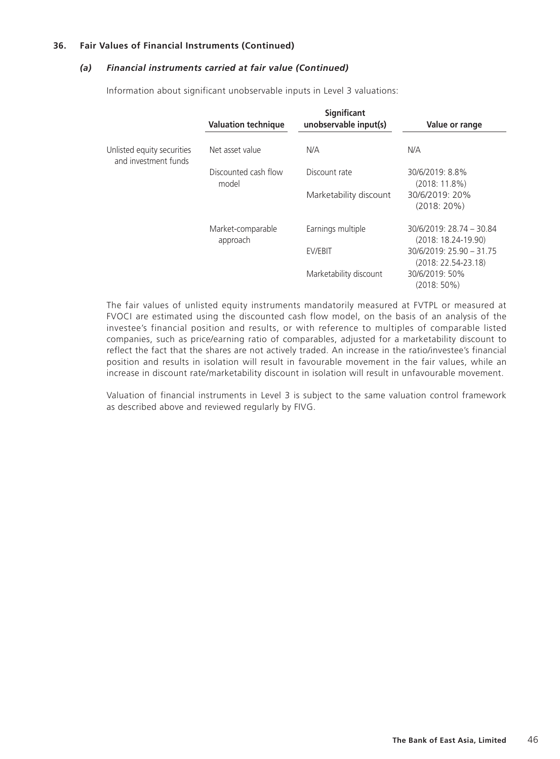#### *(a) Financial instruments carried at fair value (Continued)*

Information about significant unobservable inputs in Level 3 valuations:

|                                                    | <b>Valuation technique</b>    | Significant<br>unobservable input(s) | Value or range                                    |
|----------------------------------------------------|-------------------------------|--------------------------------------|---------------------------------------------------|
| Unlisted equity securities<br>and investment funds | Net asset value               | N/A                                  | N/A                                               |
|                                                    | Discounted cash flow<br>model | Discount rate                        | 30/6/2019: 8.8%<br>$(2018:11.8\%)$                |
|                                                    |                               | Marketability discount               | 30/6/2019: 20%<br>$(2018:20\%)$                   |
|                                                    | Market-comparable<br>approach | Earnings multiple                    | 30/6/2019: 28.74 - 30.84<br>$(2018: 18.24-19.90)$ |
|                                                    |                               | EV/EBIT                              | 30/6/2019: 25.90 - 31.75<br>$(2018: 22.54-23.18)$ |
|                                                    |                               | Marketability discount               | 30/6/2019: 50%<br>$(2018:50\%)$                   |

The fair values of unlisted equity instruments mandatorily measured at FVTPL or measured at FVOCI are estimated using the discounted cash flow model, on the basis of an analysis of the investee's financial position and results, or with reference to multiples of comparable listed companies, such as price/earning ratio of comparables, adjusted for a marketability discount to reflect the fact that the shares are not actively traded. An increase in the ratio/investee's financial position and results in isolation will result in favourable movement in the fair values, while an increase in discount rate/marketability discount in isolation will result in unfavourable movement.

Valuation of financial instruments in Level 3 is subject to the same valuation control framework as described above and reviewed regularly by FIVG.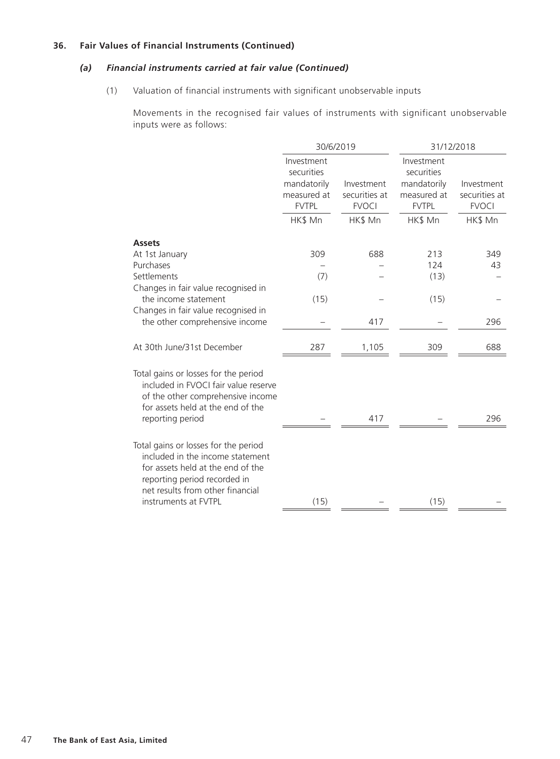## *(a) Financial instruments carried at fair value (Continued)*

(1) Valuation of financial instruments with significant unobservable inputs

Movements in the recognised fair values of instruments with significant unobservable inputs were as follows:

|                                                                                                                                                                                                           | 30/6/2019                                                              |                                             | 31/12/2018                                                             |                                             |  |  |
|-----------------------------------------------------------------------------------------------------------------------------------------------------------------------------------------------------------|------------------------------------------------------------------------|---------------------------------------------|------------------------------------------------------------------------|---------------------------------------------|--|--|
|                                                                                                                                                                                                           | Investment<br>securities<br>mandatorily<br>measured at<br><b>FVTPL</b> | Investment<br>securities at<br><b>FVOCI</b> | Investment<br>securities<br>mandatorily<br>measured at<br><b>FVTPL</b> | Investment<br>securities at<br><b>FVOCI</b> |  |  |
|                                                                                                                                                                                                           | HK\$ Mn                                                                | HK\$ Mn                                     | HK\$ Mn                                                                | HK\$ Mn                                     |  |  |
| <b>Assets</b><br>At 1st January                                                                                                                                                                           | 309                                                                    | 688                                         | 213                                                                    | 349                                         |  |  |
| Purchases                                                                                                                                                                                                 |                                                                        |                                             | 124                                                                    | 43                                          |  |  |
| Settlements                                                                                                                                                                                               | (7)                                                                    |                                             | (13)                                                                   |                                             |  |  |
| Changes in fair value recognised in<br>the income statement<br>Changes in fair value recognised in                                                                                                        | (15)                                                                   |                                             | (15)                                                                   |                                             |  |  |
| the other comprehensive income                                                                                                                                                                            |                                                                        | 417                                         |                                                                        | 296                                         |  |  |
| At 30th June/31st December                                                                                                                                                                                | 287                                                                    | 1,105                                       | 309                                                                    | 688                                         |  |  |
| Total gains or losses for the period<br>included in FVOCI fair value reserve<br>of the other comprehensive income<br>for assets held at the end of the<br>reporting period                                |                                                                        | 417                                         |                                                                        | 296                                         |  |  |
| Total gains or losses for the period<br>included in the income statement<br>for assets held at the end of the<br>reporting period recorded in<br>net results from other financial<br>instruments at FVTPL | (15)                                                                   |                                             | (15)                                                                   |                                             |  |  |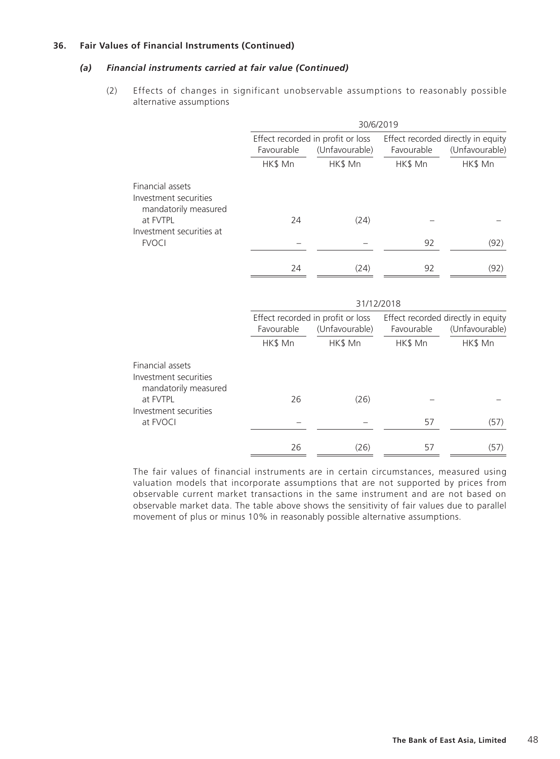#### *(a) Financial instruments carried at fair value (Continued)*

(2) Effects of changes in significant unobservable assumptions to reasonably possible alternative assumptions

|                                                                   |            |                                                     | 30/6/2019  |                                                      |  |  |  |  |  |
|-------------------------------------------------------------------|------------|-----------------------------------------------------|------------|------------------------------------------------------|--|--|--|--|--|
|                                                                   | Favourable | Effect recorded in profit or loss<br>(Unfavourable) | Favourable | Effect recorded directly in equity<br>(Unfavourable) |  |  |  |  |  |
|                                                                   | HK\$ Mn    | HK\$ Mn                                             | HK\$ Mn    | HK\$ Mn                                              |  |  |  |  |  |
| Financial assets<br>Investment securities<br>mandatorily measured |            |                                                     |            |                                                      |  |  |  |  |  |
| at FVTPL                                                          | 24         | (24)                                                |            |                                                      |  |  |  |  |  |
| Investment securities at<br><b>FVOCI</b>                          |            |                                                     | 92         | (92)                                                 |  |  |  |  |  |
|                                                                   | 24         | (24)                                                | 92         | (92)                                                 |  |  |  |  |  |
|                                                                   |            | 31/12/2018                                          |            |                                                      |  |  |  |  |  |
|                                                                   | Favourable | Effect recorded in profit or loss<br>(Unfavourable) | Favourable | Effect recorded directly in equity<br>(Unfavourable) |  |  |  |  |  |
|                                                                   | HK\$ Mn    | HK\$ Mn                                             | HK\$ Mn    | HK\$ Mn                                              |  |  |  |  |  |
| Financial assets<br>Investment securities<br>mandatorily measured |            |                                                     |            |                                                      |  |  |  |  |  |
| at FVTPL                                                          | 26         | (26)                                                |            |                                                      |  |  |  |  |  |
| Investment securities<br>at FVOCI                                 |            |                                                     | 57         | (57)                                                 |  |  |  |  |  |
|                                                                   | 26         | (26)                                                | 57         | (57)                                                 |  |  |  |  |  |

The fair values of financial instruments are in certain circumstances, measured using valuation models that incorporate assumptions that are not supported by prices from observable current market transactions in the same instrument and are not based on observable market data. The table above shows the sensitivity of fair values due to parallel movement of plus or minus 10% in reasonably possible alternative assumptions.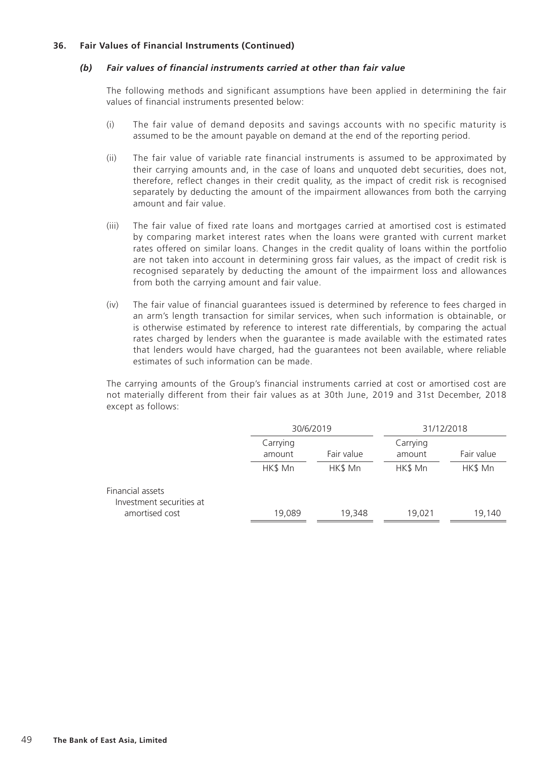#### *(b) Fair values of financial instruments carried at other than fair value*

The following methods and significant assumptions have been applied in determining the fair values of financial instruments presented below:

- (i) The fair value of demand deposits and savings accounts with no specific maturity is assumed to be the amount payable on demand at the end of the reporting period.
- (ii) The fair value of variable rate financial instruments is assumed to be approximated by their carrying amounts and, in the case of loans and unquoted debt securities, does not, therefore, reflect changes in their credit quality, as the impact of credit risk is recognised separately by deducting the amount of the impairment allowances from both the carrying amount and fair value.
- (iii) The fair value of fixed rate loans and mortgages carried at amortised cost is estimated by comparing market interest rates when the loans were granted with current market rates offered on similar loans. Changes in the credit quality of loans within the portfolio are not taken into account in determining gross fair values, as the impact of credit risk is recognised separately by deducting the amount of the impairment loss and allowances from both the carrying amount and fair value.
- (iv) The fair value of financial guarantees issued is determined by reference to fees charged in an arm's length transaction for similar services, when such information is obtainable, or is otherwise estimated by reference to interest rate differentials, by comparing the actual rates charged by lenders when the guarantee is made available with the estimated rates that lenders would have charged, had the guarantees not been available, where reliable estimates of such information can be made.

The carrying amounts of the Group's financial instruments carried at cost or amortised cost are not materially different from their fair values as at 30th June, 2019 and 31st December, 2018 except as follows:

|                                              | 30/6/2019          |            | 31/12/2018         |                       |  |
|----------------------------------------------|--------------------|------------|--------------------|-----------------------|--|
|                                              | Carrying<br>amount | Fair value | Carrying<br>amount | Fair value<br>HK\$ Mn |  |
|                                              | HK\$ Mn            | HK\$ Mn    | HK\$ Mn            |                       |  |
| Financial assets<br>Investment securities at |                    |            |                    |                       |  |
| amortised cost                               | 19,089             | 19,348     | 19,021             | 19,140                |  |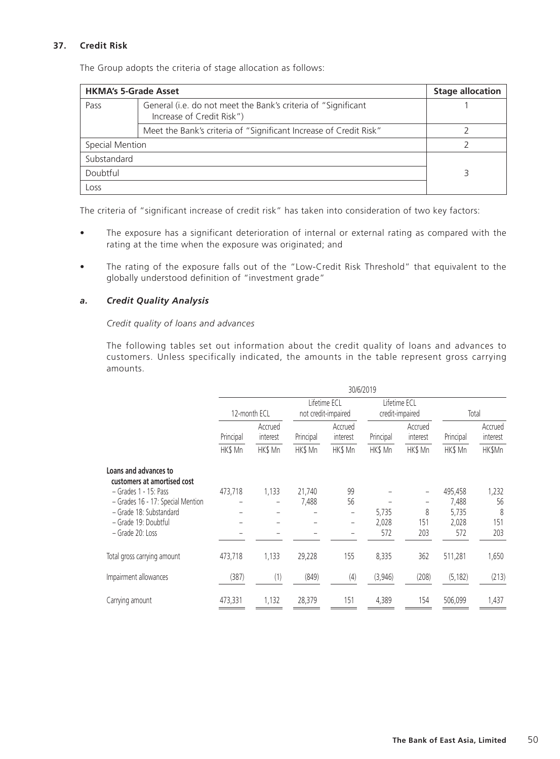### **37. Credit Risk**

The Group adopts the criteria of stage allocation as follows:

|             | <b>HKMA's 5-Grade Asset</b>                                                                 | <b>Stage allocation</b> |  |  |  |  |
|-------------|---------------------------------------------------------------------------------------------|-------------------------|--|--|--|--|
| Pass        | General (i.e. do not meet the Bank's criteria of "Significant"<br>Increase of Credit Risk") |                         |  |  |  |  |
|             | Meet the Bank's criteria of "Significant Increase of Credit Risk"                           |                         |  |  |  |  |
|             | Special Mention                                                                             |                         |  |  |  |  |
| Substandard |                                                                                             |                         |  |  |  |  |
| Doubtful    |                                                                                             |                         |  |  |  |  |
| Loss        |                                                                                             |                         |  |  |  |  |

The criteria of "significant increase of credit risk" has taken into consideration of two key factors:

- The exposure has a significant deterioration of internal or external rating as compared with the rating at the time when the exposure was originated; and
- The rating of the exposure falls out of the "Low-Credit Risk Threshold" that equivalent to the globally understood definition of "investment grade"

#### *a. Credit Quality Analysis*

#### *Credit quality of loans and advances*

The following tables set out information about the credit quality of loans and advances to customers. Unless specifically indicated, the amounts in the table represent gross carrying amounts.

|                                                      |                      |                                |                      |                                     | 30/6/2019            |                                 |                      |                               |
|------------------------------------------------------|----------------------|--------------------------------|----------------------|-------------------------------------|----------------------|---------------------------------|----------------------|-------------------------------|
|                                                      | 12-month ECL         |                                |                      | Lifetime ECL<br>not credit-impaired |                      | Lifetime ECL<br>credit-impaired | Total                |                               |
|                                                      | Principal<br>HK\$ Mn | Accrued<br>interest<br>HK\$ Mn | Principal<br>HK\$ Mn | Accrued<br>interest<br>HK\$ Mn      | Principal<br>HK\$ Mn | Accrued<br>interest<br>HK\$ Mn  | Principal<br>HK\$ Mn | Accrued<br>interest<br>HK\$Mn |
| Loans and advances to<br>customers at amortised cost |                      |                                |                      |                                     |                      |                                 |                      |                               |
| - Grades 1 - 15: Pass                                | 473,718              | 1,133                          | 21,740               | 99                                  |                      |                                 | 495,458              | 1,232                         |
| - Grades 16 - 17: Special Mention                    |                      |                                | 7,488                | 56                                  |                      | -                               | 7,488                | 56                            |
| - Grade 18: Substandard<br>- Grade 19: Doubtful      |                      |                                |                      |                                     | 5,735                | 8<br>151                        | 5,735                | 8                             |
| - Grade 20: Loss                                     |                      |                                |                      | -                                   | 2,028<br>572         | 203                             | 2,028<br>572         | 151<br>203                    |
| Total gross carrying amount                          | 473,718              | 1,133                          | 29,228               | 155                                 | 8,335                | 362                             | 511,281              | 1,650                         |
| Impairment allowances                                | (387)                | (1)                            | (849)                | (4)                                 | (3,946)              | (208)                           | (5, 182)             | (213)                         |
| Carrying amount                                      | 473,331              | 1,132                          | 28,379               | 151                                 | 4,389                | 154                             | 506,099              | 1,437                         |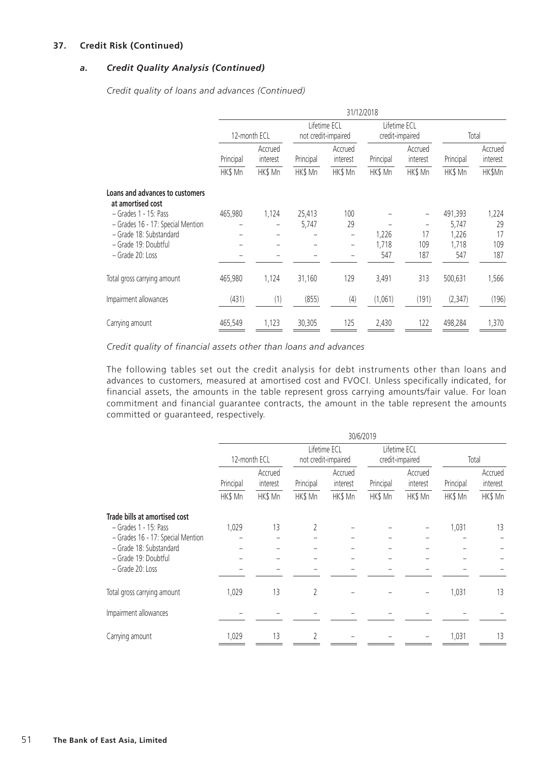### *a. Credit Quality Analysis (Continued)*

*Credit quality of loans and advances (Continued)*

|                                                              |              |                     |           |                                     | 31/12/2018                      |                         |                |                     |
|--------------------------------------------------------------|--------------|---------------------|-----------|-------------------------------------|---------------------------------|-------------------------|----------------|---------------------|
|                                                              | 12-month ECL |                     |           | Lifetime ECL<br>not credit-impaired | Lifetime ECL<br>credit-impaired |                         | Total          |                     |
|                                                              | Principal    | Accrued<br>interest | Principal | Accrued<br>interest                 | Principal                       | Accrued<br>interest     | Principal      | Accrued<br>interest |
|                                                              | HK\$ Mn      | HK\$ Mn             | HK\$ Mn   | HK\$ Mn                             | HK\$ Mn                         | HK\$ Mn                 | HK\$ Mn        | HK\$Mn              |
| Loans and advances to customers<br>at amortised cost         |              |                     |           |                                     |                                 |                         |                |                     |
| $-$ Grades 1 - 15: Pass<br>- Grades 16 - 17: Special Mention | 465,980      | 1,124               | 25,413    | 100<br>29                           |                                 | -                       | 491,393        | 1,224<br>29         |
| - Grade 18: Substandard                                      |              |                     | 5,747     | $\overline{\phantom{0}}$            | 1,226                           | $\qquad \qquad -$<br>17 | 5,747<br>1,226 | 17                  |
| - Grade 19: Doubtful<br>- Grade 20: Loss                     |              |                     |           |                                     | 1,718<br>547                    | 109<br>187              | 1,718<br>547   | 109<br>187          |
| Total gross carrying amount                                  | 465,980      | 1,124               | 31,160    | 129                                 | 3,491                           | 313                     | 500,631        | 1,566               |
| Impairment allowances                                        | (431)        | (1)                 | (855)     | (4)                                 | (1,061)                         | (191)                   | (2, 347)       | (196)               |
| Carrying amount                                              | 465,549      | 1,123               | 30,305    | 125                                 | 2,430                           | 122                     | 498,284        | 1,370               |

### *Credit quality of financial assets other than loans and advances*

The following tables set out the credit analysis for debt instruments other than loans and advances to customers, measured at amortised cost and FVOCI. Unless specifically indicated, for financial assets, the amounts in the table represent gross carrying amounts/fair value. For loan commitment and financial guarantee contracts, the amount in the table represent the amounts committed or guaranteed, respectively.

|                                   |                      |                                |                                     |                                | 30/6/2019                       |                                |                      |                                |
|-----------------------------------|----------------------|--------------------------------|-------------------------------------|--------------------------------|---------------------------------|--------------------------------|----------------------|--------------------------------|
|                                   | 12-month ECL         |                                | Lifetime ECL<br>not credit-impaired |                                | Lifetime ECL<br>credit-impaired |                                | Total                |                                |
|                                   | Principal<br>HK\$ Mn | Accrued<br>interest<br>HK\$ Mn | Principal<br>HK\$ Mn                | Accrued<br>interest<br>HK\$ Mn | Principal<br>HK\$ Mn            | Accrued<br>interest<br>HK\$ Mn | Principal<br>HK\$ Mn | Accrued<br>interest<br>HK\$ Mn |
|                                   |                      |                                |                                     |                                |                                 |                                |                      |                                |
| Trade bills at amortised cost     |                      |                                |                                     |                                |                                 |                                |                      |                                |
| - Grades 1 - 15: Pass             | 1,029                | 13                             |                                     |                                |                                 |                                | 1,031                | 13                             |
| - Grades 16 - 17: Special Mention |                      |                                |                                     |                                |                                 |                                |                      |                                |
| - Grade 18: Substandard           |                      |                                |                                     |                                |                                 |                                |                      |                                |
| - Grade 19: Doubtful              |                      |                                |                                     |                                |                                 |                                |                      |                                |
| - Grade 20: Loss                  |                      |                                |                                     |                                |                                 |                                |                      |                                |
| Total gross carrying amount       | 1,029                | 13                             | 2                                   |                                |                                 |                                | 1,031                | 13                             |
| Impairment allowances             |                      |                                |                                     |                                |                                 |                                |                      |                                |
| Carrying amount                   | 1,029                | 13                             |                                     |                                |                                 |                                | 1,031                | 13                             |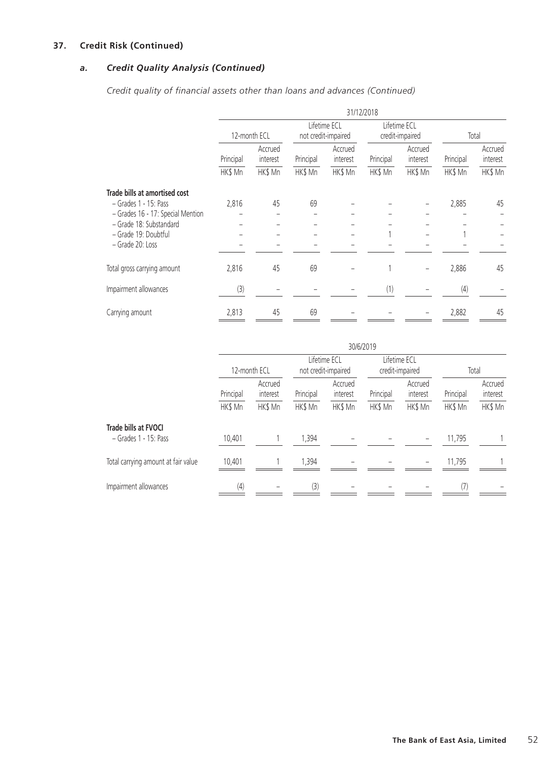# *a. Credit Quality Analysis (Continued)*

|                                   |              |                     |           |                                     | 31/12/2018                      |                     |           |                     |
|-----------------------------------|--------------|---------------------|-----------|-------------------------------------|---------------------------------|---------------------|-----------|---------------------|
|                                   | 12-month ECL |                     |           | Lifetime ECL<br>not credit-impaired | Lifetime ECL<br>credit-impaired |                     | Total     |                     |
|                                   | Principal    | Accrued<br>interest | Principal | Accrued<br>interest                 | Principal                       | Accrued<br>interest | Principal | Accrued<br>interest |
|                                   | HK\$ Mn      | HK\$ Mn             | HK\$ Mn   | HK\$ Mn                             | HK\$ Mn                         | HK\$ Mn             | HK\$ Mn   | HK\$ Mn             |
| Trade bills at amortised cost     |              |                     |           |                                     |                                 |                     |           |                     |
| $-$ Grades 1 - 15: Pass           | 2,816        | 45                  | 69        |                                     |                                 |                     | 2,885     | 45                  |
| - Grades 16 - 17: Special Mention |              |                     |           |                                     |                                 |                     |           |                     |
| - Grade 18: Substandard           |              |                     |           |                                     |                                 |                     |           |                     |
| - Grade 19: Doubtful              |              |                     |           |                                     |                                 |                     |           |                     |
| - Grade 20: Loss                  |              |                     |           |                                     |                                 |                     |           |                     |
| Total gross carrying amount       | 2,816        | 45                  | 69        |                                     |                                 |                     | 2,886     | 45                  |
| Impairment allowances             | (3)          |                     |           |                                     | (1)                             |                     | (4)       |                     |
| Carrying amount                   | 2,813        | 45                  | 69        |                                     |                                 |                     | 2,882     | 45                  |

|                                                 |              | 30/6/2019           |           |                                     |           |                                 |           |                     |  |  |
|-------------------------------------------------|--------------|---------------------|-----------|-------------------------------------|-----------|---------------------------------|-----------|---------------------|--|--|
|                                                 | 12-month ECL |                     |           | Lifetime ECL<br>not credit-impaired |           | Lifetime ECL<br>credit-impaired | Total     |                     |  |  |
|                                                 | Principal    | Accrued<br>interest | Principal | Accrued<br>interest                 | Principal | Accrued<br>interest             | Principal | Accrued<br>interest |  |  |
|                                                 | HK\$ Mn      | HK\$ Mn             | HK\$ Mn   | HK\$ Mn                             | HK\$ Mn   | HK\$ Mn                         | HK\$ Mn   | HK\$ Mn             |  |  |
| Trade bills at FVOCI<br>$-$ Grades 1 - 15: Pass | 10,401       |                     | 1,394     |                                     |           |                                 | 11.795    |                     |  |  |
| Total carrying amount at fair value             | 10,401       |                     | 1,394     |                                     |           |                                 | 11,795    |                     |  |  |
| Impairment allowances                           | (4)          |                     | (3)       |                                     |           |                                 | (7)       |                     |  |  |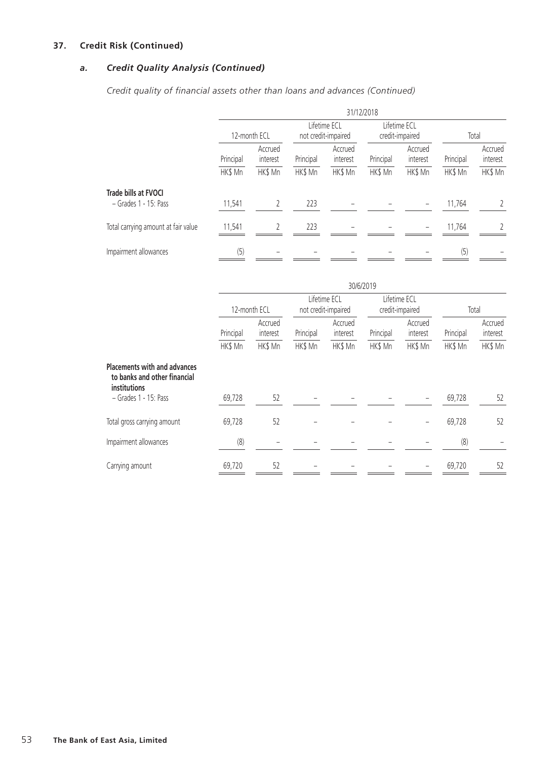# *a. Credit Quality Analysis (Continued)*

|                                                 |              | 31/12/2018          |                                     |                     |                                 |                     |           |                     |  |  |  |
|-------------------------------------------------|--------------|---------------------|-------------------------------------|---------------------|---------------------------------|---------------------|-----------|---------------------|--|--|--|
|                                                 | 12-month ECL |                     | Lifetime ECL<br>not credit-impaired |                     | Lifetime ECL<br>credit-impaired |                     | Total     |                     |  |  |  |
|                                                 | Principal    | Accrued<br>interest | Principal                           | Accrued<br>interest | Principal                       | Accrued<br>interest | Principal | Accrued<br>interest |  |  |  |
|                                                 | HK\$ Mn      | HK\$ Mn             | HK\$ Mn                             | HK\$ Mn             | HK\$ Mn                         | HK\$ Mn             | HK\$ Mn   | HK\$ Mn             |  |  |  |
| Trade bills at FVOCI<br>$-$ Grades 1 - 15: Pass | 11,541       | 2                   | 223                                 |                     |                                 |                     | 11,764    |                     |  |  |  |
| Total carrying amount at fair value             | 11,541       |                     | 223                                 |                     |                                 |                     | 11,764    |                     |  |  |  |
| Impairment allowances                           | (5)          |                     |                                     |                     |                                 |                     | (5)       |                     |  |  |  |

|                                                                                     |              |                     |           |                                     | 30/6/2019 |                                 |           |                     |
|-------------------------------------------------------------------------------------|--------------|---------------------|-----------|-------------------------------------|-----------|---------------------------------|-----------|---------------------|
|                                                                                     | 12-month ECL |                     |           | Lifetime ECL<br>not credit-impaired |           | Lifetime ECL<br>credit-impaired | Total     |                     |
|                                                                                     | Principal    | Accrued<br>interest | Principal | Accrued<br>interest                 | Principal | Accrued<br>interest             | Principal | Accrued<br>interest |
|                                                                                     | HK\$ Mn      | HK\$ Mn             | HK\$ Mn   | HK\$ Mn                             | HK\$ Mn   | HK\$ Mn                         | HK\$ Mn   | HK\$ Mn             |
| <b>Placements with and advances</b><br>to banks and other financial<br>institutions |              |                     |           |                                     |           |                                 |           |                     |
| $-$ Grades 1 - 15: Pass                                                             | 69,728       | 52                  |           |                                     |           |                                 | 69,728    | 52                  |
| Total gross carrying amount                                                         | 69,728       | 52                  |           |                                     |           |                                 | 69,728    | 52                  |
| Impairment allowances                                                               | (8)          |                     |           |                                     |           |                                 | (8)       |                     |
| Carrying amount                                                                     | 69,720       | 52                  |           |                                     |           |                                 | 69,720    | 52                  |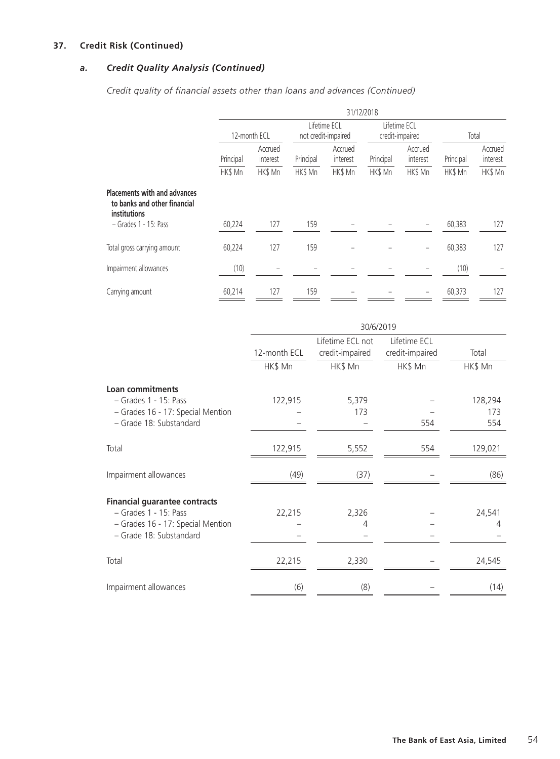# *a. Credit Quality Analysis (Continued)*

|                                                                                     |              |                     |           |                                     | 31/12/2018 |                                 |           |                     |
|-------------------------------------------------------------------------------------|--------------|---------------------|-----------|-------------------------------------|------------|---------------------------------|-----------|---------------------|
|                                                                                     | 12-month ECL |                     |           | Lifetime ECL<br>not credit-impaired |            | Lifetime ECL<br>credit-impaired | Total     |                     |
|                                                                                     | Principal    | Accrued<br>interest | Principal | Accrued<br>interest                 | Principal  | Accrued<br>interest             | Principal | Accrued<br>interest |
|                                                                                     | HK\$ Mn      | HK\$ Mn             | HK\$ Mn   | HK\$ Mn                             | HK\$ Mn    | HK\$ Mn                         | HK\$ Mn   | HK\$ Mn             |
| <b>Placements with and advances</b><br>to banks and other financial<br>institutions |              |                     |           |                                     |            |                                 |           |                     |
| $-$ Grades 1 - 15: Pass                                                             | 60,224       | 127                 | 159       |                                     |            |                                 | 60,383    | 127                 |
| Total gross carrying amount                                                         | 60,224       | 127                 | 159       |                                     |            |                                 | 60,383    | 127                 |
| Impairment allowances                                                               | (10)         |                     |           |                                     |            |                                 | (10)      |                     |
| Carrying amount                                                                     | 60,214       | 127                 | 159       |                                     |            |                                 | 60,373    | 127                 |

|                                      | 30/6/2019    |                                     |                                 |         |  |  |
|--------------------------------------|--------------|-------------------------------------|---------------------------------|---------|--|--|
|                                      | 12-month ECL | Lifetime ECL not<br>credit-impaired | Lifetime ECL<br>credit-impaired | Total   |  |  |
|                                      | HK\$ Mn      | HK\$ Mn                             | HK\$ Mn                         | HK\$ Mn |  |  |
| Loan commitments                     |              |                                     |                                 |         |  |  |
| $-$ Grades 1 - 15: Pass              | 122,915      | 5,379                               |                                 | 128,294 |  |  |
| - Grades 16 - 17: Special Mention    |              | 173                                 |                                 | 173     |  |  |
| - Grade 18: Substandard              |              |                                     | 554                             | 554     |  |  |
| Total                                | 122,915      | 5,552                               | 554                             | 129,021 |  |  |
| Impairment allowances                | (49)         | (37)                                |                                 | (86)    |  |  |
| <b>Financial guarantee contracts</b> |              |                                     |                                 |         |  |  |
| - Grades 1 - 15: Pass                | 22,215       | 2,326                               |                                 | 24,541  |  |  |
| - Grades 16 - 17: Special Mention    |              | 4                                   |                                 | 4       |  |  |
| - Grade 18: Substandard              |              |                                     |                                 |         |  |  |
| Total                                | 22,215       | 2,330                               |                                 | 24,545  |  |  |
|                                      |              |                                     |                                 |         |  |  |
| Impairment allowances                | (6)          | (8)                                 |                                 | (14)    |  |  |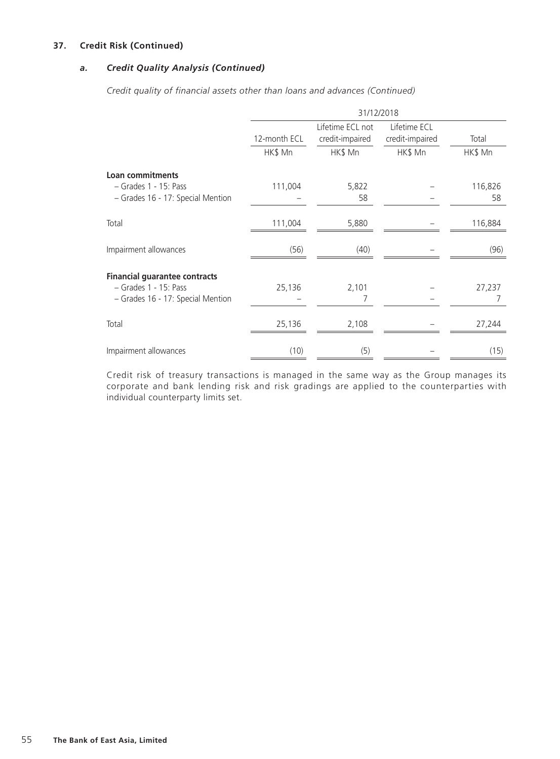### *a. Credit Quality Analysis (Continued)*

*Credit quality of financial assets other than loans and advances (Continued)*

|                                      | 31/12/2018   |                                     |                                 |         |  |  |
|--------------------------------------|--------------|-------------------------------------|---------------------------------|---------|--|--|
|                                      | 12-month ECL | Lifetime ECL not<br>credit-impaired | Lifetime ECL<br>credit-impaired | Total   |  |  |
|                                      | HK\$ Mn      | HK\$ Mn                             | HK\$ Mn                         | HK\$ Mn |  |  |
| <b>Loan commitments</b>              |              |                                     |                                 |         |  |  |
| $-$ Grades 1 - 15: Pass              | 111,004      | 5,822                               |                                 | 116,826 |  |  |
| - Grades 16 - 17: Special Mention    |              | 58                                  |                                 | 58      |  |  |
| Total                                | 111,004      | 5,880                               |                                 | 116,884 |  |  |
| Impairment allowances                | (56)         | (40)                                |                                 | (96)    |  |  |
| <b>Financial guarantee contracts</b> |              |                                     |                                 |         |  |  |
| $-$ Grades 1 - 15: Pass              | 25,136       | 2,101                               |                                 | 27,237  |  |  |
| - Grades 16 - 17: Special Mention    |              | 7                                   |                                 | 7       |  |  |
| Total                                | 25,136       | 2,108                               |                                 | 27,244  |  |  |
| Impairment allowances                | (10)         | (5)                                 |                                 | (15)    |  |  |

Credit risk of treasury transactions is managed in the same way as the Group manages its corporate and bank lending risk and risk gradings are applied to the counterparties with individual counterparty limits set.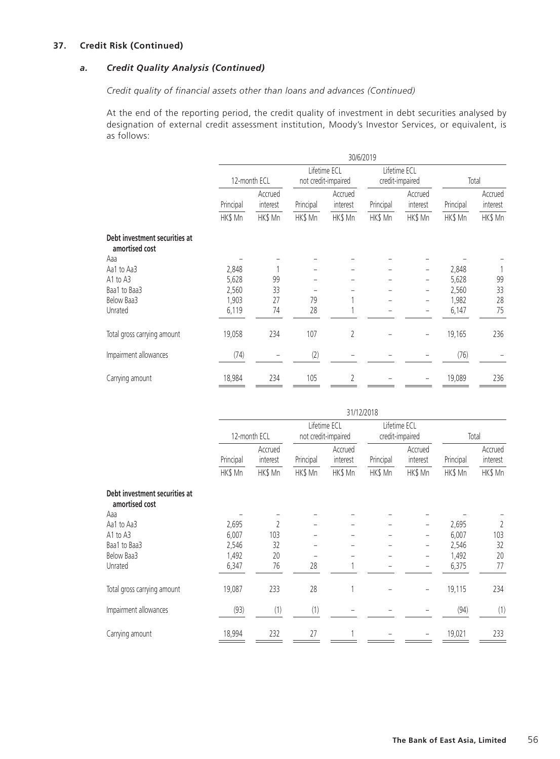## *a. Credit Quality Analysis (Continued)*

### *Credit quality of financial assets other than loans and advances (Continued)*

At the end of the reporting period, the credit quality of investment in debt securities analysed by designation of external credit assessment institution, Moody's Investor Services, or equivalent, is as follows:

|                                                 |           |                     |           |                                     | 30/6/2019 |                                 |           |                     |  |
|-------------------------------------------------|-----------|---------------------|-----------|-------------------------------------|-----------|---------------------------------|-----------|---------------------|--|
|                                                 |           | 12-month ECL        |           | Lifetime ECL<br>not credit-impaired |           | Lifetime ECL<br>credit-impaired |           | Total               |  |
|                                                 | Principal | Accrued<br>interest | Principal | Accrued<br>interest                 | Principal | Accrued<br>interest             | Principal | Accrued<br>interest |  |
|                                                 | HK\$ Mn   | HK\$ Mn             | HK\$ Mn   | HK\$ Mn                             | HK\$ Mn   | HK\$ Mn                         | HK\$ Mn   | HK\$ Mn             |  |
| Debt investment securities at<br>amortised cost |           |                     |           |                                     |           |                                 |           |                     |  |
| Aaa                                             |           |                     |           |                                     |           |                                 |           |                     |  |
| Aa1 to Aa3                                      | 2,848     |                     |           |                                     |           |                                 | 2,848     |                     |  |
| A1 to A3                                        | 5,628     | 99                  |           |                                     |           |                                 | 5,628     | 99                  |  |
| Baa1 to Baa3                                    | 2,560     | 33                  |           |                                     |           |                                 | 2,560     | 33                  |  |
| Below Baa3                                      | 1,903     | 27                  | 79        | 1                                   |           |                                 | 1,982     | 28                  |  |
| Unrated                                         | 6,119     | 74                  | 28        |                                     |           |                                 | 6,147     | 75                  |  |
| Total gross carrying amount                     | 19,058    | 234                 | 107       | 2                                   |           | $\overline{\phantom{0}}$        | 19,165    | 236                 |  |
| Impairment allowances                           | (74)      |                     | (2)       |                                     |           |                                 | (76)      |                     |  |
| Carrying amount                                 | 18,984    | 234                 | 105       | 2                                   |           |                                 | 19,089    | 236                 |  |

|                                                 |           | 31/12/2018          |           |                                     |           |                                 |           |                     |  |
|-------------------------------------------------|-----------|---------------------|-----------|-------------------------------------|-----------|---------------------------------|-----------|---------------------|--|
|                                                 |           | 12-month ECL        |           | Lifetime ECL<br>not credit-impaired |           | Lifetime ECL<br>credit-impaired |           | Total               |  |
|                                                 | Principal | Accrued<br>interest | Principal | Accrued<br>interest                 | Principal | Accrued<br>interest             | Principal | Accrued<br>interest |  |
|                                                 | HK\$ Mn   | HK\$ Mn             | HK\$ Mn   | HK\$ Mn                             | HK\$ Mn   | HK\$ Mn                         | HK\$ Mn   | HK\$ Mn             |  |
| Debt investment securities at<br>amortised cost |           |                     |           |                                     |           |                                 |           |                     |  |
| Aaa                                             |           |                     |           |                                     |           |                                 |           |                     |  |
| Aa1 to Aa3                                      | 2,695     | $\overline{2}$      |           |                                     |           | -                               | 2,695     | 2                   |  |
| A1 to A3                                        | 6,007     | 103                 |           |                                     |           |                                 | 6,007     | 103                 |  |
| Baa1 to Baa3                                    | 2,546     | 32                  |           |                                     |           | -                               | 2,546     | 32                  |  |
| Below Baa3                                      | 1,492     | 20                  |           |                                     |           | -                               | 1,492     | 20                  |  |
| Unrated                                         | 6,347     | 76                  | 28        |                                     |           |                                 | 6,375     | 77                  |  |
| Total gross carrying amount                     | 19,087    | 233                 | 28        |                                     |           | $\qquad \qquad -$               | 19,115    | 234                 |  |
| Impairment allowances                           | (93)      | (1)                 | (1)       |                                     |           |                                 | (94)      | (1)                 |  |
| Carrying amount                                 | 18,994    | 232                 | 27        |                                     |           |                                 | 19,021    | 233                 |  |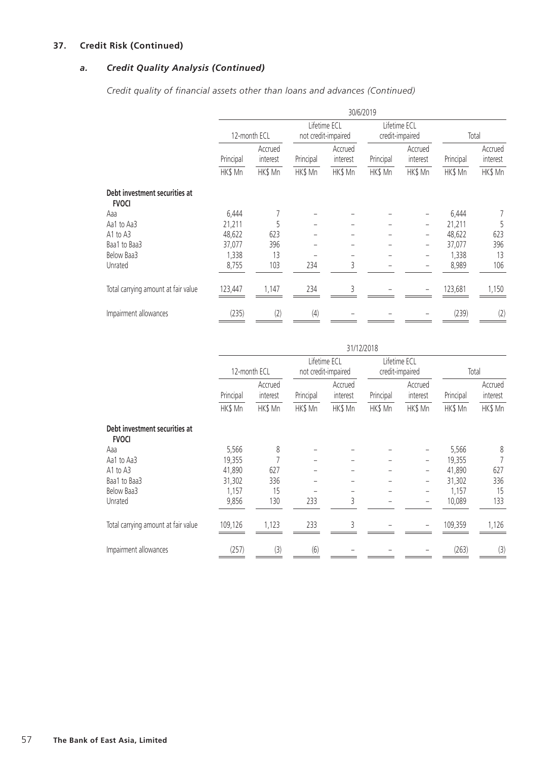# *a. Credit Quality Analysis (Continued)*

|                                               |           | 30/6/2019           |           |                                     |           |                                 |           |                     |  |  |
|-----------------------------------------------|-----------|---------------------|-----------|-------------------------------------|-----------|---------------------------------|-----------|---------------------|--|--|
|                                               |           | 12-month ECL        |           | Lifetime ECL<br>not credit-impaired |           | Lifetime ECL<br>credit-impaired |           | Total               |  |  |
|                                               | Principal | Accrued<br>interest | Principal | Accrued<br>interest                 | Principal | Accrued<br>interest             | Principal | Accrued<br>interest |  |  |
|                                               | HK\$ Mn   | HK\$ Mn             | HK\$ Mn   | HK\$ Mn                             | HK\$ Mn   | HK\$ Mn                         | HK\$ Mn   | HK\$ Mn             |  |  |
| Debt investment securities at<br><b>FVOCI</b> |           |                     |           |                                     |           |                                 |           |                     |  |  |
| Aaa                                           | 6,444     |                     |           |                                     |           |                                 | 6,444     |                     |  |  |
| Aa1 to Aa3                                    | 21,211    | 5                   |           |                                     |           |                                 | 21,211    | 5                   |  |  |
| A1 to A3                                      | 48,622    | 623                 |           |                                     |           | -                               | 48,622    | 623                 |  |  |
| Baa1 to Baa3                                  | 37,077    | 396                 |           |                                     |           |                                 | 37,077    | 396                 |  |  |
| Below Baa3                                    | 1,338     | 13                  |           |                                     |           |                                 | 1,338     | 13                  |  |  |
| Unrated                                       | 8,755     | 103                 | 234       | 3                                   |           |                                 | 8,989     | 106                 |  |  |
| Total carrying amount at fair value           | 123,447   | 1,147               | 234       | 3                                   |           | $\qquad \qquad -$               | 123,681   | 1,150               |  |  |
| Impairment allowances                         | (235)     | (2)                 | (4)       |                                     |           |                                 | (239)     | (2)                 |  |  |

|                                               | 31/12/2018   |                     |                                     |                     |                                 |                     |           |                     |
|-----------------------------------------------|--------------|---------------------|-------------------------------------|---------------------|---------------------------------|---------------------|-----------|---------------------|
|                                               | 12-month ECL |                     | Lifetime ECL<br>not credit-impaired |                     | Lifetime ECL<br>credit-impaired |                     | Total     |                     |
|                                               | Principal    | Accrued<br>interest | Principal                           | Accrued<br>interest | Principal                       | Accrued<br>interest | Principal | Accrued<br>interest |
|                                               | HK\$ Mn      | HK\$ Mn             | HK\$ Mn                             | HK\$ Mn             | HK\$ Mn                         | HK\$ Mn             | HK\$ Mn   | HK\$ Mn             |
| Debt investment securities at<br><b>FVOCI</b> |              |                     |                                     |                     |                                 |                     |           |                     |
| Aaa                                           | 5,566        | 8                   |                                     |                     |                                 |                     | 5,566     | 8                   |
| Aa1 to Aa3                                    | 19,355       |                     |                                     |                     |                                 | -                   | 19,355    |                     |
| A1 to A3                                      | 41,890       | 627                 |                                     |                     |                                 | -                   | 41,890    | 627                 |
| Baa1 to Baa3                                  | 31,302       | 336                 |                                     |                     |                                 | -                   | 31,302    | 336                 |
| Below Baa3                                    | 1,157        | 15                  |                                     |                     |                                 | -                   | 1,157     | 15                  |
| Unrated                                       | 9,856        | 130                 | 233                                 | 3                   |                                 |                     | 10,089    | 133                 |
| Total carrying amount at fair value           | 109,126      | 1,123               | 233                                 | 3                   |                                 |                     | 109,359   | 1,126               |
| Impairment allowances                         | (257)        | (3)                 | (6)                                 |                     |                                 |                     | (263)     | (3)                 |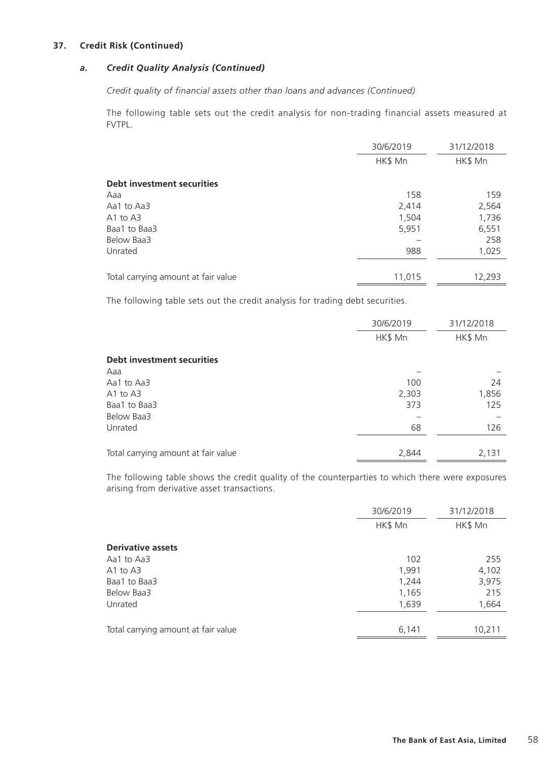### *a. Credit Quality Analysis (Continued)*

*Credit quality of financial assets other than loans and advances (Continued)*

The following table sets out the credit analysis for non-trading financial assets measured at FVTPL.

|                                     | 30/6/2019 | 31/12/2018 |  |
|-------------------------------------|-----------|------------|--|
|                                     | HK\$ Mn   | HK\$ Mn    |  |
| <b>Debt investment securities</b>   |           |            |  |
| Aaa                                 | 158       | 159        |  |
| Aa1 to Aa3                          | 2,414     | 2,564      |  |
| $A1$ to $A3$                        | 1,504     | 1,736      |  |
| Baa1 to Baa3                        | 5,951     | 6,551      |  |
| Below Baa3                          |           | 258        |  |
| Unrated                             | 988       | 1,025      |  |
|                                     |           |            |  |
| Total carrying amount at fair value | 11,015    | 12,293     |  |

The following table sets out the credit analysis for trading debt securities.

|                                     | 30/6/2019 | 31/12/2018 |
|-------------------------------------|-----------|------------|
|                                     | HK\$ Mn   |            |
| <b>Debt investment securities</b>   |           |            |
| Aaa                                 |           |            |
| Aa1 to Aa3                          | 100       | 24         |
| $A1$ to $A3$                        | 2,303     | 1,856      |
| Baa1 to Baa3                        | 373       | 125        |
| Below Baa3                          |           |            |
| Unrated                             | 68        | 126        |
|                                     |           |            |
| Total carrying amount at fair value | 2,844     | 2,131      |

The following table shows the credit quality of the counterparties to which there were exposures arising from derivative asset transactions.

|                                     | 30/6/2019 | 31/12/2018 |
|-------------------------------------|-----------|------------|
|                                     | HK\$ Mn   | HK\$ Mn    |
| <b>Derivative assets</b>            |           |            |
| Aa1 to Aa3                          | 102       | 255        |
| $A1$ to $A3$                        | 1,991     | 4,102      |
| Baa1 to Baa3                        | 1,244     | 3,975      |
| Below Baa3                          | 1,165     | 215        |
| Unrated                             | 1,639     | 1,664      |
| Total carrying amount at fair value | 6,141     | 10,211     |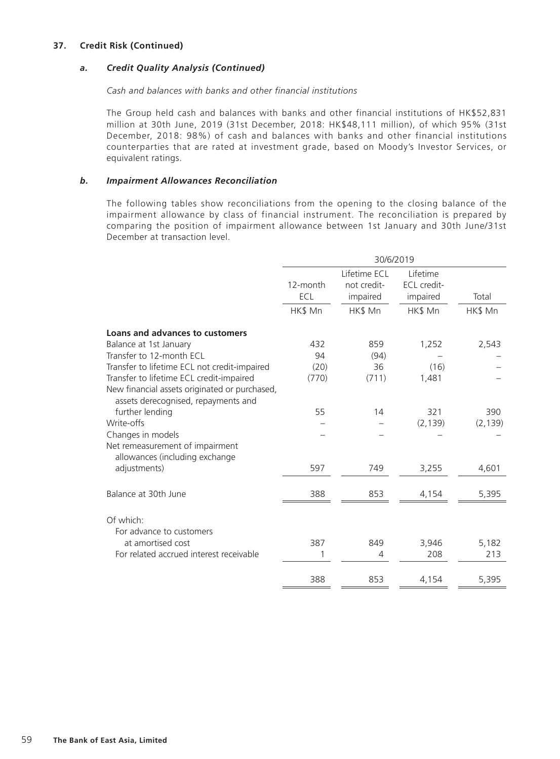### *a. Credit Quality Analysis (Continued)*

### *Cash and balances with banks and other financial institutions*

The Group held cash and balances with banks and other financial institutions of HK\$52,831 million at 30th June, 2019 (31st December, 2018: HK\$48,111 million), of which 95% (31st December, 2018: 98%) of cash and balances with banks and other financial institutions counterparties that are rated at investment grade, based on Moody's Investor Services, or equivalent ratings.

### *b. Impairment Allowances Reconciliation*

The following tables show reconciliations from the opening to the closing balance of the impairment allowance by class of financial instrument. The reconciliation is prepared by comparing the position of impairment allowance between 1st January and 30th June/31st December at transaction level.

|                                                                                      | 30/6/2019       |                                         |                                            |          |  |
|--------------------------------------------------------------------------------------|-----------------|-----------------------------------------|--------------------------------------------|----------|--|
|                                                                                      | 12-month<br>ECL | Lifetime ECL<br>not credit-<br>impaired | Lifetime<br><b>ECL</b> credit-<br>impaired | Total    |  |
|                                                                                      | HK\$ Mn         | HK\$ Mn                                 | HK\$ Mn                                    | HK\$ Mn  |  |
| Loans and advances to customers                                                      |                 |                                         |                                            |          |  |
| Balance at 1st January                                                               | 432             | 859                                     | 1,252                                      | 2,543    |  |
| Transfer to 12-month ECL                                                             | 94              | (94)                                    |                                            |          |  |
| Transfer to lifetime ECL not credit-impaired                                         | (20)            | 36                                      | (16)                                       |          |  |
| Transfer to lifetime ECL credit-impaired                                             | (770)           | (711)                                   | 1,481                                      |          |  |
| New financial assets originated or purchased,<br>assets derecognised, repayments and |                 |                                         |                                            |          |  |
| further lending                                                                      | 55              | 14                                      | 321                                        | 390      |  |
| Write-offs                                                                           |                 |                                         | (2, 139)                                   | (2, 139) |  |
| Changes in models                                                                    |                 |                                         |                                            |          |  |
| Net remeasurement of impairment<br>allowances (including exchange                    |                 |                                         |                                            |          |  |
| adjustments)                                                                         | 597             | 749                                     | 3,255                                      | 4,601    |  |
| Balance at 30th June                                                                 | 388             | 853                                     | 4,154                                      | 5,395    |  |
| Of which:                                                                            |                 |                                         |                                            |          |  |
| For advance to customers                                                             |                 |                                         |                                            |          |  |
| at amortised cost                                                                    | 387             | 849                                     | 3,946                                      | 5,182    |  |
| For related accrued interest receivable                                              | 1               | 4                                       | 208                                        | 213      |  |
|                                                                                      | 388             | 853                                     | 4,154                                      | 5,395    |  |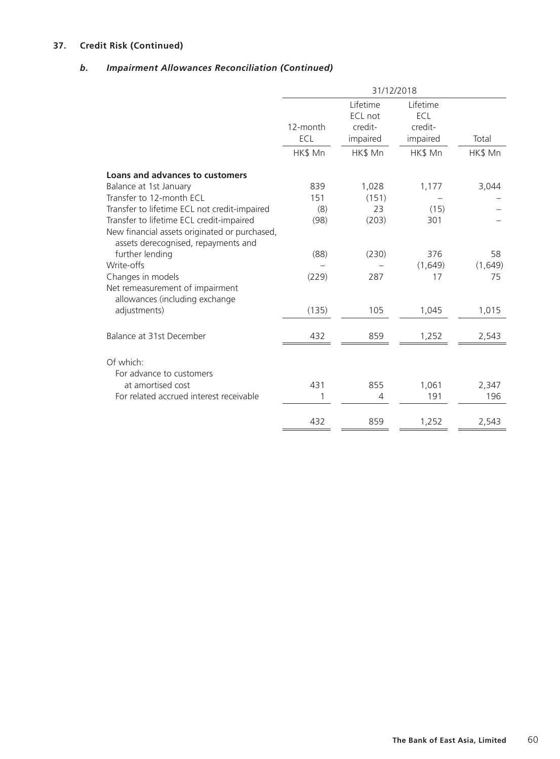# *b. Impairment Allowances Reconciliation (Continued)*

|                                                                                        | 31/12/2018      |                     |                     |         |  |
|----------------------------------------------------------------------------------------|-----------------|---------------------|---------------------|---------|--|
|                                                                                        |                 | Lifetime<br>ECL not | Lifetime<br>ECL     |         |  |
|                                                                                        | 12-month<br>ECL | credit-<br>impaired | credit-<br>impaired | Total   |  |
|                                                                                        | HK\$ Mn         | HK\$ Mn             | HK\$ Mn             | HK\$ Mn |  |
| Loans and advances to customers                                                        |                 |                     |                     |         |  |
| Balance at 1st January                                                                 | 839             | 1,028               | 1,177               | 3,044   |  |
| Transfer to 12-month ECL                                                               | 151             | (151)               |                     |         |  |
| Transfer to lifetime ECL not credit-impaired                                           | (8)             | 23                  | (15)                |         |  |
| Transfer to lifetime ECL credit-impaired                                               | (98)            | (203)               | 301                 |         |  |
| New financial assets originated or purchased,<br>assets derecognised, repayments and   |                 |                     |                     |         |  |
| further lending                                                                        | (88)            | (230)               | 376                 | 58      |  |
| Write-offs                                                                             |                 |                     | (1,649)             | (1,649) |  |
| Changes in models<br>Net remeasurement of impairment<br>allowances (including exchange | (229)           | 287                 | 17                  | 75      |  |
| adjustments)                                                                           | (135)           | 105                 | 1,045               | 1,015   |  |
| Balance at 31st December                                                               | 432             | 859                 | 1,252               | 2,543   |  |
| Of which:                                                                              |                 |                     |                     |         |  |
| For advance to customers                                                               |                 |                     |                     |         |  |
| at amortised cost                                                                      | 431             | 855                 | 1,061               | 2,347   |  |
| For related accrued interest receivable                                                | 1               | 4                   | 191                 | 196     |  |
|                                                                                        | 432             | 859                 | 1,252               | 2,543   |  |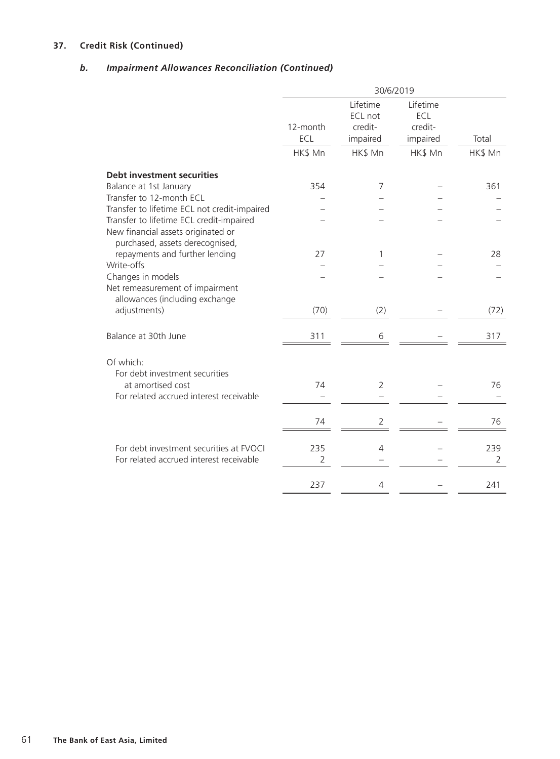# *b. Impairment Allowances Reconciliation (Continued)*

|                                                                                                                   | 30/6/2019       |                            |                     |                |  |
|-------------------------------------------------------------------------------------------------------------------|-----------------|----------------------------|---------------------|----------------|--|
|                                                                                                                   |                 | Lifetime<br><b>ECL not</b> | Lifetime<br>ECL     |                |  |
|                                                                                                                   | 12-month<br>ECL | credit-<br>impaired        | credit-<br>impaired | Total          |  |
|                                                                                                                   | HK\$ Mn         | HK\$ Mn                    | HK\$ Mn             | HK\$ Mn        |  |
| <b>Debt investment securities</b>                                                                                 |                 |                            |                     |                |  |
| Balance at 1st January                                                                                            | 354             | 7                          |                     | 361            |  |
| Transfer to 12-month ECL                                                                                          |                 |                            |                     |                |  |
| Transfer to lifetime ECL not credit-impaired                                                                      |                 |                            |                     |                |  |
| Transfer to lifetime ECL credit-impaired<br>New financial assets originated or<br>purchased, assets derecognised, |                 |                            |                     |                |  |
| repayments and further lending                                                                                    | 27              | 1                          |                     | 28             |  |
| Write-offs                                                                                                        |                 |                            |                     |                |  |
| Changes in models                                                                                                 |                 |                            |                     |                |  |
| Net remeasurement of impairment<br>allowances (including exchange                                                 |                 |                            |                     |                |  |
| adjustments)                                                                                                      | (70)            | (2)                        |                     | (72)           |  |
| Balance at 30th June                                                                                              | 311             | 6                          |                     | 317            |  |
| Of which:                                                                                                         |                 |                            |                     |                |  |
| For debt investment securities                                                                                    |                 |                            |                     |                |  |
| at amortised cost                                                                                                 | 74              | $\overline{2}$             |                     | 76             |  |
| For related accrued interest receivable                                                                           |                 |                            |                     |                |  |
|                                                                                                                   | 74              | $\overline{2}$             |                     | 76             |  |
| For debt investment securities at FVOCI                                                                           | 235             | 4                          |                     | 239            |  |
| For related accrued interest receivable                                                                           | 2               |                            |                     | $\overline{2}$ |  |
|                                                                                                                   |                 |                            |                     |                |  |
|                                                                                                                   | 237             | 4                          |                     | 241            |  |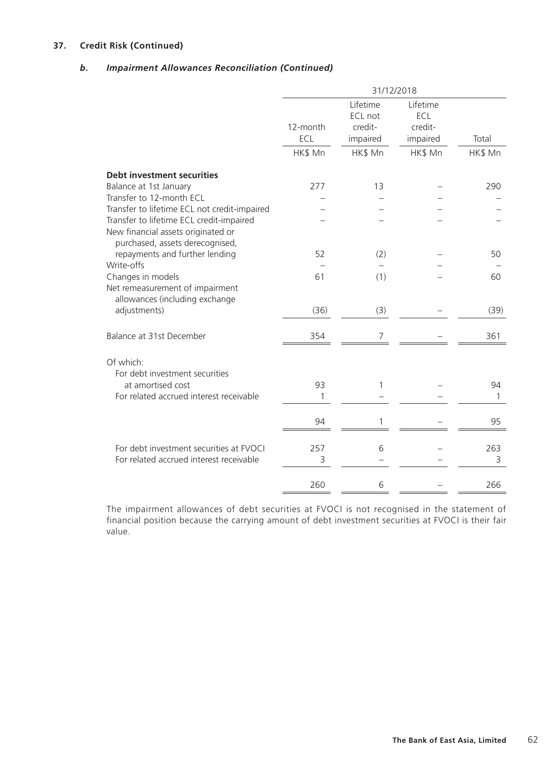## *b. Impairment Allowances Reconciliation (Continued)*

|                                                                       | 31/12/2018 |                                |                            |         |
|-----------------------------------------------------------------------|------------|--------------------------------|----------------------------|---------|
|                                                                       | 12-month   | Lifetime<br>ECL not<br>credit- | Lifetime<br>ECL<br>credit- |         |
|                                                                       | ECL        | impaired                       | impaired                   | Total   |
|                                                                       | HK\$ Mn    | HK\$ Mn                        | HK\$ Mn                    | HK\$ Mn |
| <b>Debt investment securities</b>                                     |            |                                |                            |         |
| Balance at 1st January                                                | 277        | 13                             |                            | 290     |
| Transfer to 12-month ECL                                              |            |                                |                            |         |
| Transfer to lifetime ECL not credit-impaired                          |            |                                |                            |         |
| Transfer to lifetime ECL credit-impaired                              |            |                                |                            |         |
| New financial assets originated or<br>purchased, assets derecognised, |            |                                |                            |         |
| repayments and further lending                                        | 52         | (2)                            |                            | 50      |
| Write-offs                                                            |            |                                |                            |         |
| Changes in models                                                     | 61         | (1)                            |                            | 60      |
| Net remeasurement of impairment<br>allowances (including exchange     |            |                                |                            |         |
| adjustments)                                                          | (36)       | (3)                            |                            | (39)    |
| Balance at 31st December                                              | 354        | $\overline{7}$                 |                            | 361     |
| Of which:                                                             |            |                                |                            |         |
| For debt investment securities                                        |            |                                |                            |         |
| at amortised cost                                                     | 93         | 1                              |                            | 94      |
| For related accrued interest receivable                               | 1          |                                |                            | 1       |
|                                                                       |            |                                |                            |         |
|                                                                       | 94         |                                |                            | 95      |
|                                                                       |            |                                |                            |         |
| For debt investment securities at FVOCI                               | 257        | 6                              |                            | 263     |
| For related accrued interest receivable                               | 3          |                                |                            | 3       |
|                                                                       | 260        | 6                              |                            | 266     |
|                                                                       |            |                                |                            |         |

The impairment allowances of debt securities at FVOCI is not recognised in the statement of financial position because the carrying amount of debt investment securities at FVOCI is their fair value.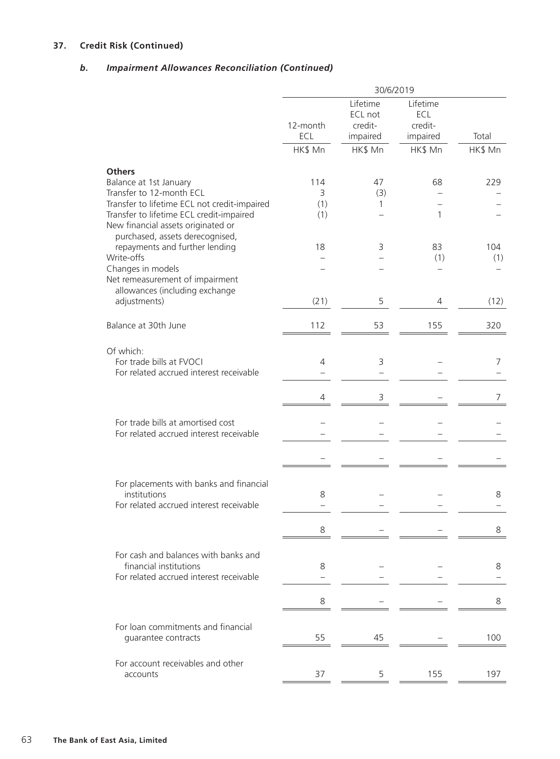# *b. Impairment Allowances Reconciliation (Continued)*

|                                                                                                                   |                 | 30/6/2019                                  |                                        |            |
|-------------------------------------------------------------------------------------------------------------------|-----------------|--------------------------------------------|----------------------------------------|------------|
|                                                                                                                   | 12-month<br>ECL | Lifetime<br>ECL not<br>credit-<br>impaired | Lifetime<br>ECL<br>credit-<br>impaired | Total      |
|                                                                                                                   | HK\$ Mn         | HK\$ Mn                                    | HK\$ Mn                                | HK\$ Mn    |
| <b>Others</b>                                                                                                     |                 |                                            |                                        |            |
| Balance at 1st January<br>Transfer to 12-month ECL                                                                | 114<br>3        | 47                                         | 68                                     | 229        |
| Transfer to lifetime ECL not credit-impaired                                                                      | (1)             | (3)<br>1                                   |                                        |            |
| Transfer to lifetime ECL credit-impaired<br>New financial assets originated or<br>purchased, assets derecognised, | (1)             |                                            | 1                                      |            |
| repayments and further lending<br>Write-offs                                                                      | 18              | 3                                          | 83<br>(1)                              | 104<br>(1) |
| Changes in models<br>Net remeasurement of impairment                                                              |                 |                                            |                                        |            |
| allowances (including exchange<br>adjustments)                                                                    | (21)            | 5                                          | $\overline{4}$                         | (12)       |
| Balance at 30th June                                                                                              | 112             | 53                                         | 155                                    | 320        |
| Of which:<br>For trade bills at FVOCI<br>For related accrued interest receivable                                  | $\overline{4}$  | 3                                          |                                        | 7          |
|                                                                                                                   | 4               | 3                                          |                                        | 7          |
| For trade bills at amortised cost<br>For related accrued interest receivable                                      |                 |                                            |                                        |            |
|                                                                                                                   |                 |                                            |                                        |            |
| For placements with banks and financial<br>institutions                                                           | 8               |                                            |                                        | 8          |
| For related accrued interest receivable                                                                           |                 |                                            |                                        |            |
|                                                                                                                   | 8               |                                            |                                        | 8          |
| For cash and balances with banks and<br>financial institutions<br>For related accrued interest receivable         | 8               |                                            |                                        | 8          |
|                                                                                                                   | 8               |                                            |                                        | 8          |
| For loan commitments and financial<br>guarantee contracts                                                         | 55              | 45                                         |                                        | 100        |
| For account receivables and other<br>accounts                                                                     | 37              | 5                                          | 155                                    | 197        |
|                                                                                                                   |                 |                                            |                                        |            |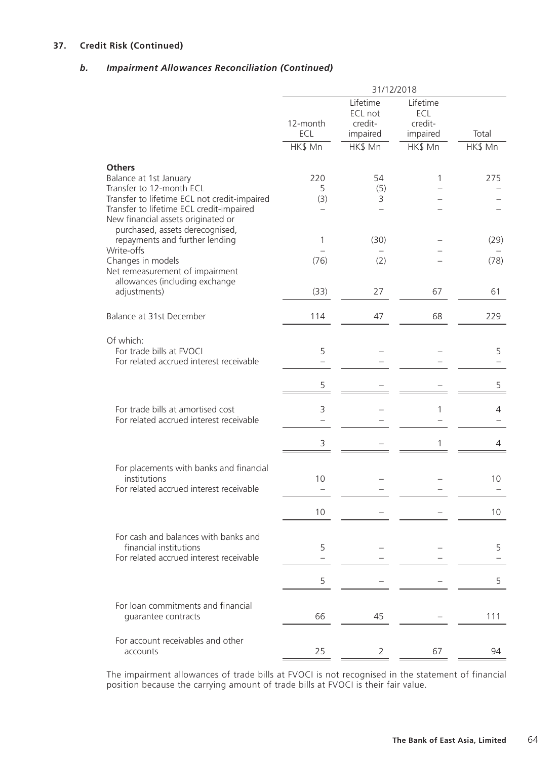### *b. Impairment Allowances Reconciliation (Continued)*

|                                                                                                                                                                   |                 | 31/12/2018                                 |                                        |         |
|-------------------------------------------------------------------------------------------------------------------------------------------------------------------|-----------------|--------------------------------------------|----------------------------------------|---------|
|                                                                                                                                                                   | 12-month<br>ECL | Lifetime<br>ECL not<br>credit-<br>impaired | Lifetime<br>ECL<br>credit-<br>impaired | Total   |
|                                                                                                                                                                   | HK\$ Mn         | HK\$ Mn                                    | HK\$ Mn                                | HK\$ Mn |
| <b>Others</b><br>Balance at 1st January                                                                                                                           | 220             | 54                                         | 1                                      | 275     |
| Transfer to 12-month ECL                                                                                                                                          | 5               | (5)                                        |                                        |         |
| Transfer to lifetime ECL not credit-impaired<br>Transfer to lifetime ECL credit-impaired<br>New financial assets originated or<br>purchased, assets derecognised, | (3)             | 3                                          |                                        |         |
| repayments and further lending<br>Write-offs                                                                                                                      | 1               | (30)                                       |                                        | (29)    |
| Changes in models<br>Net remeasurement of impairment<br>allowances (including exchange                                                                            | (76)            | (2)                                        |                                        | (78)    |
| adjustments)                                                                                                                                                      | (33)            | 27                                         | 67                                     | 61      |
| Balance at 31st December                                                                                                                                          | 114             | 47                                         | 68                                     | 229     |
| Of which:<br>For trade bills at FVOCI<br>For related accrued interest receivable                                                                                  | 5               |                                            |                                        | 5       |
|                                                                                                                                                                   | 5               |                                            |                                        | 5       |
| For trade bills at amortised cost<br>For related accrued interest receivable                                                                                      | 3               |                                            | 1                                      | 4       |
|                                                                                                                                                                   | $\mathsf 3$     |                                            | 1                                      | 4       |
| For placements with banks and financial<br>institutions<br>For related accrued interest receivable                                                                | 10              |                                            |                                        | 10      |
|                                                                                                                                                                   | 10              |                                            |                                        | 10      |
| For cash and balances with banks and<br>financial institutions<br>For related accrued interest receivable                                                         | 5               |                                            |                                        | 5       |
|                                                                                                                                                                   | 5               |                                            |                                        | 5       |
| For loan commitments and financial<br>guarantee contracts                                                                                                         | 66              | 45                                         |                                        | 111     |
| For account receivables and other<br>accounts                                                                                                                     | 25              | 2                                          | 67                                     | 94      |

The impairment allowances of trade bills at FVOCI is not recognised in the statement of financial position because the carrying amount of trade bills at FVOCI is their fair value.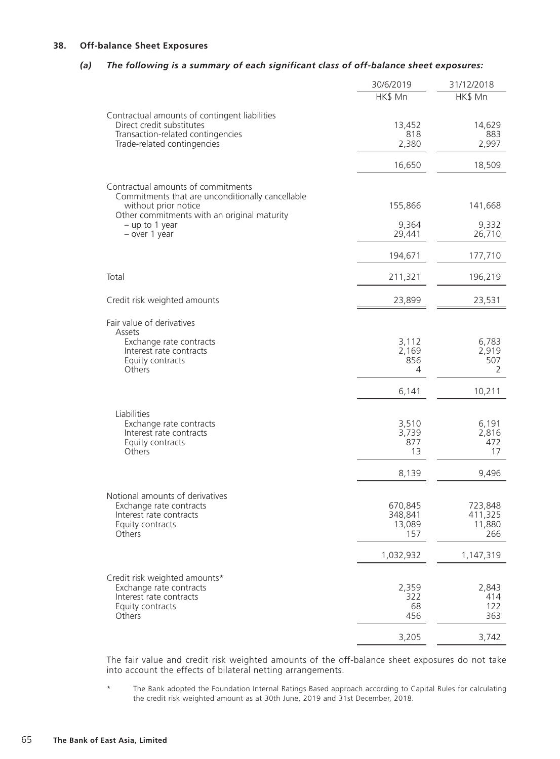#### **38. Off-balance Sheet Exposures**

### *(a) The following is a summary of each significant class of off-balance sheet exposures:*

|                                                                                        | 30/6/2019       | 31/12/2018      |
|----------------------------------------------------------------------------------------|-----------------|-----------------|
|                                                                                        | HK\$ Mn         | HK\$ Mn         |
| Contractual amounts of contingent liabilities                                          |                 |                 |
| Direct credit substitutes                                                              | 13,452<br>818   | 14,629<br>883   |
| Transaction-related contingencies<br>Trade-related contingencies                       | 2,380           | 2,997           |
|                                                                                        | 16,650          | 18,509          |
| Contractual amounts of commitments<br>Commitments that are unconditionally cancellable |                 |                 |
| without prior notice<br>Other commitments with an original maturity                    | 155,866         | 141,668         |
| $-$ up to 1 year<br>- over 1 year                                                      | 9,364<br>29,441 | 9,332<br>26,710 |
|                                                                                        | 194,671         | 177,710         |
| Total                                                                                  | 211,321         | 196,219         |
|                                                                                        |                 |                 |
| Credit risk weighted amounts                                                           | 23,899          | 23,531          |
| Fair value of derivatives<br>Assets                                                    |                 |                 |
| Exchange rate contracts                                                                | 3,112           | 6,783           |
| Interest rate contracts<br>Equity contracts                                            | 2,169<br>856    | 2,919<br>507    |
| Others                                                                                 | 4               | 2               |
|                                                                                        | 6,141           | 10,211          |
| Liabilities                                                                            |                 |                 |
| Exchange rate contracts                                                                | 3,510           | 6,191           |
| Interest rate contracts<br>Equity contracts                                            | 3,739<br>877    | 2,816<br>472    |
| Others                                                                                 | 13              | 17              |
|                                                                                        | 8,139           | 9,496           |
| Notional amounts of derivatives                                                        |                 |                 |
| Exchange rate contracts                                                                | 670,845         | 723,848         |
| Interest rate contracts                                                                | 348,841         | 411,325         |
| Equity contracts<br>Others                                                             | 13,089<br>157   | 11,880<br>266   |
|                                                                                        | 1,032,932       | 1,147,319       |
| Credit risk weighted amounts*                                                          |                 |                 |
| Exchange rate contracts                                                                | 2,359           | 2,843           |
| Interest rate contracts<br>Equity contracts                                            | 322<br>68       | 414<br>122      |
| Others                                                                                 | 456             | 363             |
|                                                                                        | 3,205           | 3,742           |
|                                                                                        |                 |                 |

The fair value and credit risk weighted amounts of the off-balance sheet exposures do not take into account the effects of bilateral netting arrangements.

\* The Bank adopted the Foundation Internal Ratings Based approach according to Capital Rules for calculating the credit risk weighted amount as at 30th June, 2019 and 31st December, 2018.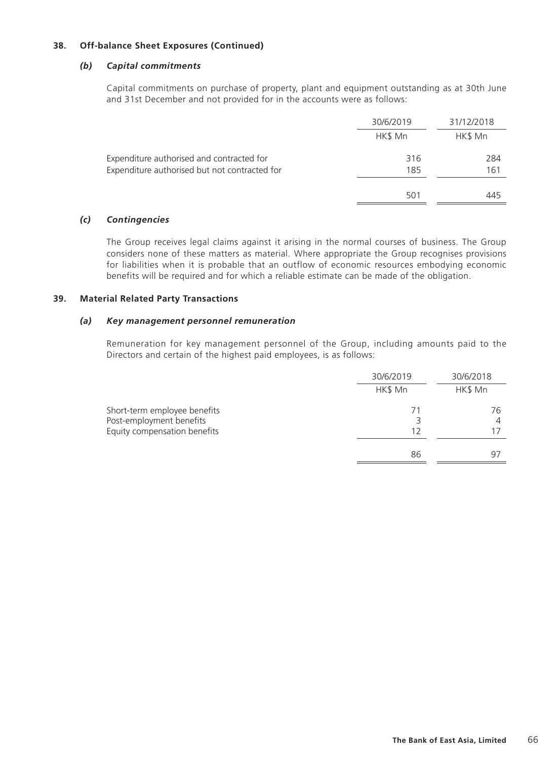### **38. Off-balance Sheet Exposures (Continued)**

#### *(b) Capital commitments*

Capital commitments on purchase of property, plant and equipment outstanding as at 30th June and 31st December and not provided for in the accounts were as follows:

|                                                                                            | 30/6/2019  | 31/12/2018 |
|--------------------------------------------------------------------------------------------|------------|------------|
|                                                                                            | HK\$ Mn    | HK\$ Mn    |
| Expenditure authorised and contracted for<br>Expenditure authorised but not contracted for | 316<br>185 | 284<br>161 |
|                                                                                            | 501        | 445        |

### *(c) Contingencies*

The Group receives legal claims against it arising in the normal courses of business. The Group considers none of these matters as material. Where appropriate the Group recognises provisions for liabilities when it is probable that an outflow of economic resources embodying economic benefits will be required and for which a reliable estimate can be made of the obligation.

### **39. Material Related Party Transactions**

### *(a) Key management personnel remuneration*

Remuneration for key management personnel of the Group, including amounts paid to the Directors and certain of the highest paid employees, is as follows:

|                              | 30/6/2019 | 30/6/2018 |
|------------------------------|-----------|-----------|
|                              | HK\$ Mn   | HK\$ Mn   |
| Short-term employee benefits | 71        | 76        |
| Post-employment benefits     |           | 4         |
| Equity compensation benefits | 12        |           |
|                              | 86        |           |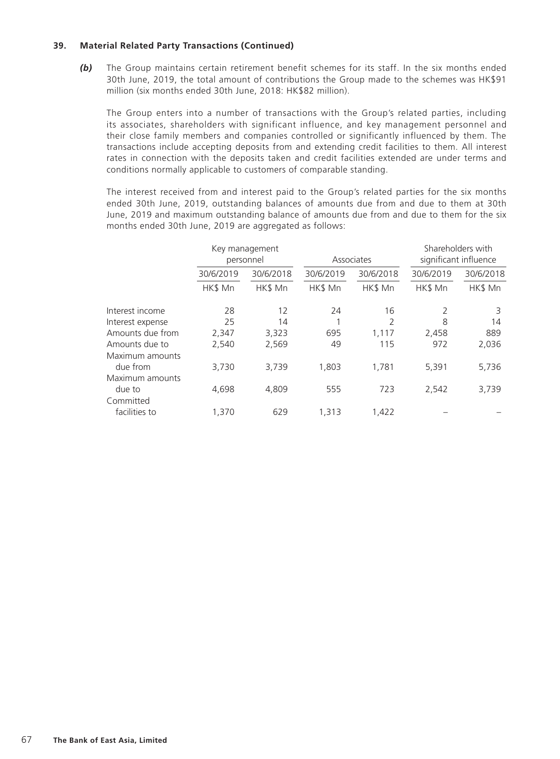#### **39. Material Related Party Transactions (Continued)**

*(b)* The Group maintains certain retirement benefit schemes for its staff. In the six months ended 30th June, 2019, the total amount of contributions the Group made to the schemes was HK\$91 million (six months ended 30th June, 2018: HK\$82 million).

The Group enters into a number of transactions with the Group's related parties, including its associates, shareholders with significant influence, and key management personnel and their close family members and companies controlled or significantly influenced by them. The transactions include accepting deposits from and extending credit facilities to them. All interest rates in connection with the deposits taken and credit facilities extended are under terms and conditions normally applicable to customers of comparable standing.

The interest received from and interest paid to the Group's related parties for the six months ended 30th June, 2019, outstanding balances of amounts due from and due to them at 30th June, 2019 and maximum outstanding balance of amounts due from and due to them for the six months ended 30th June, 2019 are aggregated as follows:

|                             | Key management<br>personnel |           |           | Associates | Shareholders with<br>significant influence |           |
|-----------------------------|-----------------------------|-----------|-----------|------------|--------------------------------------------|-----------|
|                             | 30/6/2019                   | 30/6/2018 | 30/6/2019 | 30/6/2018  | 30/6/2019                                  | 30/6/2018 |
|                             | HK\$ Mn                     | HK\$ Mn   | HK\$ Mn   | HK\$ Mn    | HK\$ Mn                                    | HK\$ Mn   |
| Interest income             | 28                          | 12        | 24        | 16         | C,                                         | 3         |
| Interest expense            | 25                          | 14        |           | 2          | 8                                          | 14        |
| Amounts due from            | 2,347                       | 3,323     | 695       | 1,117      | 2,458                                      | 889       |
| Amounts due to              | 2,540                       | 2,569     | 49        | 115        | 972                                        | 2,036     |
| Maximum amounts<br>due from | 3,730                       | 3,739     | 1,803     | 1,781      | 5,391                                      | 5,736     |
| Maximum amounts<br>due to   | 4,698                       | 4,809     | 555       | 723        | 2,542                                      | 3,739     |
| Committed<br>facilities to  | 1,370                       | 629       | 1.313     | 1,422      |                                            |           |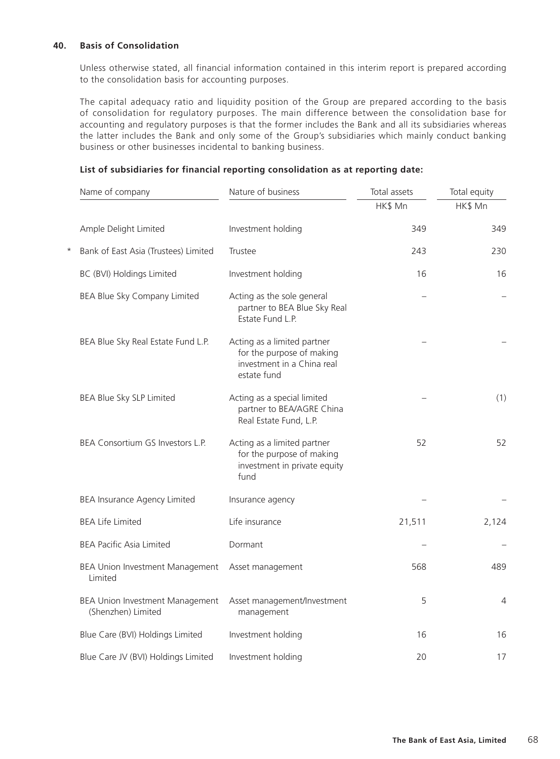### **40. Basis of Consolidation**

Unless otherwise stated, all financial information contained in this interim report is prepared according to the consolidation basis for accounting purposes.

The capital adequacy ratio and liquidity position of the Group are prepared according to the basis of consolidation for regulatory purposes. The main difference between the consolidation base for accounting and regulatory purposes is that the former includes the Bank and all its subsidiaries whereas the latter includes the Bank and only some of the Group's subsidiaries which mainly conduct banking business or other businesses incidental to banking business.

|          | Name of company                                       | Nature of business                                                                                    | Total assets | Total equity |
|----------|-------------------------------------------------------|-------------------------------------------------------------------------------------------------------|--------------|--------------|
|          |                                                       |                                                                                                       | HK\$ Mn      | HK\$ Mn      |
|          | Ample Delight Limited                                 | Investment holding                                                                                    | 349          | 349          |
| $^\star$ | Bank of East Asia (Trustees) Limited                  | Trustee                                                                                               | 243          | 230          |
|          | BC (BVI) Holdings Limited                             | Investment holding                                                                                    | 16           | 16           |
|          | BEA Blue Sky Company Limited                          | Acting as the sole general<br>partner to BEA Blue Sky Real<br>Estate Fund L.P.                        |              |              |
|          | BEA Blue Sky Real Estate Fund L.P.                    | Acting as a limited partner<br>for the purpose of making<br>investment in a China real<br>estate fund |              |              |
|          | BEA Blue Sky SLP Limited                              | Acting as a special limited<br>partner to BEA/AGRE China<br>Real Estate Fund, L.P.                    |              | (1)          |
|          | BEA Consortium GS Investors L.P.                      | Acting as a limited partner<br>for the purpose of making<br>investment in private equity<br>fund      | 52           | 52           |
|          | <b>BEA Insurance Agency Limited</b>                   | Insurance agency                                                                                      |              |              |
|          | <b>BEA Life Limited</b>                               | Life insurance                                                                                        | 21,511       | 2,124        |
|          | <b>BEA Pacific Asia Limited</b>                       | Dormant                                                                                               |              |              |
|          | BEA Union Investment Management<br>Limited            | Asset management                                                                                      | 568          | 489          |
|          | BEA Union Investment Management<br>(Shenzhen) Limited | Asset management/Investment<br>management                                                             | 5            | 4            |
|          | Blue Care (BVI) Holdings Limited                      | Investment holding                                                                                    | 16           | 16           |
|          | Blue Care JV (BVI) Holdings Limited                   | Investment holding                                                                                    | 20           | 17           |

### **List of subsidiaries for financial reporting consolidation as at reporting date:**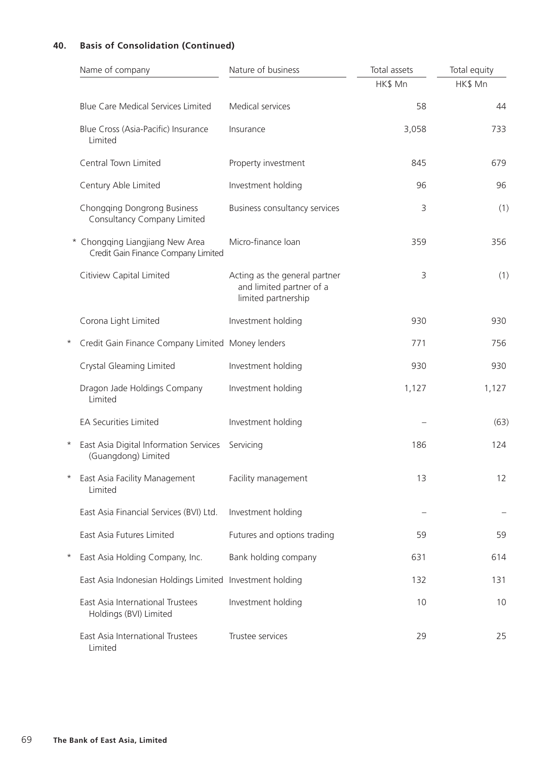# **40. Basis of Consolidation (Continued)**

|          | Name of company                                                          | Nature of business                                                               | Total assets | Total equity |
|----------|--------------------------------------------------------------------------|----------------------------------------------------------------------------------|--------------|--------------|
|          |                                                                          |                                                                                  | HK\$ Mn      | HK\$ Mn      |
|          | <b>Blue Care Medical Services Limited</b>                                | Medical services                                                                 | 58           | 44           |
|          | Blue Cross (Asia-Pacific) Insurance<br>Limited                           | Insurance                                                                        | 3,058        | 733          |
|          | Central Town Limited                                                     | Property investment                                                              | 845          | 679          |
|          | Century Able Limited                                                     | Investment holding                                                               | 96           | 96           |
|          | <b>Chongqing Dongrong Business</b><br><b>Consultancy Company Limited</b> | Business consultancy services                                                    | 3            | (1)          |
|          | * Chongqing Liangjiang New Area<br>Credit Gain Finance Company Limited   | Micro-finance loan                                                               | 359          | 356          |
|          | Citiview Capital Limited                                                 | Acting as the general partner<br>and limited partner of a<br>limited partnership | 3            | (1)          |
|          | Corona Light Limited                                                     | Investment holding                                                               | 930          | 930          |
| $^\star$ | Credit Gain Finance Company Limited Money lenders                        |                                                                                  | 771          | 756          |
|          | Crystal Gleaming Limited                                                 | Investment holding                                                               | 930          | 930          |
|          | Dragon Jade Holdings Company<br>Limited                                  | Investment holding                                                               | 1,127        | 1,127        |
|          | <b>EA Securities Limited</b>                                             | Investment holding                                                               |              | (63)         |
| $\star$  | East Asia Digital Information Services<br>(Guangdong) Limited            | Servicing                                                                        | 186          | 124          |
| $^\star$ | East Asia Facility Management<br>Limited                                 | Facility management                                                              | 13           | 12           |
|          | East Asia Financial Services (BVI) Ltd.                                  | Investment holding                                                               |              |              |
|          | East Asia Futures Limited                                                | Futures and options trading                                                      | 59           | 59           |
| $^\star$ | East Asia Holding Company, Inc.                                          | Bank holding company                                                             | 631          | 614          |
|          | East Asia Indonesian Holdings Limited Investment holding                 |                                                                                  | 132          | 131          |
|          | East Asia International Trustees<br>Holdings (BVI) Limited               | Investment holding                                                               | 10           | 10           |
|          | East Asia International Trustees<br>Limited                              | Trustee services                                                                 | 29           | 25           |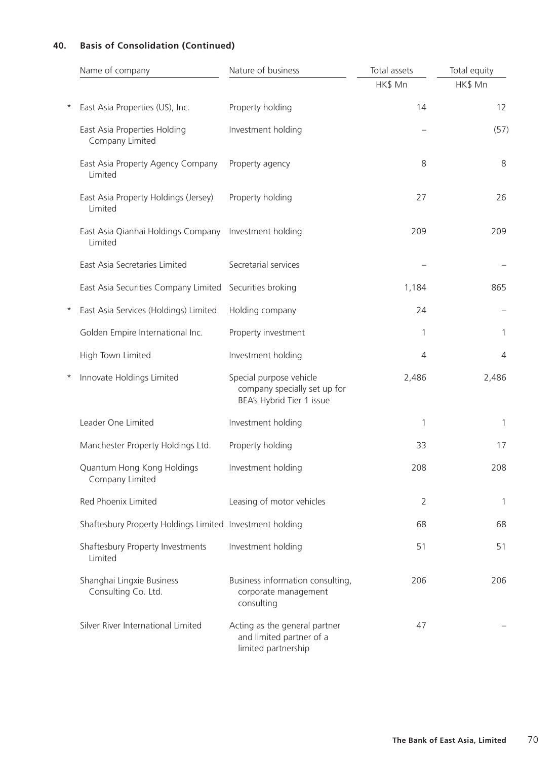# **40. Basis of Consolidation (Continued)**

|          | Name of company                                          | Nature of business                                                                   | Total assets | Total equity |
|----------|----------------------------------------------------------|--------------------------------------------------------------------------------------|--------------|--------------|
|          |                                                          |                                                                                      | HK\$ Mn      | HK\$ Mn      |
| $^\star$ | East Asia Properties (US), Inc.                          | Property holding                                                                     | 14           | 12           |
|          | East Asia Properties Holding<br>Company Limited          | Investment holding                                                                   |              | (57)         |
|          | East Asia Property Agency Company<br>Limited             | Property agency                                                                      | 8            | 8            |
|          | East Asia Property Holdings (Jersey)<br>Limited          | Property holding                                                                     | 27           | 26           |
|          | East Asia Qianhai Holdings Company<br>Limited            | Investment holding                                                                   | 209          | 209          |
|          | East Asia Secretaries Limited                            | Secretarial services                                                                 |              |              |
|          | East Asia Securities Company Limited                     | Securities broking                                                                   | 1,184        | 865          |
| $^\star$ | East Asia Services (Holdings) Limited                    | Holding company                                                                      | 24           |              |
|          | Golden Empire International Inc.                         | Property investment                                                                  | 1            | 1            |
|          | High Town Limited                                        | Investment holding                                                                   | 4            | 4            |
| $^\star$ | Innovate Holdings Limited                                | Special purpose vehicle<br>company specially set up for<br>BEA's Hybrid Tier 1 issue | 2,486        | 2,486        |
|          | Leader One Limited                                       | Investment holding                                                                   | 1            | 1            |
|          | Manchester Property Holdings Ltd.                        | Property holding                                                                     | 33           | 17           |
|          | Quantum Hong Kong Holdings<br>Company Limited            | Investment holding                                                                   | 208          | 208          |
|          | Red Phoenix Limited                                      | Leasing of motor vehicles                                                            | 2            | 1            |
|          | Shaftesbury Property Holdings Limited Investment holding |                                                                                      | 68           | 68           |
|          | Shaftesbury Property Investments<br>Limited              | Investment holding                                                                   | 51           | 51           |
|          | Shanghai Lingxie Business<br>Consulting Co. Ltd.         | Business information consulting,<br>corporate management<br>consulting               | 206          | 206          |
|          | Silver River International Limited                       | Acting as the general partner<br>and limited partner of a<br>limited partnership     | 47           |              |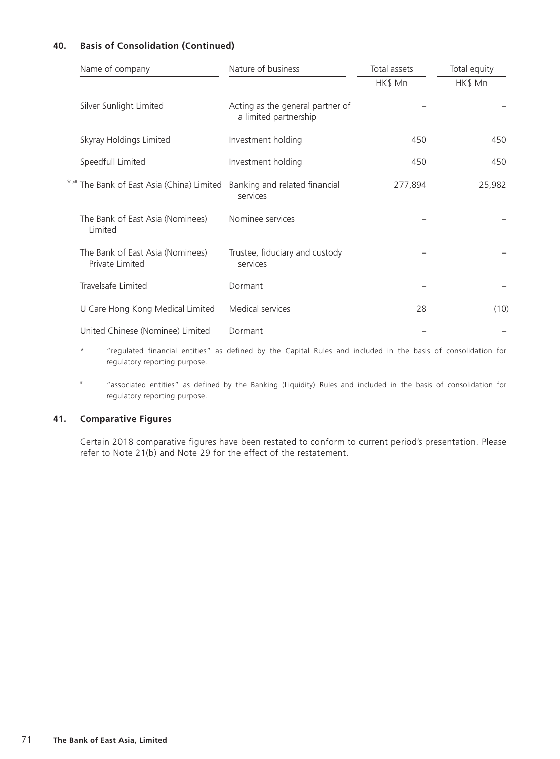### **40. Basis of Consolidation (Continued)**

| Name of company                                                         | Nature of business                                        | Total assets | Total equity |
|-------------------------------------------------------------------------|-----------------------------------------------------------|--------------|--------------|
|                                                                         |                                                           | HK\$ Mn      | HK\$ Mn      |
| Silver Sunlight Limited                                                 | Acting as the general partner of<br>a limited partnership |              |              |
| Skyray Holdings Limited                                                 | Investment holding                                        | 450          | 450          |
| Speedfull Limited                                                       | Investment holding                                        | 450          | 450          |
| */# The Bank of East Asia (China) Limited Banking and related financial | services                                                  | 277,894      | 25,982       |
| The Bank of East Asia (Nominees)<br>Limited                             | Nominee services                                          |              |              |
| The Bank of East Asia (Nominees)<br>Private Limited                     | Trustee, fiduciary and custody<br>services                |              |              |
| Travelsafe Limited                                                      | Dormant                                                   |              |              |
| U Care Hong Kong Medical Limited                                        | Medical services                                          | 28           | (10)         |
| United Chinese (Nominee) Limited                                        | Dormant                                                   |              |              |

- \* "regulated financial entities" as defined by the Capital Rules and included in the basis of consolidation for regulatory reporting purpose.
- # "associated entities" as defined by the Banking (Liquidity) Rules and included in the basis of consolidation for regulatory reporting purpose.

### **41. Comparative Figures**

Certain 2018 comparative figures have been restated to conform to current period's presentation. Please refer to Note 21(b) and Note 29 for the effect of the restatement.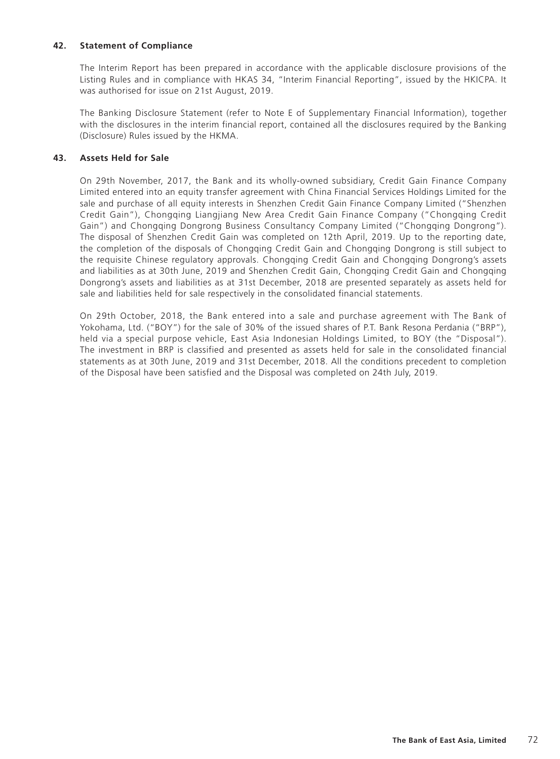### **42. Statement of Compliance**

The Interim Report has been prepared in accordance with the applicable disclosure provisions of the Listing Rules and in compliance with HKAS 34, "Interim Financial Reporting", issued by the HKICPA. It was authorised for issue on 21st August, 2019.

The Banking Disclosure Statement (refer to Note E of Supplementary Financial Information), together with the disclosures in the interim financial report, contained all the disclosures required by the Banking (Disclosure) Rules issued by the HKMA.

### **43. Assets Held for Sale**

On 29th November, 2017, the Bank and its wholly-owned subsidiary, Credit Gain Finance Company Limited entered into an equity transfer agreement with China Financial Services Holdings Limited for the sale and purchase of all equity interests in Shenzhen Credit Gain Finance Company Limited ("Shenzhen Credit Gain"), Chongqing Liangjiang New Area Credit Gain Finance Company ("Chongqing Credit Gain") and Chongqing Dongrong Business Consultancy Company Limited ("Chongqing Dongrong"). The disposal of Shenzhen Credit Gain was completed on 12th April, 2019. Up to the reporting date, the completion of the disposals of Chongqing Credit Gain and Chongqing Dongrong is still subject to the requisite Chinese regulatory approvals. Chongqing Credit Gain and Chongqing Dongrong's assets and liabilities as at 30th June, 2019 and Shenzhen Credit Gain, Chongqing Credit Gain and Chongqing Dongrong's assets and liabilities as at 31st December, 2018 are presented separately as assets held for sale and liabilities held for sale respectively in the consolidated financial statements.

On 29th October, 2018, the Bank entered into a sale and purchase agreement with The Bank of Yokohama, Ltd. ("BOY") for the sale of 30% of the issued shares of P.T. Bank Resona Perdania ("BRP"), held via a special purpose vehicle, East Asia Indonesian Holdings Limited, to BOY (the "Disposal"). The investment in BRP is classified and presented as assets held for sale in the consolidated financial statements as at 30th June, 2019 and 31st December, 2018. All the conditions precedent to completion of the Disposal have been satisfied and the Disposal was completed on 24th July, 2019.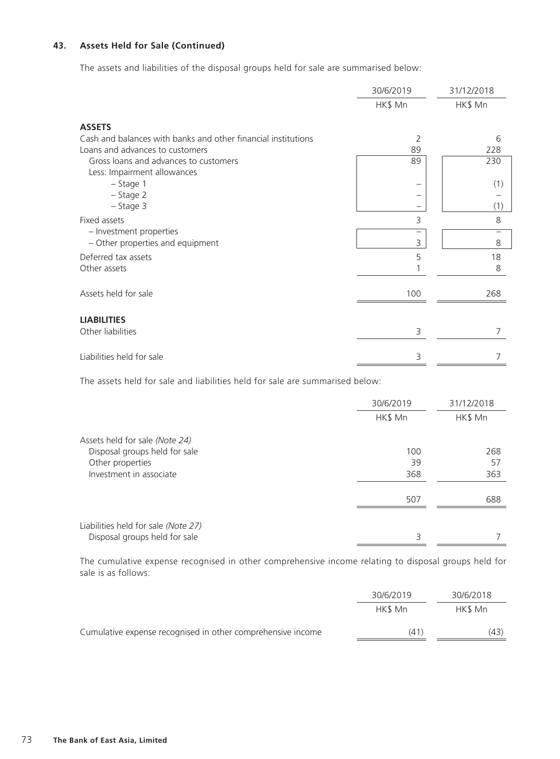### **43. Assets Held for Sale (Continued)**

The assets and liabilities of the disposal groups held for sale are summarised below:

|                                                               | 30/6/2019 | 31/12/2018 |
|---------------------------------------------------------------|-----------|------------|
|                                                               | HK\$ Mn   | HK\$ Mn    |
| <b>ASSETS</b>                                                 |           |            |
| Cash and balances with banks and other financial institutions | 2         | 6          |
| Loans and advances to customers                               | 89        | 228        |
| Gross loans and advances to customers                         | 89        | 230        |
| Less: Impairment allowances                                   |           |            |
| - Stage 1                                                     |           | (1)        |
| $-$ Stage 2                                                   |           |            |
| $-$ Stage 3                                                   |           | (1)        |
| Fixed assets                                                  | 3         | 8          |
| - Investment properties                                       |           |            |
| - Other properties and equipment                              | 3         | 8          |
| Deferred tax assets                                           | 5         | 18         |
| Other assets                                                  |           | 8          |
| Assets held for sale                                          | 100       | 268        |
| <b>LIABILITIES</b>                                            |           |            |
| Other liabilities                                             | 3         | 7          |
| Liabilities held for sale                                     | 3         |            |

The assets held for sale and liabilities held for sale are summarised below:

|                                                                      | 30/6/2019 | 31/12/2018 |
|----------------------------------------------------------------------|-----------|------------|
|                                                                      | HK\$ Mn   | HK\$ Mn    |
| Assets held for sale (Note 24)                                       |           |            |
| Disposal groups held for sale                                        | 100       | 268        |
| Other properties                                                     | 39        | 57         |
| Investment in associate                                              | 368       | 363        |
|                                                                      | 507       | 688        |
| Liabilities held for sale (Note 27)<br>Disposal groups held for sale | 3         |            |
|                                                                      |           |            |

The cumulative expense recognised in other comprehensive income relating to disposal groups held for sale is as follows:

|                                                             | 30/6/2019 | 30/6/2018 |
|-------------------------------------------------------------|-----------|-----------|
|                                                             | HK\$ Mn   | HK\$ Mn   |
| Cumulative expense recognised in other comprehensive income | (41)      | (43)      |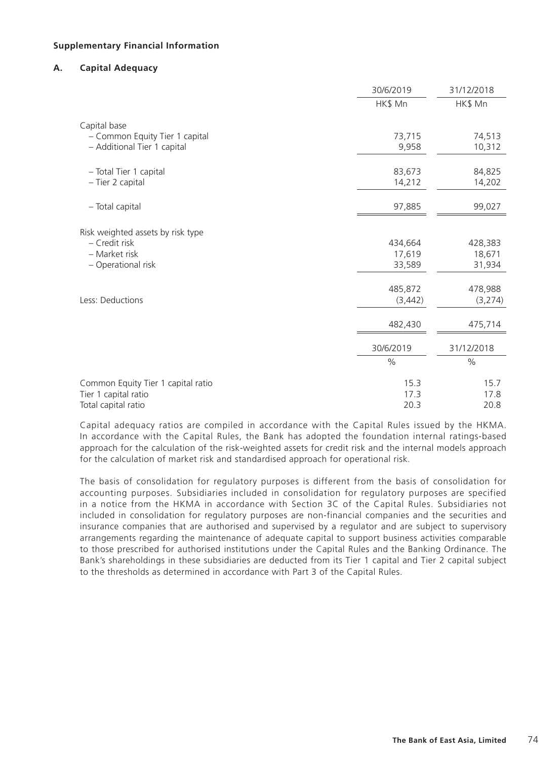### **Supplementary Financial Information**

### **A. Capital Adequacy**

|                                                               | 30/6/2019        | 31/12/2018       |
|---------------------------------------------------------------|------------------|------------------|
|                                                               | HK\$ Mn          | HK\$ Mn          |
| Capital base                                                  |                  |                  |
| - Common Equity Tier 1 capital<br>- Additional Tier 1 capital | 73,715<br>9,958  | 74,513<br>10,312 |
| - Total Tier 1 capital<br>- Tier 2 capital                    | 83,673<br>14,212 | 84,825<br>14,202 |
| - Total capital                                               | 97,885           | 99,027           |
| Risk weighted assets by risk type                             |                  |                  |
| - Credit risk                                                 | 434,664          | 428,383          |
| - Market risk                                                 | 17,619           | 18,671           |
| - Operational risk                                            | 33,589           | 31,934           |
|                                                               | 485,872          | 478,988          |
| Less: Deductions                                              | (3, 442)         | (3, 274)         |
|                                                               | 482,430          | 475,714          |
|                                                               | 30/6/2019        | 31/12/2018       |
|                                                               | $\frac{0}{0}$    | $\%$             |
| Common Equity Tier 1 capital ratio                            | 15.3             | 15.7             |
| Tier 1 capital ratio                                          | 17.3             | 17.8             |
| Total capital ratio                                           | 20.3             | 20.8             |

Capital adequacy ratios are compiled in accordance with the Capital Rules issued by the HKMA. In accordance with the Capital Rules, the Bank has adopted the foundation internal ratings-based approach for the calculation of the risk-weighted assets for credit risk and the internal models approach for the calculation of market risk and standardised approach for operational risk.

The basis of consolidation for regulatory purposes is different from the basis of consolidation for accounting purposes. Subsidiaries included in consolidation for regulatory purposes are specified in a notice from the HKMA in accordance with Section 3C of the Capital Rules. Subsidiaries not included in consolidation for regulatory purposes are non-financial companies and the securities and insurance companies that are authorised and supervised by a regulator and are subject to supervisory arrangements regarding the maintenance of adequate capital to support business activities comparable to those prescribed for authorised institutions under the Capital Rules and the Banking Ordinance. The Bank's shareholdings in these subsidiaries are deducted from its Tier 1 capital and Tier 2 capital subject to the thresholds as determined in accordance with Part 3 of the Capital Rules.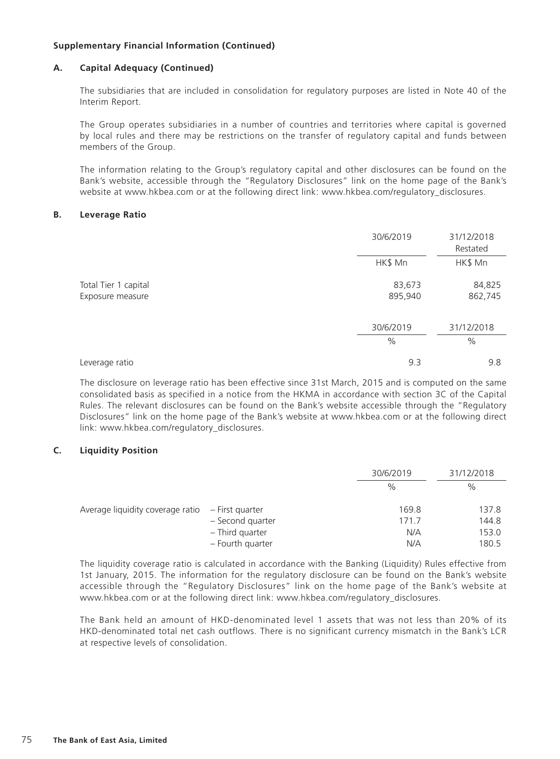### **A. Capital Adequacy (Continued)**

The subsidiaries that are included in consolidation for regulatory purposes are listed in Note 40 of the Interim Report.

The Group operates subsidiaries in a number of countries and territories where capital is governed by local rules and there may be restrictions on the transfer of regulatory capital and funds between members of the Group.

The information relating to the Group's regulatory capital and other disclosures can be found on the Bank's website, accessible through the "Regulatory Disclosures" link on the home page of the Bank's website at www.hkbea.com or at the following direct link: www.hkbea.com/regulatory\_disclosures.

#### **B. Leverage Ratio**

|                                          | 30/6/2019<br>HK\$ Mn       | 31/12/2018<br>Restated<br>HK\$ Mn |
|------------------------------------------|----------------------------|-----------------------------------|
| Total Tier 1 capital<br>Exposure measure | 83,673<br>895,940          | 84,825<br>862,745                 |
|                                          | 30/6/2019<br>$\frac{0}{0}$ | 31/12/2018<br>$\%$                |
| Leverage ratio                           | 9.3                        | 9.8                               |

The disclosure on leverage ratio has been effective since 31st March, 2015 and is computed on the same consolidated basis as specified in a notice from the HKMA in accordance with section 3C of the Capital Rules. The relevant disclosures can be found on the Bank's website accessible through the "Regulatory Disclosures" link on the home page of the Bank's website at www.hkbea.com or at the following direct link: www.hkbea.com/regulatory\_disclosures.

# **C. Liquidity Position**

|                                  |                  | 30/6/2019 | 31/12/2018 |
|----------------------------------|------------------|-----------|------------|
|                                  |                  | $\%$      | $\%$       |
| Average liquidity coverage ratio | – First quarter  | 169.8     | 137.8      |
|                                  | - Second quarter | 171.7     | 144.8      |
|                                  | - Third quarter  | N/A       | 153.0      |
|                                  | - Fourth quarter | N/A       | 180.5      |

The liquidity coverage ratio is calculated in accordance with the Banking (Liquidity) Rules effective from 1st January, 2015. The information for the regulatory disclosure can be found on the Bank's website accessible through the "Regulatory Disclosures" link on the home page of the Bank's website at www.hkbea.com or at the following direct link: www.hkbea.com/regulatory\_disclosures.

The Bank held an amount of HKD-denominated level 1 assets that was not less than 20% of its HKD-denominated total net cash outflows. There is no significant currency mismatch in the Bank's LCR at respective levels of consolidation.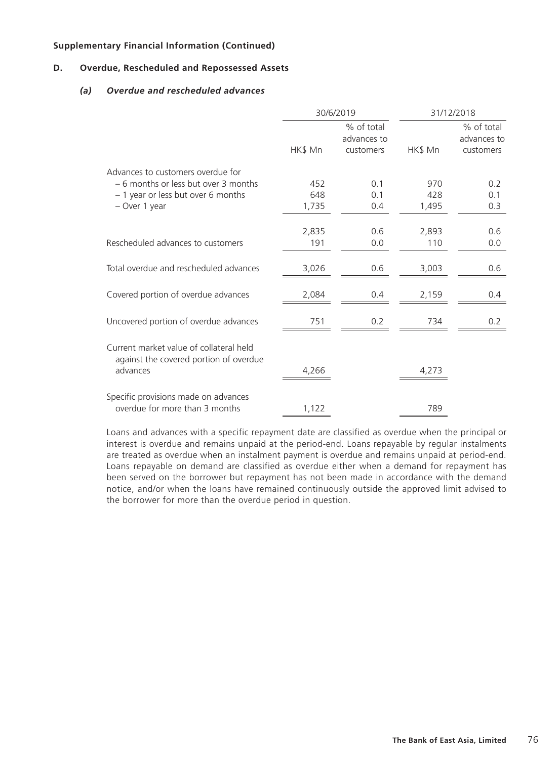## **D. Overdue, Rescheduled and Repossessed Assets**

# *(a) Overdue and rescheduled advances*

|                                                                                   | 30/6/2019 |                                        | 31/12/2018 |                                        |
|-----------------------------------------------------------------------------------|-----------|----------------------------------------|------------|----------------------------------------|
|                                                                                   | HK\$ Mn   | % of total<br>advances to<br>customers | HK\$ Mn    | % of total<br>advances to<br>customers |
| Advances to customers overdue for                                                 |           |                                        |            |                                        |
| - 6 months or less but over 3 months                                              | 452       | 0.1                                    | 970        | 0.2                                    |
| - 1 year or less but over 6 months                                                | 648       | 0.1                                    | 428        | 0.1                                    |
| - Over 1 year                                                                     | 1,735     | 0.4                                    | 1,495      | 0.3                                    |
|                                                                                   |           |                                        |            |                                        |
|                                                                                   | 2,835     | 0.6                                    | 2,893      | 0.6                                    |
| Rescheduled advances to customers                                                 | 191       | 0.0                                    | 110        | 0.0                                    |
|                                                                                   |           |                                        |            |                                        |
| Total overdue and rescheduled advances                                            | 3,026     | 0.6                                    | 3,003      | 0.6                                    |
|                                                                                   |           |                                        |            |                                        |
| Covered portion of overdue advances                                               | 2,084     | 0.4                                    | 2,159      | 0.4                                    |
|                                                                                   |           |                                        |            |                                        |
| Uncovered portion of overdue advances                                             | 751       | 0.2                                    | 734        | 0.2                                    |
|                                                                                   |           |                                        |            |                                        |
| Current market value of collateral held<br>against the covered portion of overdue |           |                                        |            |                                        |
| advances                                                                          | 4,266     |                                        | 4,273      |                                        |
|                                                                                   |           |                                        |            |                                        |
| Specific provisions made on advances                                              |           |                                        |            |                                        |
| overdue for more than 3 months                                                    | 1,122     |                                        | 789        |                                        |
|                                                                                   |           |                                        |            |                                        |

Loans and advances with a specific repayment date are classified as overdue when the principal or interest is overdue and remains unpaid at the period-end. Loans repayable by regular instalments are treated as overdue when an instalment payment is overdue and remains unpaid at period-end. Loans repayable on demand are classified as overdue either when a demand for repayment has been served on the borrower but repayment has not been made in accordance with the demand notice, and/or when the loans have remained continuously outside the approved limit advised to the borrower for more than the overdue period in question.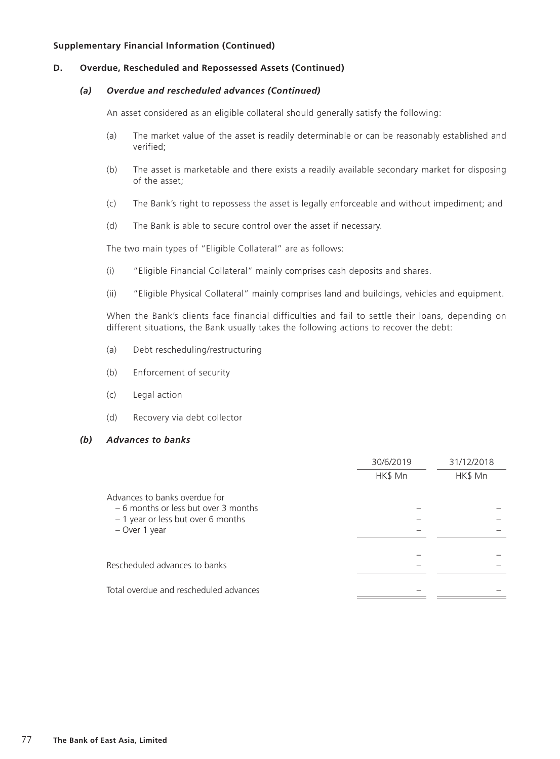### **D. Overdue, Rescheduled and Repossessed Assets (Continued)**

### *(a) Overdue and rescheduled advances (Continued)*

An asset considered as an eligible collateral should generally satisfy the following:

- (a) The market value of the asset is readily determinable or can be reasonably established and verified;
- (b) The asset is marketable and there exists a readily available secondary market for disposing of the asset;
- (c) The Bank's right to repossess the asset is legally enforceable and without impediment; and
- (d) The Bank is able to secure control over the asset if necessary.

The two main types of "Eligible Collateral" are as follows:

- (i) "Eligible Financial Collateral" mainly comprises cash deposits and shares.
- (ii) "Eligible Physical Collateral" mainly comprises land and buildings, vehicles and equipment.

When the Bank's clients face financial difficulties and fail to settle their loans, depending on different situations, the Bank usually takes the following actions to recover the debt:

- (a) Debt rescheduling/restructuring
- (b) Enforcement of security
- (c) Legal action
- (d) Recovery via debt collector

#### *(b) Advances to banks*

|                                                                                                                             | 30/6/2019 | 31/12/2018 |
|-----------------------------------------------------------------------------------------------------------------------------|-----------|------------|
|                                                                                                                             | HK\$ Mn   | HK\$ Mn    |
| Advances to banks overdue for<br>-6 months or less but over 3 months<br>- 1 year or less but over 6 months<br>- Over 1 year |           |            |
| Rescheduled advances to banks                                                                                               |           |            |
| Total overdue and rescheduled advances                                                                                      |           |            |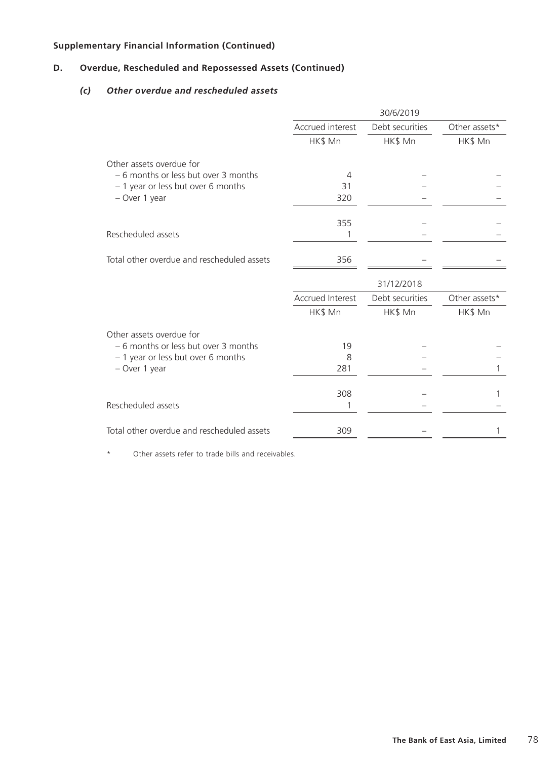# **D. Overdue, Rescheduled and Repossessed Assets (Continued)**

# *(c) Other overdue and rescheduled assets*

|                                            | 30/6/2019               |                 |               |
|--------------------------------------------|-------------------------|-----------------|---------------|
|                                            | Accrued interest        | Debt securities | Other assets* |
|                                            | HK\$ Mn                 | HK\$ Mn         | HK\$ Mn       |
| Other assets overdue for                   |                         |                 |               |
| - 6 months or less but over 3 months       | 4                       |                 |               |
| - 1 year or less but over 6 months         | 31                      |                 |               |
| - Over 1 year                              | 320                     |                 |               |
|                                            | 355                     |                 |               |
| Rescheduled assets                         |                         |                 |               |
| Total other overdue and rescheduled assets | 356                     |                 |               |
|                                            |                         | 31/12/2018      |               |
|                                            | <b>Accrued Interest</b> | Debt securities | Other assets* |
|                                            | HK\$ Mn                 | HK\$ Mn         | HK\$ Mn       |
| Other assets overdue for                   |                         |                 |               |
| - 6 months or less but over 3 months       | 19                      |                 |               |
| - 1 year or less but over 6 months         | 8                       |                 |               |
| - Over 1 year                              | 281                     |                 |               |
|                                            | 308                     |                 |               |
| Rescheduled assets                         |                         |                 |               |
| Total other overdue and rescheduled assets | 309                     |                 |               |
|                                            |                         |                 |               |

\* Other assets refer to trade bills and receivables.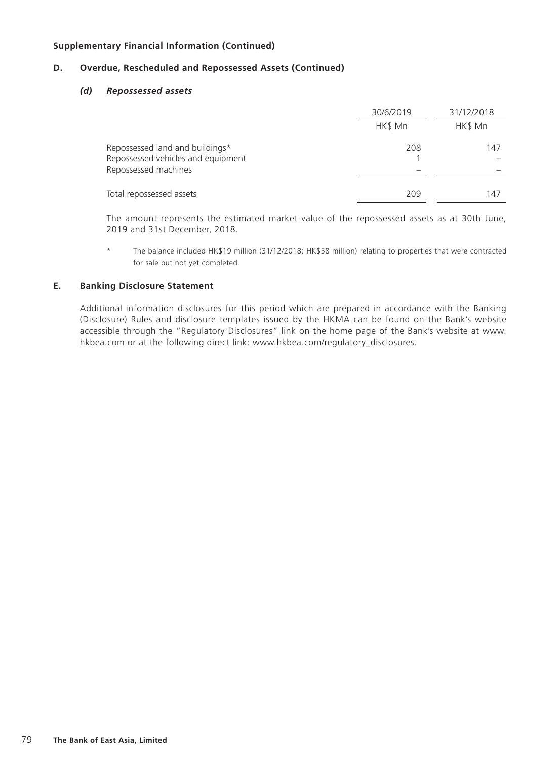### **D. Overdue, Rescheduled and Repossessed Assets (Continued)**

### *(d) Repossessed assets*

|                                                            | 30/6/2019 | 31/12/2018 |
|------------------------------------------------------------|-----------|------------|
|                                                            | HK\$ Mn   | HK\$ Mn    |
| Repossessed land and buildings*                            | 208       | 147        |
| Repossessed vehicles and equipment<br>Repossessed machines |           |            |
| Total repossessed assets                                   | 209       | 147        |

The amount represents the estimated market value of the repossessed assets as at 30th June, 2019 and 31st December, 2018.

\* The balance included HK\$19 million (31/12/2018: HK\$58 million) relating to properties that were contracted for sale but not yet completed.

### **E. Banking Disclosure Statement**

Additional information disclosures for this period which are prepared in accordance with the Banking (Disclosure) Rules and disclosure templates issued by the HKMA can be found on the Bank's website accessible through the "Regulatory Disclosures" link on the home page of the Bank's website at www. hkbea.com or at the following direct link: www.hkbea.com/regulatory\_disclosures.